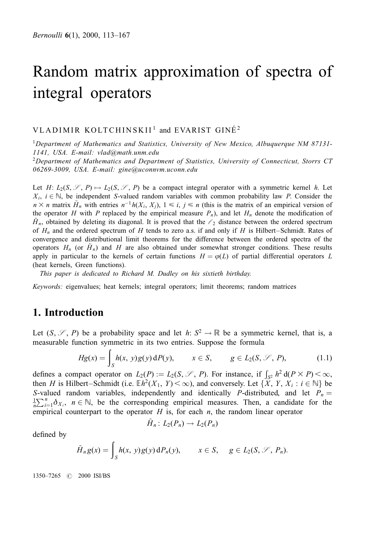## VLADIMIR KOLTCHINSKII<sup>1</sup> and EVARIST GINÉ<sup>2</sup>

<sup>1</sup>Department of Mathematics and Statistics, University of New Mexico, Albuquerque NM 87131-1141, USA. E-mail: vlad@math.unm.edu

<sup>2</sup>Department of Mathematics and Department of Statistics, University of Connecticut, Storrs CT 06269-3009, USA. E-mail: gine@uconnvm.uconn.edu

Let H:  $L_2(S, \mathscr{S}, P) \mapsto L_2(S, \mathscr{S}, P)$  be a compact integral operator with a symmetric kernel h. Let  $X_i$ ,  $i \in \mathbb{N}$ , be independent S-valued random variables with common probability law P. Consider the  $n \times n$  matrix  $\hat{H}_n$  with entries  $n^{-1}h(X_i, X_j)$ ,  $1 \le i, j \le n$  (this is the matrix of an empirical version of the operator H with P replaced by the empirical measure  $P_n$ ), and let  $H_n$  denote the modification of  $H_n$ , obtained by deleting its diagonal. It is proved that the  $\ell_2$  distance between the ordered spectrum of  $H_n$  and the ordered spectrum of H tends to zero a.s. if and only if H is Hilbert-Schmidt. Rates of convergence and distributional limit theorems for the difference between the ordered spectra of the operators  $H_n$  (or  $\tilde{H}_n$ ) and H are also obtained under somewhat stronger conditions. These results apply in particular to the kernels of certain functions  $H = \varphi(L)$  of partial differential operators L (heat kernels, Green functions).

This paper is dedicated to Richard M. Dudley on his sixtieth birthday.

Keywords: eigenvalues; heat kernels; integral operators; limit theorems; random matrices

# 1. Introduction

Let  $(S, \mathscr{S}, P)$  be a probability space and let  $h: S^2 \to \mathbb{R}$  be a symmetric kernel, that is, a measurable function symmetric in its two entries. Suppose the formula

$$
Hg(x) = \int_{S} h(x, y)g(y) dP(y), \qquad x \in S, \qquad g \in L_2(S, \mathcal{S}, P), \tag{1.1}
$$

defines a compact operator on  $L_2(P) := L_2(S, \mathcal{S}, P)$ . For instance, if  $\int_{S^2} h^2 d(P \times P) < \infty$ , then H is Hilbert–Schmidt (i.e.  $\mathbb{E}h^2(X_1, Y) \leq \infty$ ), and conversely. Let  $\{X, Y, X_i : i \in \mathbb{N}\}$  be S-valued random variables, independently and identically P-distributed, and let  $P_n =$  $\frac{1}{n}\sum_{i=1}^{n} \delta_{X_i}$ ,  $n \in \mathbb{N}$ , be the corresponding empirical measures. Then, a candidate for the empirical counterpart to the operator  $H$  is, for each  $n$ , the random linear operator

$$
\tilde{H}_n\colon L_2(P_n)\to L_2(P_n)
$$

defined by

$$
\tilde{H}_n g(x) = \int_S h(x, y) g(y) dP_n(y), \qquad x \in S, \quad g \in L_2(S, \mathcal{S}, P_n).
$$

1350±7265 # 2000 ISI/BS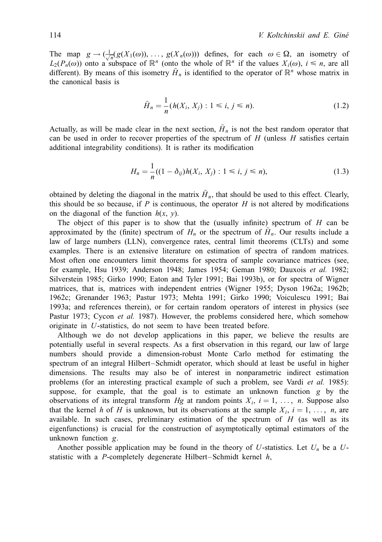The map  $g \to (\frac{1}{\sqrt{n}}g(X_1(\omega)), \ldots, g(X_n(\omega)))$  defines, for each  $\omega \in \Omega$ , an isometry of  $L(P(\omega))$  onto a subspace of  $\mathbb{R}^n$  (onto the whole of  $\mathbb{R}^n$  if the values  $Y_n(\omega)$  i  $\leq n$  are all  $L_2(P_n(\omega))$  onto a subspace of  $\mathbb{R}^n$  (onto the whole of  $\mathbb{R}^n$  if the values  $X_i(\omega)$ ,  $i \leq n$ , are all different). By means of this isometry  $H<sub>n</sub>$  is identified to the operator of  $\mathbb{R}^n$  whose matrix in the canonical basis is

$$
\tilde{H}_n = \frac{1}{n} (h(X_i, X_j) : 1 \le i, j \le n).
$$
\n(1.2)

Actually, as will be made clear in the next section,  $\tilde{H}_n$  is not the best random operator that can be used in order to recover properties of the spectrum of  $H$  (unless  $H$  satisfies certain additional integrability conditions). It is rather its modification

$$
H_n = \frac{1}{n}((1 - \delta_{ij})h(X_i, X_j) : 1 \le i, j \le n),
$$
\n(1.3)

obtained by deleting the diagonal in the matrix  $\tilde{H}_n$ , that should be used to this effect. Clearly, this should be so because, if P is continuous, the operator H is not altered by modifications on the diagonal of the function  $h(x, y)$ .

The object of this paper is to show that the (usually infinite) spectrum of  $H$  can be approximated by the (finite) spectrum of  $H_n$  or the spectrum of  $H_n$ . Our results include a law of large numbers (LLN), convergence rates, central limit theorems (CLTs) and some examples. There is an extensive literature on estimation of spectra of random matrices. Most often one encounters limit theorems for spectra of sample covariance matrices (see, for example, Hsu 1939; Anderson 1948; James 1954; Geman 1980; Dauxois et al. 1982; Silverstein 1985; Girko 1990; Eaton and Tyler 1991; Bai 1993b), or for spectra of Wigner matrices, that is, matrices with independent entries (Wigner 1955; Dyson 1962a; 1962b; 1962c; Grenander 1963; Pastur 1973; Mehta 1991; Girko 1990; Voiculescu 1991; Bai 1993a; and references therein), or for certain random operators of interest in physics (see Pastur 1973; Cycon et al. 1987). However, the problems considered here, which somehow originate in U-statistics, do not seem to have been treated before.

Although we do not develop applications in this paper, we believe the results are potentially useful in several respects. As a first observation in this regard, our law of large numbers should provide a dimension-robust Monte Carlo method for estimating the spectrum of an integral Hilbert-Schmidt operator, which should at least be useful in higher dimensions. The results may also be of interest in nonparametric indirect estimation problems (for an interesting practical example of such a problem, see Vardi et al. 1985): suppose, for example, that the goal is to estimate an unknown function g by the observations of its integral transform Hg at random points  $X_i$ ,  $i = 1, \ldots, n$ . Suppose also that the kernel h of H is unknown, but its observations at the sample  $X_i$ ,  $i = 1, \ldots, n$ , are available. In such cases, preliminary estimation of the spectrum of  $H$  (as well as its eigenfunctions) is crucial for the construction of asymptotically optimal estimators of the unknown function g.

Another possible application may be found in the theory of U-statistics. Let  $U_n$  be a Ustatistic with a P-completely degenerate Hilbert-Schmidt kernel  $h$ ,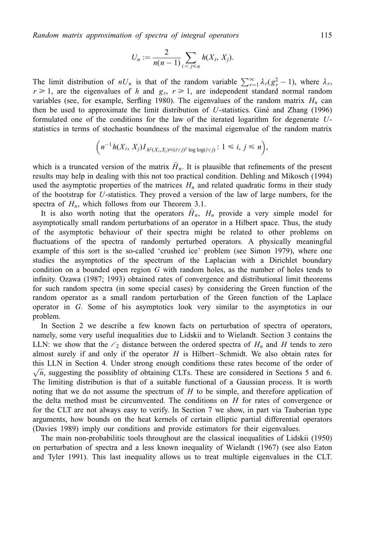$$
U_n:=\frac{2}{n(n-1)}\sum_{i
$$

The limit distribution of  $nU_n$  is that of the random variable  $\sum_{r=1}^{\infty} \lambda_r (g_r^2 - 1)$ , where  $\lambda_r$ ,  $r \ge 1$ , are the eigenvalues of h and  $g_r$ ,  $r \ge 1$ , are independent standard normal random variables (see, for example, Serfling 1980). The eigenvalues of the random matrix  $H_n$  can then be used to approximate the limit distribution of U-statistics. Gine and Zhang  $(1996)$ formulated one of the conditions for the law of the iterated logarithm for degenerate Ustatistics in terms of stochastic boundness of the maximal eigenvalue of the random matrix

$$
\left(n^{-1}h(X_i,X_j)I_{h^2(X_i,X_j)\leq (i\vee j)^2\log\log(i\vee j)}\colon 1\leq i,\,j\leq n\right),
$$

which is a truncated version of the matrix  $H<sub>n</sub>$ . It is plausible that refinements of the present results may help in dealing with this not too practical condition. Dehling and Mikosch (1994) used the asymptotic properties of the matrices  $H_n$  and related quadratic forms in their study of the bootstrap for U-statistics. They proved a version of the law of large numbers, for the spectra of  $H_n$ , which follows from our Theorem 3.1.

It is also worth noting that the operators  $H_n$ ,  $H_n$  provide a very simple model for asymptotically small random perturbations of an operator in a Hilbert space. Thus, the study of the asymptotic behaviour of their spectra might be related to other problems on fluctuations of the spectra of randomly perturbed operators. A physically meaningful example of this sort is the so-called 'crushed ice' problem (see Simon 1979), where one studies the asymptotics of the spectrum of the Laplacian with a Dirichlet boundary condition on a bounded open region  $G$  with random holes, as the number of holes tends to infinity. Ozawa (1987; 1993) obtained rates of convergence and distributional limit theorems for such random spectra (in some special cases) by considering the Green function of the random operator as a small random perturbation of the Green function of the Laplace operator in G. Some of his asymptotics look very similar to the asymptotics in our problem.

In Section 2 we describe a few known facts on perturbation of spectra of operators, namely, some very useful inequalities due to Lidskii and to Wielandt. Section 3 contains the LLN: we show that the  $\ell_2$  distance between the ordered spectra of  $H_n$  and H tends to zero almost surely if and only if the operator  $H$  is Hilbert-Schmidt. We also obtain rates for this LLN in Section 4. Under strong enough conditions these rates become of the order of  $\sqrt{n}$ , suggesting the possiblity of obtaining CLTs. These are considered in Sections 5 and 6. The limiting distribution is that of a suitable functional of a Gaussian process. It is worth noting that we do not assume the spectrum of  $H$  to be simple, and therefore application of the delta method must be circumvented. The conditions on  $H$  for rates of convergence or for the CLT are not always easy to verify. In Section 7 we show, in part via Tauberian type arguments, how bounds on the heat kernels of certain elliptic partial differential operators (Davies 1989) imply our conditions and provide estimators for their eigenvalues.

The main non-probabilitic tools throughout are the classical inequalities of Lidskii (1950) on perturbation of spectra and a less known inequality of Wielandt (1967) (see also Eaton and Tyler 1991). This last inequality allows us to treat multiple eigenvalues in the CLT.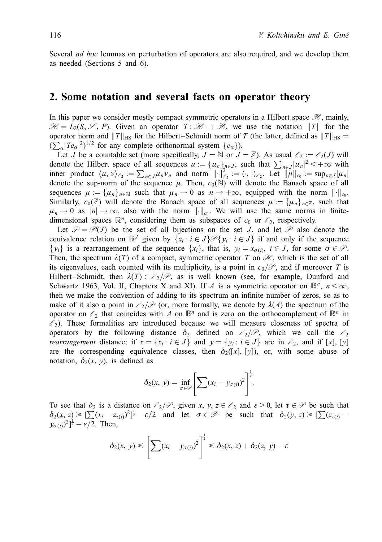Several *ad hoc* lemmas on perturbation of operators are also required, and we develop them as needed (Sections 5 and 6).

### 2. Some notation and several facts on operator theory

In this paper we consider mostly compact symmetric operators in a Hilbert space  $\mathcal{H}$ , mainly,  $\mathcal{H} = L_2(S, \mathcal{S}, P)$ . Given an operator  $T: \mathcal{H} \mapsto \mathcal{H}$ , we use the notation  $||T||$  for the operator norm and  $||T||_{\text{HS}}$  for the Hilbert–Schmidt norm of T (the latter, defined as  $||T||_{\text{HS}} =$  $(\sum_{\alpha} |Te_{\alpha}|^2)^{1/2}$  for any complete orthonormal system  $\{e_{\alpha}\}\)$ .

Let J be a countable set (more specifically,  $J = \mathbb{N}$  or  $J = \mathbb{Z}$ ). As usual  $\ell_2 := \ell_2(J)$  will denote the Hilbert space of all sequences  $\mu := \{\mu_n\}_{n \in J}^{\infty}$ , such that  $\sum_{n \in J} |\mu_n|^2 < +\infty$  with inner product  $\langle \mu, \nu \rangle_{\ell_2} := \sum_{n \in J} \mu_n \nu_n$  and norm  $\|\cdot\|^2_{\ell_2} := \langle \cdot, \cdot \rangle_{\ell_2}$ . Let  $\|\mu\|_{c_0} := \sup_{n \in J} |\mu_n|$ denote the sup-norm of the sequence  $\mu$ . Then,  $c_0(\mathbb{N})$  will denote the Banach space of all sequences  $\mu := {\{\mu_n\}}_{n \in \mathbb{N}}$  such that  $\mu_n \to 0$  as  $n \to +\infty$ , equipped with the norm  $\|\cdot\|_{c_0}$ . Similarly,  $c_0(\mathbb{Z})$  will denote the Banach space of all sequences  $\mu := {\{\mu_n\}}_{n \in \mathbb{Z}}$ , such that  $\mu_n \to 0$  as  $|n| \to \infty$ , also with the norm  $\|\cdot\|_{c_0}$ . We will use the same norms in finitedimensional spaces  $\mathbb{R}^n$ , considering them as subspaces of  $c_0$  or  $\ell_2$ , respectively.

Let  $\mathcal{P} = \mathcal{P}(J)$  be the set of all bijections on the set J, and let  $\mathcal{P}$  also denote the equivalence relation on  $\mathbb{R}^J$  given by  $\{x_i : i \in J\} \mathcal{P} \{y_i : i \in J\}$  if and only if the sequence  $\{y_i\}$  is a rearrangement of the sequence  $\{x_i\}$ , that is,  $y_i = x_{\sigma(i)}$ ,  $i \in J$ , for some  $\sigma \in \mathcal{P}$ . Then, the spectrum  $\lambda(T)$  of a compact, symmetric operator T on  $\mathcal{H}$ , which is the set of all its eigenvalues, each counted with its multiplicity, is a point in  $c_0/\mathcal{P}$ , and if moreover T is Hilbert–Schmidt, then  $\lambda(T) \in \ell_2/\mathcal{P}$ , as is well known (see, for example, Dunford and Schwartz 1963, Vol. II, Chapters X and XI). If A is a symmetric operator on  $\mathbb{R}^n$ ,  $n < \infty$ , then we make the convention of adding to its spectrum an infinite number of zeros, so as to make of it also a point in  $\ell_2/\mathcal{P}$  (or, more formally, we denote by  $\lambda(A)$  the spectrum of the operator on  $\ell_2$  that coincides with A on  $\mathbb{R}^n$  and is zero on the orthocomplement of  $\mathbb{R}^n$  in  $\ell_2$ ). These formalities are introduced because we will measure closeness of spectra of operators by the following distance  $\delta_2$  defined on  $\ell_2/\mathcal{P}$ , which we call the  $\ell_2$ *rearrangement* distance: if  $x = \{x_i : i \in J\}$  and  $y = \{y_i : i \in J\}$  are in  $\ell_2$ , and if [x], [y] are the corresponding equivalence classes, then  $\delta_2([x], [y])$ , or, with some abuse of notation,  $\delta_2(x, y)$ , is defined as

$$
\delta_2(x, y) = \inf_{\sigma \in \mathcal{P}} \left[ \sum (x_i - y_{\sigma(i)})^2 \right]^{\frac{1}{2}}.
$$

To see that  $\delta_2$  is a distance on  $\ell_2/\mathcal{P}$ , given x, y,  $z \in \ell_2$  and  $\varepsilon > 0$ , let  $\tau \in \mathcal{P}$  be such that  $\delta_2(x, z) \geqslant \left[\sum_{i} (x_i - z_{\tau(i)})^2\right]^{\frac{1}{2}} - \varepsilon/2$  and let  $\sigma \in \mathcal{P}$  be such that  $\delta_2(y, z) \geqslant \left[\sum_{i} (z_{\tau(i)})^2\right]^{\frac{1}{2}}$  $(y_{\sigma(i)})^2$ ]<sup>1</sup>/<sub>2</sub> –  $\varepsilon$ /2. Then,

$$
\delta_2(x, y) \leqslant \left[ \sum (x_i - y_{\sigma(i)})^2 \right]^{\frac{1}{2}} \leqslant \delta_2(x, z) + \delta_2(z, y) - \varepsilon
$$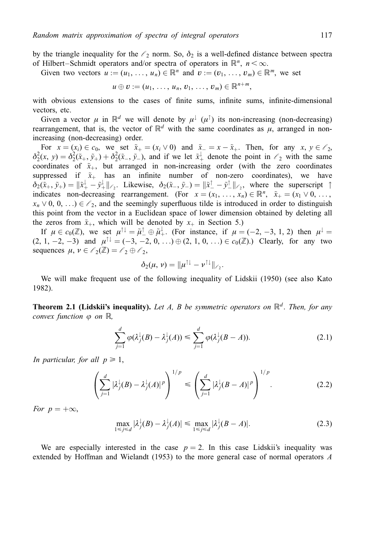by the triangle inequality for the  $\ell_2$  norm. So,  $\delta_2$  is a well-defined distance between spectra of Hilbert–Schmidt operators and/or spectra of operators in  $\mathbb{R}^n$ ,  $n < \infty$ .

Given two vectors  $u := (u_1, \ldots, u_n) \in \mathbb{R}^n$  and  $v := (v_1, \ldots, v_m) \in \mathbb{R}^m$ , we set

$$
u\oplus v:=(u_1,\ldots,u_n,v_1,\ldots,v_m)\in\mathbb{R}^{n+m},
$$

with obvious extensions to the cases of finite sums, infinite sums, infinite-dimensional vectors, etc.

Given a vector  $\mu$  in  $\mathbb{R}^d$  we will denote by  $\mu^{\dagger}(\mu^{\uparrow})$  its non-increasing (non-decreasing) rearrangement, that is, the vector of  $\mathbb{R}^d$  with the same coordinates as  $\mu$ , arranged in nonincreasing (non-decreasing) order.

For  $x = (x_i) \in c_0$ , we set  $\tilde{x}_+ = (x_i \vee 0)$  and  $\tilde{x}_- = x - \tilde{x}_+$ . Then, for any  $x, y \in \mathcal{C}_2$ ,  $\delta_2^2(x, y) = \delta_2^2(\tilde{x}_+, \tilde{y}_+) + \delta_2^2(\tilde{x}_-, \tilde{y}_-)$ , and if we let  $\tilde{x}_+^{\downarrow}$  denote the point in  $\ell_2$  with the same coordinates of  $\tilde{x}_+$ , but arranged in non-increasing order (with the zero coordinates suppressed if  $\tilde{x}_+$  has an infinite number of non-zero coordinates), we have  $\delta_2(\tilde{x}_+,\tilde{y}_+) = \|\tilde{x}^{\downarrow}_+ - \tilde{y}^{\downarrow}_+\|_{\ell_2}$ . Likewise,  $\delta_2(\tilde{x}_-,\tilde{y}_-) = \|\tilde{x}^{\uparrow}_- - \tilde{y}^{\uparrow}_-\|_{\ell_2}$ , where the superscript  $\uparrow$ indicates non-decreasing rearrangement. (For  $x = (x_1, \ldots, x_n) \in \mathbb{R}^n$ ,  $\tilde{x}_+ = (x_1 \vee 0, \ldots, x_n)$  $x_n \vee 0, 0, \ldots \in \ell_2$ , and the seemingly superfluous tilde is introduced in order to distinguish this point from the vector in a Euclidean space of lower dimension obtained by deleting all the zeros from  $\tilde{x}_+$ , which will be denoted by  $x_+$  in Section 5.)

If  $\mu \in c_0(\mathbb{Z})$ , we set  $\mu^{\uparrow\downarrow} = \tilde{\mu}^{\uparrow\downarrow} \oplus \tilde{\mu}^{\downarrow}_+$ . (For instance, if  $\mu = (-2, -3, 1, 2)$  then  $\mu^{\downarrow} =$  $(2, 1, -2, -3)$  and  $\mu^{\uparrow\downarrow} = (-3, -2, 0, ...) \oplus (2, 1, 0, ...) \in c_0(\mathbb{Z})$ . Clearly, for any two sequences  $\mu, \nu \in \ell_2(\mathbb{Z}) = \ell_2 \oplus \ell_2$ ,

$$
\delta_2(\mu,\nu)=\|\mu^{\uparrow\downarrow}-\nu^{\uparrow\downarrow}\|_{\ell_2}.
$$

We will make frequent use of the following inequality of Lidskii (1950) (see also Kato 1982).

**Theorem 2.1 (Lidskii's inequality).** Let A, B be symmetric operators on  $\mathbb{R}^d$ . Then, for any convex function  $\varphi$  on  $\mathbb{R}$ ,

$$
\sum_{j=1}^{d} \varphi(\lambda_j^{\downarrow}(B) - \lambda_j^{\downarrow}(A)) \le \sum_{j=1}^{d} \varphi(\lambda_j^{\downarrow}(B - A)). \tag{2.1}
$$

In particular, for all  $p \geq 1$ ,

$$
\left(\sum_{j=1}^d |\lambda_j^{\downarrow}(B) - \lambda_j^{\downarrow}(A)|^p\right)^{1/p} \leqslant \left(\sum_{j=1}^d |\lambda_j^{\downarrow}(B - A)|^p\right)^{1/p}.
$$
\n(2.2)

For  $p = +\infty$ ,

$$
\max_{1 \le j \le d} |\lambda_j^{\downarrow}(B) - \lambda_j^{\downarrow}(A)| \le \max_{1 \le j \le d} |\lambda_j^{\downarrow}(B - A)|. \tag{2.3}
$$

We are especially interested in the case  $p = 2$ . In this case Lidskii's inequality was extended by Hoffman and Wielandt (1953) to the more general case of normal operators A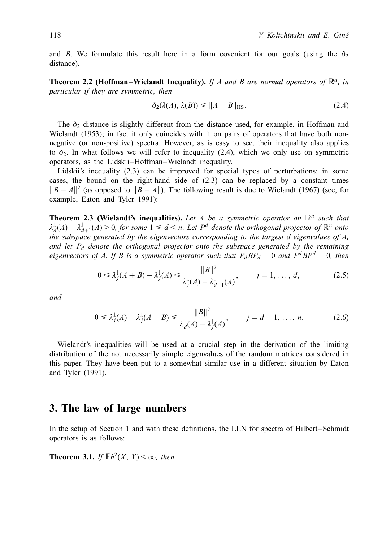and B. We formulate this result here in a form covenient for our goals (using the  $\delta_2$ ) distance).

**Theorem 2.2 (Hoffman–Wielandt Inequality).** If A and B are normal operators of  $\mathbb{R}^d$ , in particular if they are symmetric, then

$$
\delta_2(\lambda(A), \lambda(B)) \le \|A - B\|_{\text{HS}}.\tag{2.4}
$$

The  $\delta_2$  distance is slightly different from the distance used, for example, in Hoffman and Wielandt (1953); in fact it only coincides with it on pairs of operators that have both nonnegative (or non-positive) spectra. However, as is easy to see, their inequality also applies to  $\delta_2$ . In what follows we will refer to inequality (2.4), which we only use on symmetric operators, as the Lidskii-Hoffman-Wielandt inequality.

Lidskii's inequality (2.3) can be improved for special types of perturbations: in some cases, the bound on the right-hand side of (2.3) can be replaced by a constant times  $||B - A||^2$  (as opposed to  $||B - A||$ ). The following result is due to Wielandt (1967) (see, for example, Eaton and Tyler 1991):

**Theorem 2.3 (Wielandt's inequalities).** Let A be a symmetric operator on  $\mathbb{R}^n$  such that  $\lambda_d^{\downarrow}(A) - \lambda_{d+1}^{\downarrow}(A) > 0$ , for some  $1 \le d \le n$ . Let  $P^d$  denote the orthogonal projector of  $\mathbb{R}^n$  onto the subspace generated by the eigenvectors corresponding to the largest d eigenvalues of A, and let  $P_d$  denote the orthogonal projector onto the subspace generated by the remaining eigenvectors of A. If B is a symmetric operator such that  $P_d BP_d = 0$  and  $P^d BP^d = 0$ , then

$$
0 \le \lambda_j^{\downarrow}(A+B) - \lambda_j^{\downarrow}(A) \le \frac{\|B\|^2}{\lambda_j^{\downarrow}(A) - \lambda_{d+1}^{\downarrow}(A)}, \qquad j = 1, ..., d,
$$
 (2.5)

and

$$
0 \leq \lambda_j^{\downarrow}(A) - \lambda_j^{\downarrow}(A+B) \leq \frac{\|B\|^2}{\lambda_d^{\downarrow}(A) - \lambda_j^{\downarrow}(A)}, \qquad j = d+1, \dots, n. \tag{2.6}
$$

Wielandt's inequalities will be used at a crucial step in the derivation of the limiting distribution of the not necessarily simple eigenvalues of the random matrices considered in this paper. They have been put to a somewhat similar use in a different situation by Eaton and Tyler (1991).

## 3. The law of large numbers

In the setup of Section 1 and with these definitions, the LLN for spectra of Hilbert–Schmidt operators is as follows:

**Theorem 3.1.** If  $\mathbb{E}h^2(X, Y) < \infty$ , then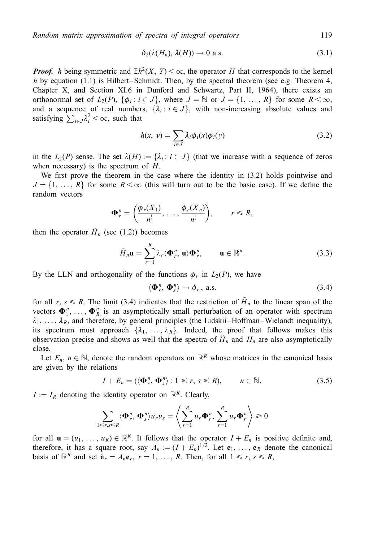$$
\delta_2(\lambda(H_n), \lambda(H)) \to 0 \text{ a.s.}
$$
 (3.1)

**Proof.** h being symmetric and  $Eh^2(X, Y) < \infty$ , the operator H that corresponds to the kernel h by equation (1.1) is Hilbert-Schmidt. Then, by the spectral theorem (see e.g. Theorem 4, Chapter X, and Section XI.6 in Dunford and Schwartz, Part II, 1964), there exists an orthonormal set of  $L_2(P)$ ,  $\{\phi_i : i \in J\}$ , where  $J = \mathbb{N}$  or  $J = \{1, ..., R\}$  for some  $R < \infty$ , and a sequence of real numbers,  $\{\lambda_i : i \in J\}$ , with non-increasing absolute values and satisfying  $\sum_{i \in J} \lambda_i^2 < \infty$ , such that

$$
h(x, y) = \sum_{i \in J} \lambda_i \phi_i(x) \phi_i(y) \tag{3.2}
$$

in the  $L_2(P)$  sense. The set  $\lambda(H) := {\lambda_i : i \in J}$  (that we increase with a sequence of zeros when necessary) is the spectrum of  $H$ .

We first prove the theorem in the case where the identity in (3.2) holds pointwise and  $J = \{1, \ldots, R\}$  for some  $R < \infty$  (this will turn out to be the basic case). If we define the random vectors

$$
\mathbf{\Phi}_r^n = \left(\frac{\phi_r(X_1)}{n^{\frac{1}{2}}}, \ldots, \frac{\phi_r(X_n)}{n^{\frac{1}{2}}}\right), \qquad r \leq R,
$$

then the operator  $\tilde{H}_n$  (see (1.2)) becomes

$$
\tilde{H}_n \mathbf{u} = \sum_{r=1}^R \lambda_r \langle \mathbf{\Phi}_r^n, \mathbf{u} \rangle \mathbf{\Phi}_r^n, \qquad \mathbf{u} \in \mathbb{R}^n.
$$
\n(3.3)

By the LLN and orthogonality of the functions  $\phi_r$  in  $L_2(P)$ , we have

$$
\langle \mathbf{\Phi}_r^n, \mathbf{\Phi}_s^n \rangle \to \delta_{r,s} \text{ a.s.}
$$
 (3.4)

for all r,  $s \le R$ . The limit (3.4) indicates that the restriction of  $\tilde{H}_n$  to the linear span of the vectors  $\mathbf{\Phi}_1^n$ , ...,  $\mathbf{\Phi}_R^n$  is an asymptotically small perturbation of an operator with spectrum  $\lambda_1, \ldots, \lambda_R$ , and therefore, by general principles (the Lidskii–Hoffman–Wielandt inequality), its spectrum must approach  $\{\lambda_1, \ldots, \lambda_R\}$ . Indeed, the proof that follows makes this observation precise and shows as well that the spectra of  $\tilde{H}_n$  and  $H_n$  are also asymptotically close.

Let  $E_n$ ,  $n \in \mathbb{N}$ , denote the random operators on  $\mathbb{R}^R$  whose matrices in the canonical basis are given by the relations

$$
I + E_n = (\langle \mathbf{\Phi}_r^n, \mathbf{\Phi}_s^n \rangle : 1 \le r, s \le R), \qquad n \in \mathbb{N}, \tag{3.5}
$$

 $I := I_R$  denoting the identity operator on  $\mathbb{R}^R$ . Clearly,

$$
\sum_{1 \leq r,s \leq R} \langle \mathbf{\Phi}_r^n, \mathbf{\Phi}_s^n \rangle u_r u_s = \left\langle \sum_{r=1}^R u_r \mathbf{\Phi}_r^n, \sum_{r=1}^R u_r \mathbf{\Phi}_r^n \right\rangle \geq 0
$$

for all  $\mathbf{u} = (u_1, \ldots, u_R) \in \mathbb{R}^R$ . It follows that the operator  $I + E_n$  is positive definite and, therefore, it has a square root, say  $A_n := (I + E_n)^{1/2}$ . Let  $e_1, \ldots, e_R$  denote the canonical basis of  $\mathbb{R}^R$  and set  $\hat{\mathbf{e}}_r = A_n \mathbf{e}_r$ ,  $r = 1, \ldots, R$ . Then, for all  $1 \le r, s \le R$ ,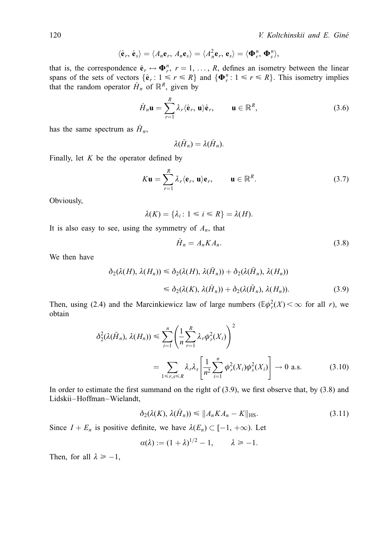$$
\langle \hat{\mathbf{e}}_r, \hat{\mathbf{e}}_s \rangle = \langle A_n \mathbf{e}_r, A_n \mathbf{e}_s \rangle = \langle A_n^2 \mathbf{e}_r, \mathbf{e}_s \rangle = \langle \mathbf{\Phi}_r^n, \mathbf{\Phi}_s^n \rangle
$$

that is, the correspondence  $\hat{\mathbf{e}}_r \leftrightarrow \mathbf{\Phi}_r^n$ ,  $r = 1, \dots, R$ , defines an isometry between the linear spans of the sets of vectors  $\{\hat{\mathbf{e}}_r : 1 \le r \le R\}$  and  $\{\mathbf{\Phi}_r^n : 1 \le r \le R\}$ . This isometry implies that the random operator  $\hat{H}_n$  of  $\mathbb{R}^R$ , given by

$$
\hat{H}_n \mathbf{u} = \sum_{r=1}^R \lambda_r \langle \hat{\mathbf{e}}_r, \mathbf{u} \rangle \hat{\mathbf{e}}_r, \qquad \mathbf{u} \in \mathbb{R}^R,
$$
\n(3.6)

has the same spectrum as  $\tilde{H}_n$ ,

$$
\lambda(\tilde{H}_n)=\lambda(\hat{H}_n)
$$

Finally, let  $K$  be the operator defined by

$$
K\mathbf{u} = \sum_{r=1}^{R} \lambda_r \langle \mathbf{e}_r, \mathbf{u} \rangle \mathbf{e}_r, \qquad \mathbf{u} \in \mathbb{R}^R. \tag{3.7}
$$

Obviously,

$$
\lambda(K) = \{\lambda_i \colon 1 \le i \le R\} = \lambda(H)
$$

It is also easy to see, using the symmetry of  $A_n$ , that

$$
\hat{H}_n = A_n K A_n. \tag{3.8}
$$

We then have

$$
\delta_2(\lambda(H), \lambda(H_n)) \leq \delta_2(\lambda(H), \lambda(\tilde{H}_n)) + \delta_2(\lambda(\tilde{H}_n), \lambda(H_n))
$$
  

$$
\leq \delta_2(\lambda(K), \lambda(\hat{H}_n)) + \delta_2(\lambda(\tilde{H}_n), \lambda(H_n)).
$$
 (3.9)

Then, using (2.4) and the Marcinkiewicz law of large numbers ( $\mathbb{E}\phi_r^2(X) < \infty$  for all r), we obtain

$$
\delta_2^2(\lambda(\tilde{H}_n), \lambda(H_n)) \leq \sum_{i=1}^n \left(\frac{1}{n} \sum_{r=1}^R \lambda_r \phi_r^2(X_i)\right)^2
$$
  
= 
$$
\sum_{1 \leq r,s \leq R} \lambda_r \lambda_s \left[\frac{1}{n^2} \sum_{i=1}^n \phi_r^2(X_i) \phi_s^2(X_i)\right] \to 0 \text{ a.s.}
$$
 (3.10)

In order to estimate the first summand on the right of  $(3.9)$ , we first observe that, by  $(3.8)$  and Lidskii-Hoffman-Wielandt,

$$
\delta_2(\lambda(K), \lambda(H_n)) \le \|A_n K A_n - K\|_{\text{HS}}.\tag{3.11}
$$

Since  $I + E_n$  is positive definite, we have  $\lambda(E_n) \subset [-1, +\infty)$ . Let

$$
\alpha(\lambda) := (1+\lambda)^{1/2} - 1, \qquad \lambda \ge -1.
$$

Then, for all  $\lambda \ge -1$ ,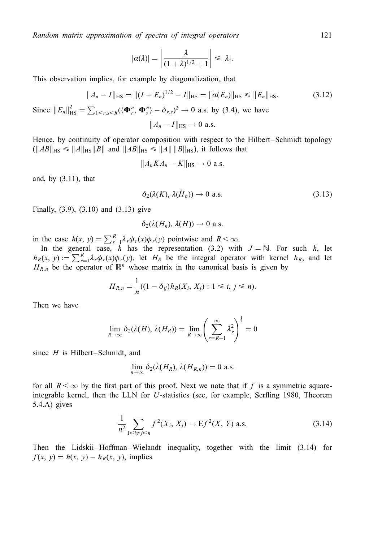$$
|\alpha(\lambda)| = \left|\frac{\lambda}{(1+\lambda)^{1/2}+1}\right| \leq |\lambda|.
$$

This observation implies, for example by diagonalization, that

$$
||A_n - I||_{\text{HS}} = ||(I + E_n)^{1/2} - I||_{\text{HS}} = ||\alpha(E_n)||_{\text{HS}} \le ||E_n||_{\text{HS}}.
$$
 (3.12)

Since  $||E_n||_{\text{HS}}^2 = \sum_{1 \le r,s \le R} (\langle \mathbf{\Phi}_r^n, \mathbf{\Phi}_s^n \rangle - \delta_{r,s})^2 \to 0$  a.s. by (3.4), we have  $||A_n - I||_{\text{HS}} \rightarrow 0$  a.s.

Hence, by continuity of operator composition with respect to the Hilbert-Schmidt topology  $(\Vert AB \Vert_{\text{HS}} \le \Vert A \Vert_{\text{HS}} \Vert B \Vert \text{ and } \Vert AB \Vert_{\text{HS}} \le \Vert A \Vert \Vert B \Vert_{\text{HS}})$ , it follows that

$$
||A_nKA_n - K||_{\text{HS}} \to 0 \text{ a.s.}
$$

and, by (3.11), that

$$
\delta_2(\lambda(K), \lambda(\hat{H}_n)) \to 0 \text{ a.s.}
$$
 (3.13)

Finally, (3.9), (3.10) and (3.13) give

$$
\delta_2(\lambda(H_n),\lambda(H))\to 0 \text{ a.s.}
$$

in the case  $h(x, y) = \sum_{r=1}^{R} \lambda_r \phi_r(x) \phi_r(y)$  pointwise and  $R < \infty$ .

In the general case, h has the representation (3.2) with  $J = \mathbb{N}$ . For such h, let  $h_R(x, y) := \sum_{r=1}^R \lambda_r \phi_r(x) \phi_r(y)$ , let  $H_R$  be the integral operator with kernel  $h_R$ , and let  $H_{R,n}$  be the operator of  $\mathbb{R}^n$  whose matrix in the canonical basis is given by

$$
H_{R,n} = \frac{1}{n}((1 - \delta_{ij})h_R(X_i, X_j) : 1 \le i, j \le n).
$$

Then we have

$$
\lim_{R\to\infty}\delta_2(\lambda(H),\,\lambda(H_R))=\lim_{R\to\infty}\left(\sum_{r=R+1}^\infty\lambda_r^2\right)^{\frac{1}{2}}=0
$$

since  $H$  is Hilbert–Schmidt, and

$$
\lim_{n\to\infty}\delta_2(\lambda(H_R),\,\lambda(H_{R,n}))=0\,\,\text{a.s.}
$$

for all  $R < \infty$  by the first part of this proof. Next we note that if f is a symmetric squareintegrable kernel, then the LLN for  $U$ -statistics (see, for example, Serfling 1980, Theorem 5.4.A) gives

$$
\frac{1}{n^2} \sum_{1 \le i \ne j \le n} f^2(X_i, X_j) \to E f^2(X, Y) \text{ a.s.}
$$
 (3.14)

Then the Lidskii–Hoffman–Wielandt inequality, together with the limit (3.14) for  $f(x, y) = h(x, y) - h<sub>R</sub>(x, y)$ , implies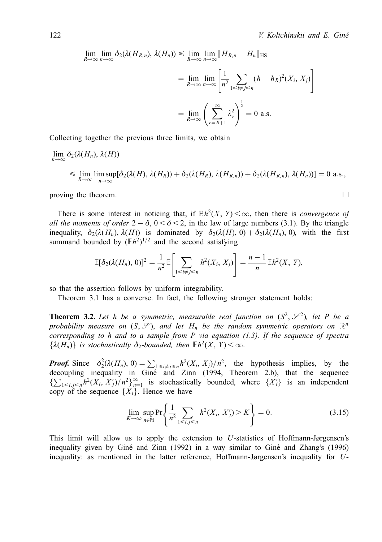$$
\lim_{R \to \infty} \lim_{n \to \infty} \delta_2(\lambda(H_{R,n}), \lambda(H_n)) \le \lim_{R \to \infty} \lim_{n \to \infty} ||H_{R,n} - H_n||_{\text{HS}}
$$
\n
$$
= \lim_{R \to \infty} \lim_{n \to \infty} \left[ \frac{1}{n^2} \sum_{1 \le i \ne j \le n} (h - h_R)^2(X_i, X_j) \right]
$$
\n
$$
= \lim_{R \to \infty} \left( \sum_{r=R+1}^{\infty} \lambda_r^2 \right)^{\frac{1}{2}} = 0 \text{ a.s.}
$$

Collecting together the previous three limits, we obtain

$$
\lim_{n \to \infty} \delta_2(\lambda(H_n), \lambda(H))
$$
\n
$$
\leq \lim_{R \to \infty} \limsup_{n \to \infty} [\delta_2(\lambda(H), \lambda(H_R)) + \delta_2(\lambda(H_R), \lambda(H_{R,n})) + \delta_2(\lambda(H_{R,n}), \lambda(H_n))] = 0 \text{ a.s.},
$$

proving the theorem.

There is some interest in noticing that, if  $Eh^2(X, Y) < \infty$ , then there is *convergence of* all the moments of order  $2 - \delta$ ,  $0 < \delta < 2$ , in the law of large numbers (3.1). By the triangle inequality,  $\delta_2(\lambda(H_n), \lambda(H))$  is dominated by  $\delta_2(\lambda(H_n), 0) + \delta_2(\lambda(H_n), 0)$ , with the first summand bounded by  $(Eh^2)^{1/2}$  and the second satisfying

$$
\mathbb{E}[\delta_2(\lambda(H_n), 0)]^2 = \frac{1}{n^2} \mathbb{E}\left[\sum_{1 \le i \ne j \le n} h^2(X_i, X_j)\right] = \frac{n-1}{n} \mathbb{E}h^2(X, Y),
$$

so that the assertion follows by uniform integrability.

Theorem 3.1 has a converse. In fact, the following stronger statement holds:

**Theorem 3.2.** Let h be a symmetric, measurable real function on  $(S^2, \mathscr{S}^2)$ , let P be a probability measure on  $(S, \mathscr{S})$ , and let  $H_n$  be the random symmetric operators on  $\mathbb{R}^n$ corresponding to h and to a sample from  $P$  via equation (1.3). If the sequence of spectra  $\{\lambda(H_n)\}\$ is stochastically  $\delta_2$ -bounded, then  $\mathbb{E}h^2(X, Y) < \infty$ .

**Proof.** Since  $\delta_2^2(\lambda(H_n), 0) = \sum_{1 \le i \ne j \le n} h^2(X_i, X_j)/n^2$ , the hypothesis implies, by the decoupling inequality in Gine and Zinn (1994, Theorem 2.b), that the sequence  $\{\sum_{1 \le i,j \le n} h^2(X_i, X_j')/n^2\}_{n=1}^{\infty}$  is stochastically bounded, where  $\{X_i'\}$  is an independent copy of the sequence  $\{X_i\}$ . Hence we have

$$
\lim_{K \to \infty} \sup_{n \in \mathbb{N}} \Pr \left\{ \frac{1}{n^2} \sum_{1 \le i,j \le n} h^2(X_i, X_j') > K \right\} = 0. \tag{3.15}
$$

This limit will allow us to apply the extension to  $U$ -statistics of Hoffmann-Jørgensen's inequality given by Giné and Zinn (1992) in a way similar to Giné and Zhang's (1996) inequality: as mentioned in the latter reference, Hoffmann-Jørgensen's inequality for U-

$$
\Box
$$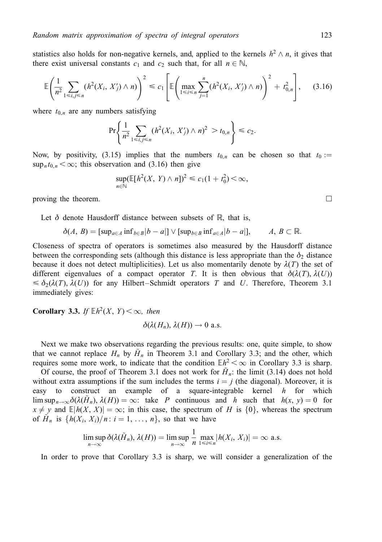statistics also holds for non-negative kernels, and, applied to the kernels  $h^2 \wedge n$ , it gives that there exist universal constants  $c_1$  and  $c_2$  such that, for all  $n \in \mathbb{N}$ ,

$$
\mathbb{E}\left(\frac{1}{n^2}\sum_{1\leq i,j\leq n} (h^2(X_i,X'_j)\wedge n)\right)^2\leq c_1\left[\mathbb{E}\left(\max_{1\leq i\leq n}\sum_{j=1}^n (h^2(X_i,X'_j)\wedge n)\right)^2 + t_{0,n}^2\right],\qquad(3.16)
$$

where  $t_{0,n}$  are any numbers satisfying

$$
\Pr\left\{\frac{1}{n^2}\sum_{1\leq i,j\leq n}(h^2(X_i,X'_j)\wedge n)^2 > t_{0,n}\right\} \leq c_2.
$$

Now, by positivity, (3.15) implies that the numbers  $t_{0,n}$  can be chosen so that  $t_0 :=$  $\sup_n t_{0,n} < \infty$ ; this observation and (3.16) then give

$$
\sup_{n\in\mathbb{N}} (\mathbb{E}[h^2(X, Y) \wedge n])^2 \leq c_1(1+t_0^2) < \infty,
$$

proving the theorem.  $\Box$ 

Let  $\delta$  denote Hausdorff distance between subsets of R, that is,

$$
\delta(A, B) = [\sup_{a \in A} \inf_{b \in B} |b - a|] \vee [\sup_{b \in B} \inf_{a \in A} |b - a|], \qquad A, B \subset \mathbb{R}.
$$

Closeness of spectra of operators is sometimes also measured by the Hausdorff distance between the corresponding sets (although this distance is less appropriate than the  $\delta_2$  distance because it does not detect multiplicities). Let us also momentarily denote by  $\lambda(T)$  the set of different eigenvalues of a compact operator T. It is then obvious that  $\delta(\lambda(T), \lambda(U))$  $\leq \delta_2(\lambda(T), \lambda(U))$  for any Hilbert-Schmidt operators T and U. Therefore, Theorem 3.1 immediately gives:

**Corollary 3.3.** If  $\mathbb{E}h^2(X, Y) < \infty$ , then

$$
\delta(\lambda(H_n),\lambda(H))\to 0 \text{ a.s.}
$$

Next we make two observations regarding the previous results: one, quite simple, to show that we cannot replace  $H_n$  by  $H_n$  in Theorem 3.1 and Corollary 3.3; and the other, which requires some more work, to indicate that the condition  $\mathbb{E}h^2 < \infty$  in Corollary 3.3 is sharp.

Of course, the proof of Theorem 3.1 does not work for  $H_n$ : the limit (3.14) does not hold without extra assumptions if the sum includes the terms  $i = j$  (the diagonal). Moreover, it is easy to construct an example of a square-integrable kernel  $h$  for which  $\limsup_{n\to\infty}\delta(\lambda(H_n), \lambda(H)) = \infty$ : take P continuous and h such that  $h(x, y) = 0$  for  $x \neq y$  and  $\mathbb{E}[h(X, X)] = \infty$ ; in this case, the spectrum of H is  $\{0\}$ , whereas the spectrum of  $H_n$  is  $\{h(X_i, X_i)/n : i = 1, \ldots, n\}$ , so that we have

$$
\limsup_{n\to\infty}\delta(\lambda(\tilde{H}_n),\lambda(H))=\limsup_{n\to\infty}\frac{1}{n}\max_{1\leq i\leq n}|h(X_i,X_i)|=\infty \text{ a.s.}
$$

In order to prove that Corollary 3.3 is sharp, we will consider a generalization of the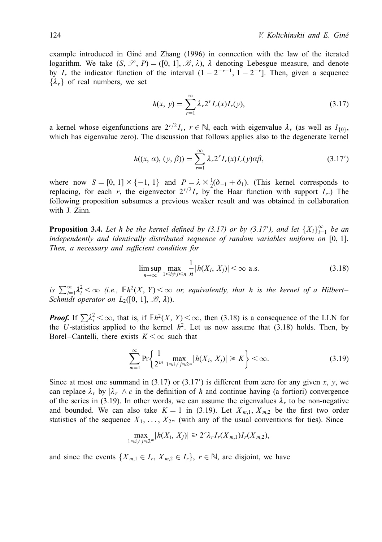example introduced in Giné and Zhang (1996) in connection with the law of the iterated logarithm. We take  $(S, \mathscr{S}, P) = ([0, 1], \mathscr{B}, \lambda)$ ,  $\lambda$  denoting Lebesgue measure, and denote by  $I_r$  the indicator function of the interval  $(1 - 2^{-r+1}, 1 - 2^{-r})$ . Then, given a sequence  $\{\lambda_r\}$  of real numbers, we set

$$
h(x, y) = \sum_{r=1}^{\infty} \lambda_r 2^r I_r(x) I_r(y),
$$
\n(3.17)

a kernel whose eigenfunctions are  $2^{r/2} I_r$ ,  $r \in \mathbb{N}$ , each with eigenvalue  $\lambda_r$  (as well as  $I_{\{0\}}$ , which has eigenvalue zero). The discussion that follows applies also to the degenerate kernel

$$
h((x, \alpha), (y, \beta)) = \sum_{r=1}^{\infty} \lambda_r 2^r I_r(x) I_r(y) \alpha \beta,
$$
 (3.17')

where now  $S = [0, 1] \times \{-1, 1\}$  and  $P = \lambda \times \frac{1}{2}(\delta_{-1} + \delta_1)$ . (This kernel corresponds to replacing, for each r, the eigenvector  $2^{r/2} I_r$  by the Haar function with support  $I_r$ .) The following proposition subsumes a previous weaker result and was obtained in collaboration with J. Zinn.

**Proposition 3.4.** Let h be the kernel defined by (3.17) or by (3.17'), and let  $\{X_i\}_{i=1}^{\infty}$  be an independently and identically distributed sequence of random variables uniform on [0, 1]. Then, a necessary and sufficient condition for

$$
\limsup_{n \to \infty} \max_{1 \le i \ne j \le n} \frac{1}{n} |h(X_i, X_j)| < \infty \text{ a.s.} \tag{3.18}
$$

is  $\sum_{i=1}^{\infty} \lambda_i^2 < \infty$  (i.e.,  $\mathbb{E}h^2(X, Y) < \infty$  or, equivalently, that h is the kernel of a Hilbert-Schmidt operator on  $L_2([0, 1], \mathcal{B}, \lambda)$ .

**Proof.** If  $\sum \lambda_i^2 < \infty$ , that is, if  $\mathbb{E}h^2(X, Y) < \infty$ , then (3.18) is a consequence of the LLN for the U-statistics applied to the kernel  $h^2$ . Let us now assume that (3.18) holds. Then, by Borel–Cantelli, there exists  $K < \infty$  such that

$$
\sum_{m=1}^{\infty} \Pr\left\{ \frac{1}{2^m} \max_{1 \le i \ne j \le 2^m} |h(X_i, X_j)| \ge K \right\} < \infty.
$$
 (3.19)

Since at most one summand in  $(3.17)$  or  $(3.17')$  is different from zero for any given x, y, we can replace  $\lambda_r$  by  $|\lambda_r| \wedge c$  in the definition of h and continue having (a fortiori) convergence of the series in (3.19). In other words, we can assume the eigenvalues  $\lambda_r$  to be non-negative and bounded. We can also take  $K = 1$  in (3.19). Let  $X_{m,1}, X_{m,2}$  be the first two order statistics of the sequence  $X_1, \ldots, X_{2^m}$  (with any of the usual conventions for ties). Since

$$
\max_{1 \le i \ne j \le 2^m} |h(X_i, X_j)| \ge 2^r \lambda_r I_r(X_{m,1}) I_r(X_{m,2}),
$$

and since the events  $\{X_{m,1} \in I_r, X_{m,2} \in I_r\}$ ,  $r \in \mathbb{N}$ , are disjoint, we have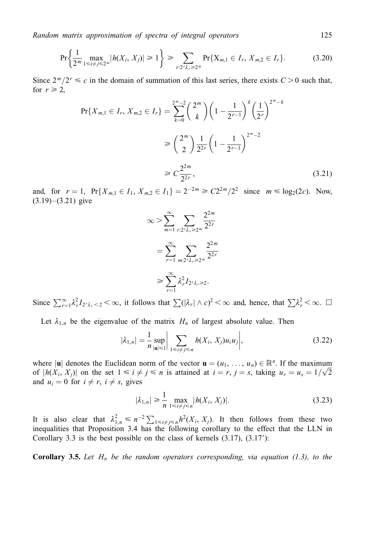$$
\Pr\left\{\frac{1}{2^m}\max_{1\leq i\neq j\leq 2^m}|h(X_i,X_j)|\geq 1\right\}\geq \sum_{r:2^r\lambda_r\geq 2^m}\Pr\{X_{m,1}\in I_r,\,X_{m,2}\in I_r\}.\tag{3.20}
$$

Since  $2^m/2^r \le c$  in the domain of summation of this last series, there exists  $C > 0$  such that, for  $r \geq 2$ ,

$$
\Pr\{X_{m,1} \in I_r, X_{m,2} \in I_r\} = \sum_{k=0}^{2^m - 2} \binom{2^m}{k} \left(1 - \frac{1}{2^{r-1}}\right)^k \left(\frac{1}{2^r}\right)^{2^m - k}
$$

$$
\ge \binom{2^m}{2} \frac{1}{2^{2r}} \left(1 - \frac{1}{2^{r-1}}\right)^{2^m - 2}
$$

$$
\ge C \frac{2^{2m}}{2^{2r}},\tag{3.21}
$$

and, for  $r = 1$ ,  $Pr{X_{m,1} \in I_1, X_{m,2} \in I_1} = 2^{-2m} \ge C2^{2m}/2^2$  since  $m \le log_2(2c)$ . Now,  $(3.19)–(3.21)$  give

$$
\infty > \sum_{m=1}^{\infty} \sum_{r:2^{r} \lambda_r \geq 2^m} \frac{2^{2m}}{2^{2r}}
$$

$$
= \sum_{r=1}^{\infty} \sum_{m:2^{r} \lambda_r \geq 2^m} \frac{2^{2m}}{2^{2r}}
$$

$$
\geq \sum_{r=1}^{\infty} \lambda_r^2 I_{2^{r} \lambda_r \geq 2}.
$$

Since  $\sum_{r=1}^{\infty} \lambda_r^2 I_{2^r \lambda_r} < 2 < \infty$ , it follows that  $\sum (\vert \lambda_r \vert \wedge c)^2 < \infty$  and, hence, that  $\sum \lambda_r^2 < \infty$ .  $\Box$ 

Let  $\lambda_{1,n}$  be the eigenvalue of the matrix  $H_n$  of largest absolute value. Then

$$
|\lambda_{1,n}| = \frac{1}{n} \sup_{|\mathbf{u}| \le 1} \bigg| \sum_{1 \le i \ne j \le n} h(X_i, X_j) u_i u_j \bigg|, \tag{3.22}
$$

where  $|\mathbf{u}|$  denotes the Euclidean norm of the vector  $\mathbf{u} = (u_1, \dots, u_n) \in \mathbb{R}^n$ . If the maximum of  $|h(X_i, X_j)|$  on the set  $1 \le i \ne j \le n$  is attained at  $i = r, j = s$ , taking  $u_r = u_s = 1/\sqrt{2}$ and  $u_i = 0$  for  $i \neq r$ ,  $i \neq s$ , gives

$$
|\lambda_{1,n}| \ge \frac{1}{n} \max_{1 \le i \ne j \le n} |h(X_i, X_j)|. \tag{3.23}
$$

It is also clear that  $\lambda_{1,n}^2 \leq n^{-2} \sum_{1 \leq i \neq j \leq n} h^2(X_i, X_j)$ . It then follows from these two inequalities that Proposition 3.4 has the following corollary to the effect that the LLN in Corollary 3.3 is the best possible on the class of kernels  $(3.17)$ ,  $(3.17')$ :

**Corollary 3.5.** Let  $H_n$  be the random operators corresponding, via equation (1.3), to the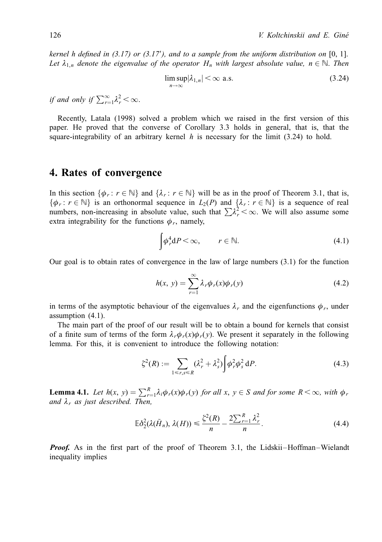kernel h defined in  $(3.17)$  or  $(3.17')$ , and to a sample from the uniform distribution on [0, 1]. Let  $\lambda_{1,n}$  denote the eigenvalue of the operator  $H_n$  with largest absolute value,  $n \in \mathbb{N}$ . Then

$$
\limsup_{n \to \infty} |\lambda_{1,n}| < \infty \text{ a.s.} \tag{3.24}
$$

if and only if  $\sum_{r=1}^{\infty} \lambda_r^2 < \infty$ .

Recently, Latala (1998) solved a problem which we raised in the first version of this paper. He proved that the converse of Corollary 3.3 holds in general, that is, that the square-integrability of an arbitrary kernel  $h$  is necessary for the limit (3.24) to hold.

## 4. Rates of convergence

In this section  $\{\phi_r : r \in \mathbb{N}\}\$  and  $\{\lambda_r : r \in \mathbb{N}\}\$  will be as in the proof of Theorem 3.1, that is,  $\{\phi_r : r \in \mathbb{N}\}\$ is an orthonormal sequence in  $L_2(P)$  and  $\{\lambda_r : r \in \mathbb{N}\}\$ is a sequence of real numbers, non-increasing in absolute value, such that  $\sum \lambda_i^2 < \infty$ . We will also assume some extra integrability for the functions  $\phi_r$ , namely,

$$
\int \phi_r^4 dP < \infty, \qquad r \in \mathbb{N}.\tag{4.1}
$$

Our goal is to obtain rates of convergence in the law of large numbers  $(3.1)$  for the function

$$
h(x, y) = \sum_{r=1}^{\infty} \lambda_r \phi_r(x) \phi_r(y)
$$
\n(4.2)

in terms of the asymptotic behaviour of the eigenvalues  $\lambda_r$  and the eigenfunctions  $\phi_r$ , under assumption  $(4.1)$ .

The main part of the proof of our result will be to obtain a bound for kernels that consist of a finite sum of terms of the form  $\lambda_r \phi_r(x) \phi_r(y)$ . We present it separately in the following lemma. For this, it is convenient to introduce the following notation:

$$
\zeta^2(R) := \sum_{1 \le r,s \le R} (\lambda_r^2 + \lambda_s^2) \int \phi_r^2 \phi_s^2 dP. \tag{4.3}
$$

**Lemma 4.1.** Let  $h(x, y) = \sum_{r=1}^{R} \lambda_i \phi_r(x) \phi_r(y)$  for all  $x, y \in S$  and for some  $R < \infty$ , with  $\phi_r$ and  $\lambda_r$  as just described. Then,

$$
\mathbb{E}\delta_2^2(\lambda(\tilde{H}_n),\,\lambda(H)) \leq \frac{\zeta^2(R)}{n} - \frac{2\sum_{r=1}^R \lambda_r^2}{n}.\tag{4.4}
$$

**Proof.** As in the first part of the proof of Theorem 3.1, the Lidskii–Hoffman–Wielandt inequality implies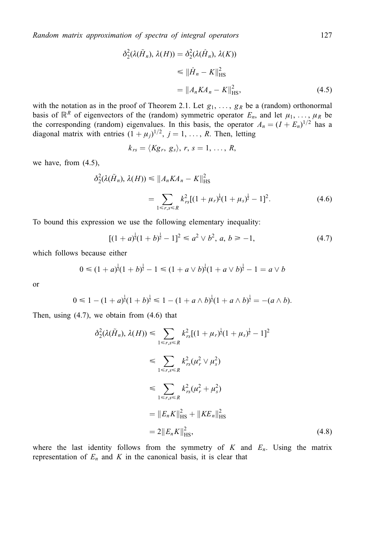$$
\delta_2^2(\lambda(\tilde{H}_n), \lambda(H)) = \delta_2^2(\lambda(\hat{H}_n), \lambda(K))
$$
  
\n
$$
\leq \|\hat{H}_n - K\|_{\text{HS}}^2
$$
  
\n
$$
= \|A_n K A_n - K\|_{\text{HS}}^2,
$$
\n(4.5)

with the notation as in the proof of Theorem 2.1. Let  $g_1, \ldots, g_k$  be a (random) orthonormal basis of  $\mathbb{R}^R$  of eigenvectors of the (random) symmetric operator  $E_n$ , and let  $\mu_1, \ldots, \mu_R$  be the corresponding (random) eigenvalues. In this basis, the operator  $A_n = (I + E_n)^{1/2}$  has a diagonal matrix with entries  $(1 + \mu_i)^{1/2}$ ,  $j = 1, ..., R$ . Then, letting

$$
k_{rs} = \langle Kg_r, g_s \rangle, r, s = 1, \ldots, R,
$$

we have, from  $(4.5)$ ,

$$
\delta_2^2(\lambda(\tilde{H}_n), \lambda(H)) \le ||A_n K A_n - K||_{\text{HS}}^2
$$
  
= 
$$
\sum_{1 \le r,s \le R} k_{rs}^2 [(1 + \mu_r)^{\frac{1}{2}} (1 + \mu_s)^{\frac{1}{2}} - 1]^2.
$$
 (4.6)

To bound this expression we use the following elementary inequality:

$$
[(1+a)^{\frac{1}{2}}(1+b)^{\frac{1}{2}}-1]^2 \leq a^2 \vee b^2, a, b \geq -1,
$$
\n(4.7)

which follows because either

$$
0 \le (1+a)^{\frac{1}{2}}(1+b)^{\frac{1}{2}}-1 \le (1+a \vee b)^{\frac{1}{2}}(1+a \vee b)^{\frac{1}{2}}-1 = a \vee b
$$

<sub>or</sub>

$$
0 \leq 1 - (1 + a)^{\frac{1}{2}} (1 + b)^{\frac{1}{2}} \leq 1 - (1 + a \wedge b)^{\frac{1}{2}} (1 + a \wedge b)^{\frac{1}{2}} = -(a \wedge b).
$$

Then, using  $(4.7)$ , we obtain from  $(4.6)$  that

$$
\delta_2^2(\lambda(\tilde{H}_n), \lambda(H)) \leq \sum_{1 \leq r,s \leq R} k_{rs}^2 [(1 + \mu_r)^{\frac{1}{2}} (1 + \mu_s)^{\frac{1}{2}} - 1]^2
$$
  
\n
$$
\leq \sum_{1 \leq r,s \leq R} k_{rs}^2 (\mu_r^2 \vee \mu_s^2)
$$
  
\n
$$
\leq \sum_{1 \leq r,s \leq R} k_{rs}^2 (\mu_r^2 + \mu_s^2)
$$
  
\n
$$
= \|E_n K\|_{\text{HS}}^2 + \|K E_n\|_{\text{HS}}^2
$$
  
\n
$$
= 2 \|E_n K\|_{\text{HS}}^2, \qquad (4.8)
$$

where the last identity follows from the symmetry of  $K$  and  $E_n$ . Using the matrix representation of  $E_n$  and K in the canonical basis, it is clear that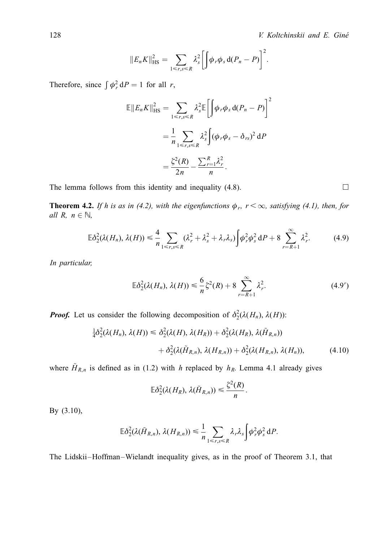$$
||E_n K||_{\text{HS}}^2 = \sum_{1 \leq r,s \leq R} \lambda_s^2 \left[ \int \phi_r \phi_s \, d(P_n - P) \right]^2.
$$

Therefore, since  $\int \phi_r^2 dP = 1$  for all r,

$$
\mathbb{E}||E_n K||_{\text{HS}}^2 = \sum_{1 \le r, s \le R} \lambda_s^2 \mathbb{E} \left[ \int \phi_r \phi_s \, d(P_n - P) \right]^2
$$

$$
= \frac{1}{n} \sum_{1 \le r, s \le R} \lambda_s^2 \int (\phi_r \phi_s - \delta_{rs})^2 \, dP
$$

$$
= \frac{\xi^2(R)}{2n} - \frac{\sum_{r=1}^R \lambda_r^2}{n}.
$$

The lemma follows from this identity and inequality (4.8).

**Theorem 4.2.** If h is as in (4.2), with the eigenfunctions  $\phi_r$ ,  $r < \infty$ , satisfying (4.1), then, for all R,  $n \in \mathbb{N}$ ,

$$
\mathbb{E}\delta_2^2(\lambda(H_n),\,\lambda(H)) \leq \frac{4}{n} \sum_{1 \leq r,s \leq R} (\lambda_r^2 + \lambda_s^2 + \lambda_r \lambda_s) \int \phi_r^2 \phi_s^2 \,dP + 8 \sum_{r=R+1}^{\infty} \lambda_r^2. \tag{4.9}
$$

In particular,

$$
\mathbb{E}\delta_2^2(\lambda(H_n), \lambda(H)) \leq \frac{6}{n}\xi^2(R) + 8\sum_{r=R+1}^{\infty}\lambda_r^2.
$$
 (4.9')

**Proof.** Let us consider the following decomposition of  $\delta_2^2(\lambda(H_n), \lambda(H))$ :

$$
\frac{1}{4}\delta_2^2(\lambda(H_n), \lambda(H)) \leq \delta_2^2(\lambda(H), \lambda(H_R)) + \delta_2^2(\lambda(H_R), \lambda(\tilde{H}_{R,n})) + \delta_2^2(\lambda(\tilde{H}_{R,n}), \lambda(H_{R,n})) + \delta_2^2(\lambda(H_{R,n}), \lambda(H_n)), \tag{4.10}
$$

where  $\tilde{H}_{R,n}$  is defined as in (1.2) with h replaced by  $h_R$ . Lemma 4.1 already gives

$$
\mathbb{E}\delta_2^2(\lambda(H_R),\,\lambda(\tilde{H}_{R,n}))\leqslant \frac{\zeta^2(R)}{n}
$$

By (3.10),

$$
\mathbb{E}\delta_2^2(\lambda(\tilde{H}_{R,n}),\lambda(H_{R,n}))\leq \frac{1}{n}\sum_{1\leq r,s\leq R}\lambda_r\lambda_s\int\varphi_r^2\varphi_s^2\,\mathrm{d}P.
$$

The Lidskii–Hoffman–Wielandt inequality gives, as in the proof of Theorem 3.1, that

 $\Box$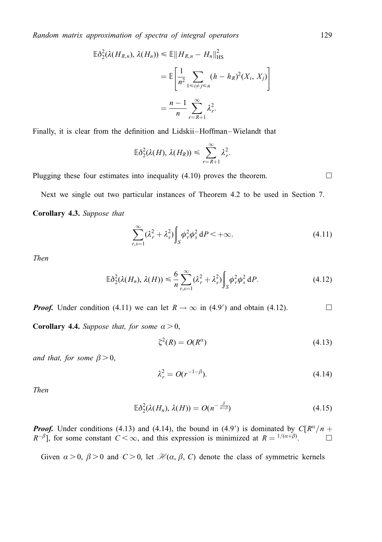$$
\mathbb{E}\delta_2^2(\lambda(H_{R,n}), \lambda(H_n)) \le \mathbb{E}||H_{R,n} - H_n||_{\text{HS}}^2
$$

$$
= \mathbb{E}\left[\frac{1}{n^2} \sum_{1 \le i \ne j \le n} (h - h_R)^2(X_i, X_j)\right]
$$

$$
= \frac{n-1}{n} \sum_{r=R+1}^{\infty} \lambda_r^2.
$$

Finally, it is clear from the definition and Lidskii–Hoffman–Wielandt that

$$
\mathbb{E}\delta_2^2(\lambda(H),\lambda(H_R))\leqslant \sum_{r=R+1}^\infty \lambda_r^2.
$$

Plugging these four estimates into inequality  $(4.10)$  proves the theorem.

Next we single out two particular instances of Theorem 4.2 to be used in Section 7. Corollary 4.3. Suppose that

$$
\sum_{r,s=1}^{\infty} (\lambda_r^2 + \lambda_s^2) \int_S \phi_r^2 \phi_s^2 dP < +\infty.
$$
 (4.11)

**Then** 

$$
\mathbb{E}\delta_2^2(\lambda(H_n),\,\lambda(H)) \leq \frac{6}{n}\sum_{r,s=1}^{\infty}(\lambda_r^2+\lambda_s^2)\int_S\phi_r^2\phi_s^2\,\mathrm{d}P.\tag{4.12}
$$

**Proof.** Under condition (4.11) we can let  $R \to \infty$  in (4.9') and obtain (4.12).  $\Box$ 

**Corollary 4.4.** Suppose that, for some  $\alpha > 0$ ,

$$
\zeta^2(R) = O(R^{\alpha})\tag{4.13}
$$

and that, for some  $\beta > 0$ ,

$$
\lambda_r^2 = O(r^{-1-\beta}).\tag{4.14}
$$

**Then** 

$$
\mathbb{E}\delta_2^2(\lambda(H_n),\,\lambda(H))=O(n^{-\frac{\beta}{\alpha+\beta}})\tag{4.15}
$$

**Proof.** Under conditions (4.13) and (4.14), the bound in (4.9') is dominated by  $C[R^{\alpha}/n + R^{-\beta}]$ , for some constant  $C < \infty$ , and this expression is minimized at  $R = \frac{1}{(\alpha+\beta)}$ .

Given  $\alpha > 0$ ,  $\beta > 0$  and  $C > 0$ , let  $\mathcal{H}(\alpha, \beta, C)$  denote the class of symmetric kernels

 $\Box$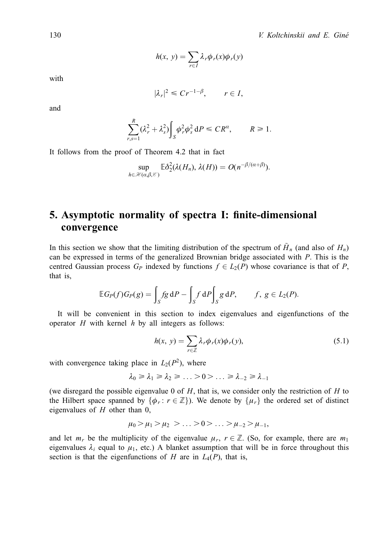$$
h(x, y) = \sum_{r \in I} \lambda_r \phi_r(x) \phi_r(y)
$$

with

$$
|\lambda_r|^2 \leq Cr^{-1-\beta}, \qquad r \in I,
$$

and

$$
\sum_{r,s=1}^R (\lambda_r^2 + \lambda_s^2) \int_S \phi_r^2 \phi_s^2 dP \leq C R^{\alpha}, \qquad R \geq 1.
$$

It follows from the proof of Theorem 4.2 that in fact

$$
\sup_{h \in \mathcal{H}(\alpha,\beta,\mathcal{E})} \mathbb{E} \delta_2^2(\lambda(H_n),\,\lambda(H)) = O(n^{-\beta/(\alpha+\beta)}).
$$

# 5. Asymptotic normality of spectra I: finite-dimensional convergence

In this section we show that the limiting distribution of the spectrum of  $\tilde{H}_n$  (and also of  $H_n$ ) can be expressed in terms of the generalized Brownian bridge associated with  $P$ . This is the centred Gaussian process  $G_P$  indexed by functions  $f \in L_2(P)$  whose covariance is that of P, that is,

$$
\mathbb{E} G_P(f) G_P(g) = \int_S fg \, dP - \int_S f \, dP \int_S g \, dP, \qquad f, g \in L_2(P).
$$

It will be convenient in this section to index eigenvalues and eigenfunctions of the operator  $H$  with kernel  $h$  by all integers as follows:

$$
h(x, y) = \sum_{r \in \mathbb{Z}} \lambda_r \phi_r(x) \phi_r(y), \qquad (5.1)
$$

with convergence taking place in  $L_2(P^2)$ , where

$$
\lambda_0 \geq \lambda_1 \geq \lambda_2 \geq \ldots > 0 \geq \ldots \geq \lambda_{-2} \geq \lambda_{-1}
$$

(we disregard the possible eigenvalue 0 of  $H$ , that is, we consider only the restriction of  $H$  to the Hilbert space spanned by  $\{\phi_r : r \in \mathbb{Z}\}\)$ . We denote by  $\{\mu_r\}$  the ordered set of distinct eigenvalues of  $H$  other than 0,

$$
\mu_0 > \mu_1 > \mu_2 > \ldots > 0 > \ldots > \mu_{-2} > \mu_{-1}
$$

and let  $m_r$  be the multiplicity of the eigenvalue  $\mu_r$ ,  $r \in \mathbb{Z}$ . (So, for example, there are  $m_1$ eigenvalues  $\lambda_i$  equal to  $\mu_1$ , etc.) A blanket assumption that will be in force throughout this section is that the eigenfunctions of H are in  $L_4(P)$ , that is,

130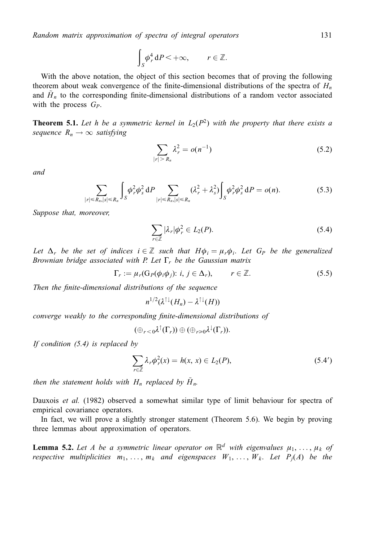$$
\int_{S} \phi_r^4 dP < +\infty, \qquad r \in \mathbb{Z}.
$$

With the above notation, the object of this section becomes that of proving the following theorem about weak convergence of the finite-dimensional distributions of the spectra of  $H_n$ and  $\tilde{H}_n$  to the corresponding finite-dimensional distributions of a random vector associated with the process  $G_P$ .

**Theorem 5.1.** Let h be a symmetric kernel in  $L_2(P^2)$  with the property that there exists a sequence  $R_n \rightarrow \infty$  satisfying

$$
\sum_{|r| > R_n} \lambda_r^2 = o(n^{-1})
$$
\n(5.2)

and

$$
\sum_{|r| \le R_n, |s| \le R_n} \int_S \phi_r^2 \phi_s^2 \, dP \sum_{|r| \le R_n, |s| \le R_n} (\lambda_r^2 + \lambda_s^2) \int_S \phi_r^2 \phi_s^2 \, dP = o(n). \tag{5.3}
$$

Suppose that, moreover,

$$
\sum_{r \in \mathbb{Z}} |\lambda_r| \phi_r^2 \in L_2(P). \tag{5.4}
$$

Let  $\Delta_r$  be the set of indices  $i \in \mathbb{Z}$  such that  $H\phi_i = \mu_r \phi_i$ . Let  $G_P$  be the generalized Brownian bridge associated with P. Let  $\Gamma_r$  be the Gaussian matrix

$$
\Gamma_r := \mu_r(\mathcal{G}_P(\phi_i \phi_j)) \colon i, j \in \Delta_r), \qquad r \in \mathbb{Z}.
$$

Then the finite-dimensional distributions of the sequence

 $n^{1/2}(\lambda^{\uparrow\downarrow}(H_n)-\lambda^{\uparrow\downarrow}(H))$ 

converge weakly to the corresponding finite-dimensional distributions of

 $(\oplus_{r<0}\lambda^{\uparrow}(\Gamma_r))\oplus(\oplus_{r\geq0}\lambda^{\downarrow}(\Gamma_r)).$ 

If condition  $(5.4)$  is replaced by

$$
\sum_{r \in \mathbb{Z}} \lambda_r \phi_r^2(x) = h(x, x) \in L_2(P), \tag{5.4'}
$$

then the statement holds with  $H_n$  replaced by  $\hat{H}_n$ .

Dauxois et al. (1982) observed a somewhat similar type of limit behaviour for spectra of empirical covariance operators.

In fact, we will prove a slightly stronger statement (Theorem 5.6). We begin by proving three lemmas about approximation of operators.

**Lemma 5.2.** Let A be a symmetric linear operator on  $\mathbb{R}^d$  with eigenvalues  $\mu_1, \ldots, \mu_k$  of respective multiplicities  $m_1, \ldots, m_k$  and eigenspaces  $W_1, \ldots, W_k$ . Let  $P_i(A)$  be the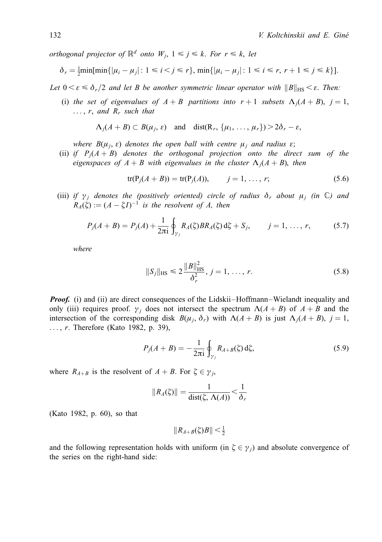orthogonal projector of  $\mathbb{R}^d$  onto  $W_i$ ,  $1 \leq j \leq k$ . For  $r \leq k$ , let

$$
\delta_r = \frac{1}{2} \min[\min\{|\mu_i - \mu_j| : 1 \le i < j \le r\}, \min\{|\mu_i - \mu_j| : 1 \le i \le r, r+1 \le j \le k\}].
$$

Let  $0 < \varepsilon \leq \delta_r/2$  and let B be another symmetric linear operator with  $||B||_{\text{HS}} < \varepsilon$ . Then:

(i) the set of eigenvalues of  $A + B$  partitions into  $r + 1$  subsets  $\Lambda_i(A + B)$ ,  $j = 1$ ,  $\ldots$ , r, and  $R_r$  such that

$$
\Lambda_j(A + B) \subset B(\mu_j, \varepsilon) \quad \text{and} \quad \text{dist}(\mathbb{R}_r, \{\mu_1, \ldots, \mu_r\}) > 2\delta_r - \varepsilon,
$$

where  $B(\mu_j, \varepsilon)$  denotes the open ball with centre  $\mu_j$  and radius  $\varepsilon$ ;

(ii) if  $P_i(A + B)$  denotes the orthogonal projection onto the direct sum of the eigenspaces of  $A + B$  with eigenvalues in the cluster  $\Lambda_i(A + B)$ , then

$$
tr(P_j(A + B)) = tr(P_j(A)),
$$
  $j = 1, ..., r;$  (5.6)

(iii) if  $\gamma_i$  denotes the (positively oriented) circle of radius  $\delta_r$  about  $\mu_i$  (in  $\mathbb{C}$ ) and  $R_A(\xi) := (A - \xi I)^{-1}$  is the resolvent of A, then

$$
P_j(A + B) = P_j(A) + \frac{1}{2\pi i} \oint_{\gamma_j} R_A(\zeta) BR_A(\zeta) d\zeta + S_j, \qquad j = 1, ..., r,
$$
 (5.7)

where

$$
||S_j||_{\text{HS}} \le 2 \frac{||B||_{\text{HS}}^2}{\delta_r^2}, \ j = 1, \dots, r. \tag{5.8}
$$

**Proof.** (i) and (ii) are direct consequences of the Lidskii–Hoffmann–Wielandt inequality and only (iii) requires proof.  $\gamma_i$  does not intersect the spectrum  $\Lambda(A + B)$  of  $A + B$  and the intersection of the corresponding disk  $B(\mu_i, \delta_r)$  with  $\Lambda(A + B)$  is just  $\Lambda_i(A + B)$ , j = 1, ..., *r*. Therefore (Kato 1982, p. 39),

$$
P_j(A + B) = -\frac{1}{2\pi i} \oint_{\gamma_j} R_{A+B}(\xi) d\xi,
$$
 (5.9)

where  $R_{A+B}$  is the resolvent of  $A + B$ . For  $\zeta \in \gamma_i$ ,

$$
||R_A(\zeta)|| = \frac{1}{\text{dist}(\zeta, \Lambda(A))} < \frac{1}{\delta_r}
$$

(Kato 1982, p. 60), so that

$$
||R_{A+B}(\zeta)B|| < \frac{1}{2}
$$

and the following representation holds with uniform (in  $\zeta \in \gamma_i$ ) and absolute convergence of the series on the right-hand side: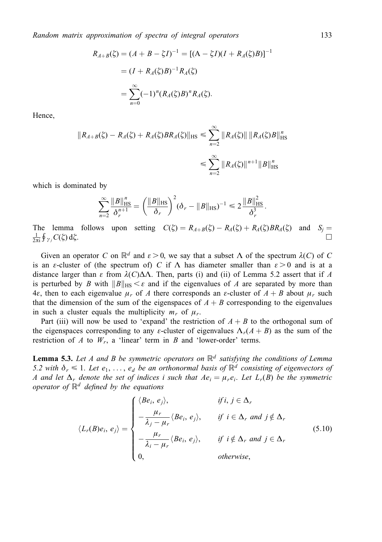$$
R_{A+B}(\xi) = (A + B - \xi I)^{-1} = [(A - \xi I)(I + R_A(\xi)B)]^{-1}
$$
  
=  $(I + R_A(\xi)B)^{-1}R_A(\xi)$   
=  $\sum_{n=0}^{\infty} (-1)^n (R_A(\xi)B)^n R_A(\xi).$ 

Hence,

$$
||R_{A+B}(\zeta) - R_A(\zeta) + R_A(\zeta)BR_A(\zeta)||_{\text{HS}} \le \sum_{n=2}^{\infty} ||R_A(\zeta)|| ||R_A(\zeta)B||_{\text{HS}}^n
$$
  

$$
\le \sum_{n=2}^{\infty} ||R_A(\zeta)||^{n+1} ||B||_{\text{HS}}^n
$$

which is dominated by

$$
\sum_{n=2}^{\infty} \frac{\|B\|_{\text{HS}}^n}{\delta_r^{n+1}} = \left(\frac{\|B\|_{\text{HS}}}{\delta_r}\right)^2 (\delta_r - \|B\|_{\text{HS}})^{-1} \leq 2 \frac{\|B\|_{\text{HS}}^2}{\delta_r^3}.
$$

The lemma follows upon setting  $C(\zeta) = R_{A+B}(\zeta) - R_A(\zeta) + R_A(\zeta)BR_A(\zeta)$  and  $S_j = \frac{1}{\zeta} \int_{\zeta}^{\zeta} C(\zeta) d\zeta$  $\frac{1}{2\pi i} \oint \gamma_j C(\xi) d\xi.$ 

Given an operator C on  $\mathbb{R}^d$  and  $\varepsilon > 0$ , we say that a subset  $\Lambda$  of the spectrum  $\lambda(C)$  of C is an  $\varepsilon$ -cluster of (the spectrum of) C if  $\Lambda$  has diameter smaller than  $\varepsilon > 0$  and is at a distance larger than  $\varepsilon$  from  $\lambda(C)\Delta\Lambda$ . Then, parts (i) and (ii) of Lemma 5.2 assert that if A is perturbed by B with  $||B||_{HS} \leq \varepsilon$  and if the eigenvalues of A are separated by more than 4 $\varepsilon$ , then to each eigenvalue  $\mu_r$  of A there corresponds an  $\varepsilon$ -cluster of  $A + B$  about  $\mu_r$  such that the dimension of the sum of the eigenspaces of  $A + B$  corresponding to the eigenvalues in such a cluster equals the multiplicity  $m_r$  of  $\mu_r$ .

Part (iii) will now be used to 'expand' the restriction of  $A + B$  to the orthogonal sum of the eigenspaces corresponding to any  $\varepsilon$ -cluster of eigenvalues  $\Lambda_r(A + B)$  as the sum of the restriction of A to  $W_r$ , a 'linear' term in B and 'lower-order' terms.

**Lemma 5.3.** Let A and B be symmetric operators on  $\mathbb{R}^d$  satisfying the conditions of Lemma 5.2 with  $\delta_r \leq 1$ . Let  $e_1, \ldots, e_d$  be an orthonormal basis of  $\mathbb{R}^d$  consisting of eigenvectors of A and let  $\Delta_r$  denote the set of indices i such that  $Ae_i = \mu_r e_i$ . Let  $L_r(B)$  be the symmetric operator of  $\mathbb{R}^d$  defined by the equations

$$
\langle L_r(B)e_i, e_j \rangle = \begin{cases} \langle Be_i, e_j \rangle, & \text{if } i, j \in \Delta_r \\ -\frac{\mu_r}{\lambda_j - \mu_r} \langle Be_i, e_j \rangle, & \text{if } i \in \Delta_r \text{ and } j \notin \Delta_r \\ -\frac{\mu_r}{\lambda_i - \mu_r} \langle Be_i, e_j \rangle, & \text{if } i \notin \Delta_r \text{ and } j \in \Delta_r \\ 0, & \text{otherwise,} \end{cases}
$$
(5.10)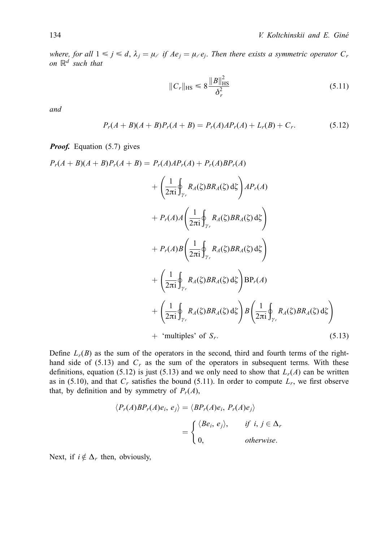where, for all  $1 \le j \le d$ ,  $\lambda_j = \mu_{\ell}$  if  $Ae_j = \mu_{\ell}e_j$ . Then there exists a symmetric operator  $C_r$ on  $\mathbb{R}^d$  such that

$$
||C_r||_{\text{HS}} \le 8 \frac{||B||_{\text{HS}}^2}{\delta_r^2}
$$
 (5.11)

and

$$
P_r(A + B)(A + B)P_r(A + B) = P_r(A)AP_r(A) + L_r(B) + C_r.
$$
 (5.12)

**Proof.** Equation (5.7) gives

$$
P_r(A + B)(A + B)P_r(A + B) = P_r(A)AP_r(A) + P_r(A)BP_r(A)
$$
  
+ 
$$
\left(\frac{1}{2\pi i}\oint_{\gamma_r} R_A(\zeta)BR_A(\zeta) d\zeta\right)AP_r(A)
$$
  
+ 
$$
P_r(A)A\left(\frac{1}{2\pi i}\oint_{\gamma_r} R_A(\zeta)BR_A(\zeta) d\zeta\right)
$$
  
+ 
$$
P_r(A)B\left(\frac{1}{2\pi i}\oint_{\gamma_r} R_A(\zeta)BR_A(\zeta) d\zeta\right)
$$
  
+ 
$$
\left(\frac{1}{2\pi i}\oint_{\gamma_r} R_A(\zeta)BR_A(\zeta) d\zeta\right)BP_r(A)
$$
  
+ 
$$
\left(\frac{1}{2\pi i}\oint_{\gamma_r} R_A(\zeta)BR_A(\zeta) d\zeta\right)B\left(\frac{1}{2\pi i}\oint_{\gamma_r} R_A(\zeta)BR_A(\zeta) d\zeta\right)
$$
  
+ 'multiples' of  $S_r$ . (5.13)

Define  $L_r(B)$  as the sum of the operators in the second, third and fourth terms of the righthand side of  $(5.13)$  and  $C_r$  as the sum of the operators in subsequent terms. With these definitions, equation (5.12) is just (5.13) and we only need to show that  $L_r(A)$  can be written as in (5.10), and that  $C_r$  satisfies the bound (5.11). In order to compute  $L_r$ , we first observe that, by definition and by symmetry of  $P_r(A)$ ,

$$
\langle P_r(A)BP_r(A)e_i, e_j \rangle = \langle BP_r(A)e_i, P_r(A)e_j \rangle
$$

$$
= \begin{cases} \langle Be_i, e_j \rangle, & \text{if } i, j \in \Delta_r \\ 0, & \text{otherwise.} \end{cases}
$$

Next, if  $i \notin \Delta_r$  then, obviously,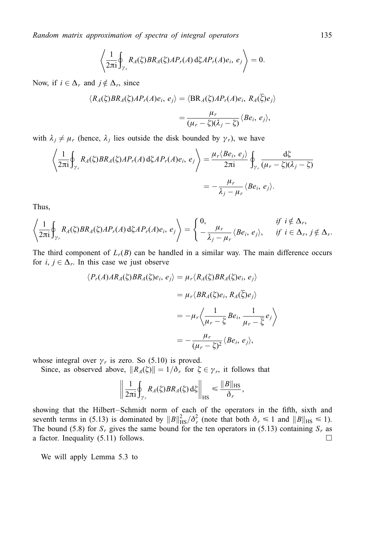$$
\left\langle \frac{1}{2\pi i} \oint_{\gamma_r} R_A(\zeta) BR_A(\zeta) AP_r(A) d\zeta AP_r(A) e_i, e_j \right\rangle = 0.
$$

Now, if  $i \in \Delta_r$  and  $j \notin \Delta_r$ , since

$$
\langle R_A(\zeta)BR_A(\zeta)AP_r(A)e_i, e_j \rangle = \langle BR_A(\zeta)AP_r(A)e_i, R_A(\overline{\zeta})e_j \rangle
$$
  

$$
= \frac{\mu_r}{(\mu_r - \zeta)(\lambda_j - \zeta)} \langle Be_i, e_j \rangle,
$$

with  $\lambda_j \neq \mu_r$  (hence,  $\lambda_j$  lies outside the disk bounded by  $\gamma_r$ ), we have

$$
\left\langle \frac{1}{2\pi i} \oint_{\gamma_r} R_A(\xi) BR_A(\xi) AP_r(A) d\xi AP_r(A) e_i, e_j \right\rangle = \frac{\mu_r \langle Be_i, e_j \rangle}{2\pi i} \oint_{\gamma_r} \frac{d\xi}{(\mu_r - \xi)(\lambda_j - \xi)}
$$
  
= 
$$
-\frac{\mu_r}{\lambda_j - \mu_r} \langle Be_i, e_j \rangle.
$$

Thus,

$$
\left\langle \frac{1}{2\pi i} \oint_{\gamma_r} R_A(\zeta) BR_A(\zeta) AP_r(A) d\zeta AP_r(A) e_i, e_j \right\rangle = \left\{ \begin{array}{ll} 0, & \text{if } i \notin \Delta_r, \\ -\frac{\mu_r}{\lambda_j - \mu_r} \langle Be_i, e_j \rangle, & \text{if } i \in \Delta_r, j \notin \Delta_r. \end{array} \right.
$$

The third component of  $L_r(B)$  can be handled in a similar way. The main difference occurs for  $i, j \in \Delta_r$ . In this case we just observe

$$
\langle P_r(A)AR_A(\zeta)BR_A(\zeta)e_i, e_j \rangle = \mu_r \langle R_A(\zeta)BR_A(\zeta)e_i, e_j \rangle
$$
  

$$
= \mu_r \langle BR_A(\zeta)e_i, R_A(\overline{\zeta})e_j \rangle
$$
  

$$
= -\mu_r \langle \frac{1}{\mu_r - \overline{\zeta}}Be_i, \frac{1}{\mu_r - \overline{\zeta}}e_j \rangle
$$
  

$$
= -\frac{\mu_r}{(\mu_r - \zeta)^2} \langle Be_i, e_j \rangle,
$$

whose integral over  $\gamma_r$  is zero. So (5.10) is proved.

Since, as observed above,  $||R_A(\xi)|| = 1/\delta_r$  for  $\xi \in \gamma_r$ , it follows that

$$
\left\|\frac{1}{2\pi \mathrm{i}}\oint_{\gamma_r} R_A(\zeta) BR_A(\zeta) \,\mathrm{d}\zeta\right\|_{\mathrm{HS}} \leq \frac{\|B\|_{\mathrm{HS}}}{\delta_r},
$$

showing that the Hilbert-Schmidt norm of each of the operators in the fifth, sixth and seventh terms in (5.13) is dominated by  $||B||_{\text{HS}}^2/\delta_r^2$  (note that both  $\delta_r \le 1$  and  $||B||_{\text{HS}} \le 1$ ). The bound (5.8) for  $S_r$  gives the same bound for the ten operators in (5.13) containing  $S_r$  as a factor. Inequality  $(5.11)$  follows.

We will apply Lemma 5.3 to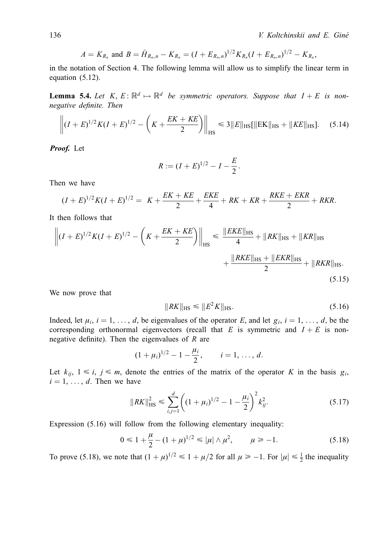$$
A = K_{R_n} \text{ and } B = \hat{H}_{R_n,n} - K_{R_n} = (I + E_{R_n,n})^{1/2} K_{R_n} (I + E_{R_n,n})^{1/2} - K_{R_n},
$$

in the notation of Section 4. The following lemma will allow us to simplify the linear term in equation (5.12).

**Lemma 5.4.** Let  $K, E: \mathbb{R}^d \mapsto \mathbb{R}^d$  be symmetric operators. Suppose that  $I + E$  is nonnegative definite. Then

$$
\left\| (I+E)^{1/2} K (I+E)^{1/2} - \left( K + \frac{EK + KE}{2} \right) \right\|_{\text{HS}} \leq 3 \|E\|_{\text{HS}} [\|\text{EK}\|_{\text{HS}} + \|KE\|_{\text{HS}}]. \tag{5.14}
$$

Proof. Let

$$
R := (I + E)^{1/2} - I - \frac{E}{2}.
$$

Then we have

$$
(I+E)^{1/2}K(I+E)^{1/2} = K + \frac{EK+KE}{2} + \frac{EKE}{4} + RK + KR + \frac{RKE + EKR}{2} + RKR.
$$

It then follows that

$$
\left\| (I+E)^{1/2} K (I+E)^{1/2} - \left( K + \frac{EK + KE}{2} \right) \right\|_{\text{HS}} \le \frac{\| EKE \|_{\text{HS}}}{4} + \| RK \|_{\text{HS}} + \| KR \|_{\text{HS}} + \| KR \|_{\text{HS}} + \| KR \|_{\text{HS}} + \| KR \|_{\text{HS}} + \| KR \|_{\text{HS}} \right) + \frac{\| RKE \|_{\text{HS}} + \| EKR \|_{\text{HS}}}{2} + \| RKR \|_{\text{HS}} \tag{5.15}
$$

We now prove that

$$
||RK||_{\text{HS}} \leq ||E^2 K||_{\text{HS}}.\tag{5.16}
$$

Indeed, let  $\mu_i$ ,  $i = 1, \ldots, d$ , be eigenvalues of the operator E, and let  $g_i$ ,  $i = 1, \ldots, d$ , be the corresponding orthonormal eigenvectors (recall that E is symmetric and  $I + E$  is nonnegative definite). Then the eigenvalues of  $R$  are

$$
(1 + \mu_i)^{1/2} - 1 - \frac{\mu_i}{2}, \qquad i = 1, ..., d.
$$

Let  $k_{ij}$ ,  $1 \le i, j \le m$ , denote the entries of the matrix of the operator K in the basis  $g_i$ ,  $i = 1, \ldots, d$ . Then we have

$$
||RK||_{\text{HS}}^2 \le \sum_{i,j=1}^d \left( (1 + \mu_i)^{1/2} - 1 - \frac{\mu_i}{2} \right)^2 k_{ij}^2. \tag{5.17}
$$

Expression (5.16) will follow from the following elementary inequality:

$$
0 \le 1 + \frac{\mu}{2} - (1 + \mu)^{1/2} \le |\mu| \wedge \mu^2, \qquad \mu \ge -1. \tag{5.18}
$$

To prove (5.18), we note that  $(1 + \mu)^{1/2} \le 1 + \mu/2$  for all  $\mu \ge -1$ . For  $|\mu| \le \frac{1}{2}$  the inequality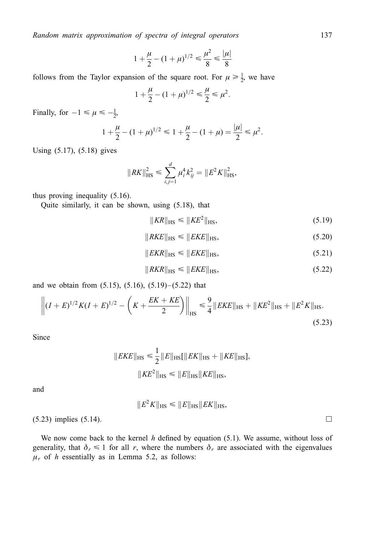$$
1 + \frac{\mu}{2} - (1 + \mu)^{1/2} \le \frac{\mu^2}{8} \le \frac{|\mu|}{8}
$$

follows from the Taylor expansion of the square root. For  $\mu \ge \frac{1}{2}$ , we have

$$
1 + \frac{\mu}{2} - (1 + \mu)^{1/2} \le \frac{\mu}{2} \le \mu^2.
$$

Finally, for  $-1 \leq \mu \leq -\frac{1}{2}$ ,

$$
1 + \frac{\mu}{2} - (1 + \mu)^{1/2} \le 1 + \frac{\mu}{2} - (1 + \mu) = \frac{|\mu|}{2} \le \mu^2.
$$

Using (5.17), (5.18) gives

$$
||RK||_{\text{HS}}^2 \le \sum_{i,j=1}^d \mu_i^4 k_{ij}^2 = ||E^2 K||_{\text{HS}}^2,
$$

thus proving inequality (5.16).

Quite similarly, it can be shown, using (5.18), that

$$
||KR||_{\text{HS}} \le ||KE^2||_{\text{HS}},\tag{5.19}
$$

$$
||RKE||_{\text{HS}} \le ||EKE||_{\text{HS}},\tag{5.20}
$$

$$
||EKR||_{\text{HS}} \le ||EKE||_{\text{HS}},\tag{5.21}
$$

$$
||RKR||_{\text{HS}} \le ||EKE||_{\text{HS}},\tag{5.22}
$$

and we obtain from  $(5.15)$ ,  $(5.16)$ ,  $(5.19)–(5.22)$  that

$$
\left\| (I+E)^{1/2} K (I+E)^{1/2} - \left( K + \frac{EK + KE}{2} \right) \right\|_{\text{HS}} \leq \frac{9}{4} \| EKE \|_{\text{HS}} + \| KE^2 \|_{\text{HS}} + \| E^2 K \|_{\text{HS}}.
$$
\n(5.23)

Since

$$
||EKE||_{\text{HS}} \le \frac{1}{2} ||E||_{\text{HS}}[||EK||_{\text{HS}} + ||KE||_{\text{HS}}],
$$
  

$$
||KE^2||_{\text{HS}} \le ||E||_{\text{HS}}||KE||_{\text{HS}},
$$

1

and

$$
||E^2K||_{\text{HS}} \leq ||E||_{\text{HS}}||EK||_{\text{HS}},
$$

 $(5.23)$  implies  $(5.14)$ .

We now come back to the kernel  $h$  defined by equation (5.1). We assume, without loss of generality, that  $\delta_r \leq 1$  for all r, where the numbers  $\delta_r$  are associated with the eigenvalues  $\mu_r$  of h essentially as in Lemma 5.2, as follows: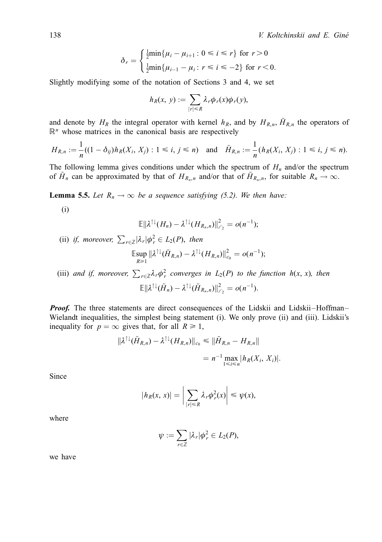$$
\delta_r = \begin{cases} \frac{1}{2} \min\{\mu_i - \mu_{i+1} : 0 \le i \le r\} & \text{for } r > 0\\ \frac{1}{2} \min\{\mu_{i-1} - \mu_i : r \le i \le -2\} & \text{for } r < 0. \end{cases}
$$

Slightly modifying some of the notation of Sections 3 and 4, we set

$$
h_R(x, y) := \sum_{|r| \le R} \lambda_r \phi_r(x) \phi_r(y),
$$

and denote by  $H_R$  the integral operator with kernel  $h_R$ , and by  $H_{R,n}$ ,  $\tilde{H}_{R,n}$  the operators of  $\mathbb{R}^n$  whose matrices in the canonical basis are respectively

$$
H_{R,n} := \frac{1}{n}((1 - \delta_{ij})h_R(X_i, X_j) : 1 \le i, j \le n) \text{ and } \tilde{H}_{R,n} := \frac{1}{n}(h_R(X_i, X_j) : 1 \le i, j \le n).
$$

The following lemma gives conditions under which the spectrum of  $H_n$  and/or the spectrum of  $\tilde{H}_n$  can be approximated by that of  $H_{R_n,n}$  and/or that of  $\tilde{H}_{R_n,n}$ , for suitable  $R_n \to \infty$ .

**Lemma 5.5.** Let  $R_n \to \infty$  be a sequence satisfying (5.2). We then have:

 $(i)$ 

$$
\mathbb{E}\|\lambda^{\uparrow\downarrow}(H_n)-\lambda^{\uparrow\downarrow}(H_{R_n,n})\|_{\ell_2}^2=o(n^{-1});
$$

(ii) if, moreover,  $\sum_{r \in \mathbb{Z}} |\lambda_r| \phi_r^2 \in L_2(P)$ , then

$$
\operatorname{Exp}_{R\geq 1} \|\lambda^{\uparrow\downarrow}(\tilde{H}_{R,n}) - \lambda^{\uparrow\downarrow}(H_{R,n})\|_{c_0}^2 = o(n^{-1});
$$

(iii) and if, moreover,  $\sum_{r \in \mathbb{Z}} \lambda_r \phi_r^2$  converges in  $L_2(P)$  to the function  $h(x, x)$ , then  $\mathbb{E} \|\lambda^{\uparrow\downarrow}(\tilde{H}_n)-\lambda^{\uparrow\downarrow}(\tilde{H}_{R_n,n})\|_{\ell_2}^2=o(n^{-1}).$ 

**Proof.** The three statements are direct consequences of the Lidskii and Lidskii–Hoffman– Wielandt inequalities, the simplest being statement (i). We only prove (ii) and (iii). Lidskii's inequality for  $p = \infty$  gives that, for all  $R \ge 1$ ,

$$
\begin{aligned} \|\lambda^{\uparrow\downarrow}(\tilde{H}_{R,n}) - \lambda^{\uparrow\downarrow}(H_{R,n})\|_{c_0} &\leq \|\tilde{H}_{R,n} - H_{R,n}\| \\ &= n^{-1} \max_{1 \leq i \leq n} |h_R(X_i, X_i)|. \end{aligned}
$$

Since

$$
|h_R(x, x)| = \bigg|\sum_{|r| \le R} \lambda_r \phi_r^2(x)\bigg| \le \psi(x),
$$

where

$$
\psi:=\sum_{r\in\mathbb{Z}}|\lambda_r|\phi_r^2\in L_2(P)
$$

we have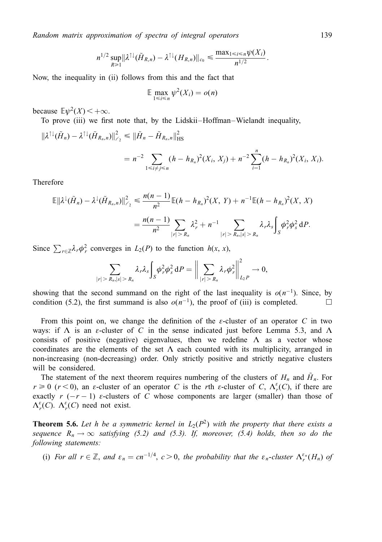$$
n^{1/2}\sup_{R\geq 1} \|\lambda^{\uparrow\downarrow}(\tilde{H}_{R,n})-\lambda^{\uparrow\downarrow}(H_{R,n})\|_{c_0}\leq \frac{\max_{1\leq i\leq n}\psi(X_i)}{n^{1/2}}.
$$

Now, the inequality in (ii) follows from this and the fact that

$$
\mathbb{E} \max_{1 \leq i \leq n} \psi^2(X_i) = o(n)
$$

because  $E\psi^2(X)$  <  $+\infty$ .

To prove (iii) we first note that, by the Lidskii–Hoffman–Wielandt inequality,

$$
\|\lambda^{\uparrow\downarrow}(\tilde{H}_n) - \lambda^{\uparrow\downarrow}(\tilde{H}_{R_n,n})\|_{\ell_2}^2 \le \|\tilde{H}_n - \tilde{H}_{R_n,n}\|_{\text{HS}}^2
$$
  
=  $n^{-2} \sum_{1 \le i \ne j \le n} (h - h_{R_n})^2(X_i, X_j) + n^{-2} \sum_{i=1}^n (h - h_{R_n})^2(X_i, X_i).$ 

Therefore

$$
\mathbb{E}||\lambda^{\downarrow}(\tilde{H}_n) - \lambda^{\downarrow}(\tilde{H}_{R_n,n})||_{\ell_2}^2 \le \frac{n(n-1)}{n^2} \mathbb{E}(h - h_{R_n})^2(X, Y) + n^{-1} \mathbb{E}(h - h_{R_n})^2(X, X)
$$

$$
= \frac{n(n-1)}{n^2} \sum_{|r| > R_n} \lambda_r^2 + n^{-1} \sum_{|r| > R_n, |s| > R_n} \lambda_r \lambda_s \int_S \phi_r^2 \phi_s^2 dP.
$$

Since  $\sum_{r \in \mathbb{Z}} \lambda_r \phi_r^2$  converges in  $L_2(P)$  to the function  $h(x, x)$ ,

$$
\sum_{|r|>R_n,|s|>R_n}\lambda_r\lambda_s\int_{S}\phi_r^2\phi_s^2 dP=\bigg\|\sum_{|r|>R_n}\lambda_r\phi_r^2\bigg\|_{L_2P}^2\to 0,
$$

showing that the second summand on the right of the last inequality is  $o(n^{-1})$ . Since, by condition (5.2), the first summand is also  $o(n^{-1})$ , the proof of (iii) is completed.

From this point on, we change the definition of the  $\varepsilon$ -cluster of an operator C in two ways: if  $\Lambda$  is an  $\varepsilon$ -cluster of C in the sense indicated just before Lemma 5.3, and  $\Lambda$ consists of positive (negative) eigenvalues, then we redefine  $\Lambda$  as a vector whose coordinates are the elements of the set  $\Lambda$  each counted with its multiplicity, arranged in non-increasing (non-decreasing) order. Only strictly positive and strictly negative clusters will be considered.

The statement of the next theorem requires numbering of the clusters of  $H_n$  and  $H_n$ . For  $r \ge 0$  ( $r < 0$ ), an  $\varepsilon$ -cluster of an operator C is the rth  $\varepsilon$ -cluster of C,  $\Lambda_r^{\varepsilon}(C)$ , if there are exactly r  $(-r - 1)$   $\varepsilon$ -clusters of C whose components are larger (smaller) than those of  $\Lambda_r^{\varepsilon}(C)$ .  $\Lambda_r^{\varepsilon}(C)$  need not exist.

**Theorem 5.6.** Let h be a symmetric kernel in  $L_2(P^2)$  with the property that there exists a sequence  $R_n \to \infty$  satisfying (5.2) and (5.3). If, moreover, (5.4) holds, then so do the following statements:

(i) For all  $r \in \mathbb{Z}$ , and  $\varepsilon_n = cn^{-1/4}$ ,  $c > 0$ , the probability that the  $\varepsilon_n$ -cluster  $\Lambda_r^{\varepsilon_n}(H_n)$  of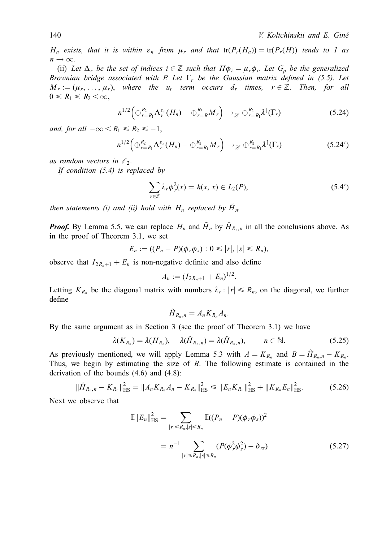$H_n$  exists, that it is within  $\varepsilon_n$  from  $\mu_r$  and that  $tr(P_r(H_n)) = tr(P_r(H))$  tends to 1 as  $n \rightarrow \infty$ .

(ii) Let  $\Delta_r$  be the set of indices  $i \in \mathbb{Z}$  such that  $H\phi_i = \mu_r \phi_i$ . Let  $G_p$  be the generalized Brownian bridge associated with P. Let  $\Gamma_r$  be the Gaussian matrix defined in (5.5). Let  $M_r := (\mu_r, \ldots, \mu_r)$ , where the  $u_r$  term occurs  $d_r$  times,  $r \in \mathbb{Z}$ . Then, for all  $0 \leq R_1 \leq R_2 < \infty$ ,

$$
n^{1/2}\left(\bigoplus_{r=R_1}^{R_2} \Lambda_r^{\varepsilon_n}(H_n) - \bigoplus_{r=R_1}^{R_2} M_r\right) \to_{\mathscr{L}} \bigoplus_{r=R_1}^{R_2} \lambda^{\downarrow}(\Gamma_r) \tag{5.24}
$$

and, for all  $-\infty < R_1 \le R_2 \le -1$ ,

$$
n^{1/2}\left(\bigoplus_{r=R_1}^{R_2}\Lambda_r^{\varepsilon_n}(H_n)-\bigoplus_{r=R_1}^{R_2}M_r\right)\to_{\mathscr{L}}\bigoplus_{r=R_1}^{R_2}\lambda^{\uparrow}(\Gamma_r)
$$
(5.24')

as random vectors in  $\ell_2$ .

If condition (5.4) is replaced by

$$
\sum_{r \in \mathbb{Z}} \lambda_r \phi_r^2(x) = h(x, x) \in L_2(P), \tag{5.4'}
$$

then statements (i) and (ii) hold with  $H_n$  replaced by  $\tilde{H}_n$ .

**Proof.** By Lemma 5.5, we can replace  $H_n$  and  $\tilde{H}_n$  by  $\tilde{H}_{R_n,n}$  in all the conclusions above. As in the proof of Theorem 3.1, we set

$$
E_n := ((P_n - P)(\phi_r \phi_s) : 0 \le |r|, |s| \le R_n),
$$

observe that  $I_{2R_n+1} + E_n$  is non-negative definite and also define

$$
A_n := (I_{2R_n+1} + E_n)^{1/2}.
$$

Letting  $K_{R_n}$  be the diagonal matrix with numbers  $\lambda_r : |r| \le R_n$ , on the diagonal, we further define

$$
\hat{H}_{R_n,n}=A_nK_{R_n}A_n.
$$

By the same argument as in Section 3 (see the proof of Theorem 3.1) we have

$$
\lambda(K_{R_n}) = \lambda(H_{R_n}), \quad \lambda(\hat{H}_{R_n,n}) = \lambda(\tilde{H}_{R_n,n}), \qquad n \in \mathbb{N}.
$$
 (5.25)

As previously mentioned, we will apply Lemma 5.3 with  $A = K_{R_n}$  and  $B = H_{R_n,n} - K_{R_n}$ . Thus, we begin by estimating the size of  $B$ . The following estimate is contained in the derivation of the bounds (4.6) and (4.8):

$$
\|\hat{H}_{R_n,n} - K_{R_n}\|_{\text{HS}}^2 = \|A_n K_{R_n} A_n - K_{R_n}\|_{\text{HS}}^2 \le \|E_n K_{R_n}\|_{\text{HS}}^2 + \|K_{R_n} E_n\|_{\text{HS}}^2. \tag{5.26}
$$

Next we observe that

$$
\mathbb{E}||E_n||_{\text{HS}}^2 = \sum_{|r| \le R_n, |s| \le R_n} \mathbb{E}((P_n - P)(\phi_r \phi_s))^2
$$
  
=  $n^{-1} \sum_{|r| \le R_n, |s| \le R_n} (P(\phi_r^2 \phi_s^2) - \delta_{rs})$  (5.27)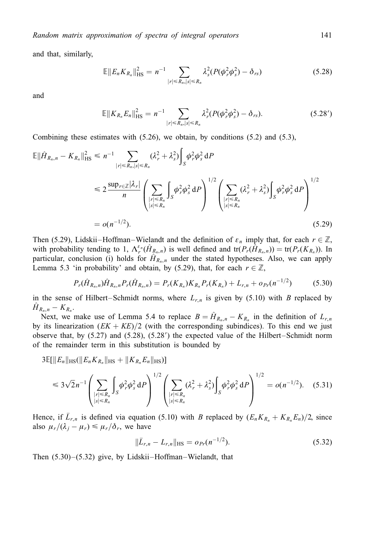and that, similarly,

$$
\mathbb{E}||E_n K_{R_n}||_{\text{HS}}^2 = n^{-1} \sum_{|r| \le R_n, |s| \le R_n} \lambda_s^2 (P(\phi_r^2 \phi_s^2) - \delta_{rs})
$$
(5.28)

and

$$
\mathbb{E}||K_{R_n}E_n||_{\text{HS}}^2 = n^{-1} \sum_{|r| \le R_n, |s| \le R_n} \lambda_r^2 (P(\phi_r^2 \phi_s^2) - \delta_{rs}). \tag{5.28'}
$$

Combining these estimates with  $(5.26)$ , we obtain, by conditions  $(5.2)$  and  $(5.3)$ ,

$$
\mathbb{E} \|\hat{H}_{R_n, n} - K_{R_n}\|_{\text{HS}}^2 \le n^{-1} \sum_{|r| \le R_n, |s| \le R_n} (\lambda_r^2 + \lambda_s^2) \int_S \phi_r^2 \phi_s^2 \, \mathrm{d}P
$$
\n
$$
\le 2 \frac{\sup_{r \in \mathbb{Z}} |\lambda_r|}{n} \left( \sum_{\substack{|r| \le R_n \\ |s| \le R_n}} \int_S \phi_r^2 \phi_s^2 \, \mathrm{d}P \right)^{1/2} \left( \sum_{\substack{|r| \le R_n \\ |s| \le R_n}} (\lambda_r^2 + \lambda_s^2) \int_S \phi_r^2 \phi_s^2 \, \mathrm{d}P \right)^{1/2}
$$
\n
$$
= o(n^{-1/2}). \tag{5.29}
$$

Then (5.29), Lidskii–Hoffman–Wielandt and the definition of  $\varepsilon_n$  imply that, for each  $r \in \mathbb{Z}$ , with probability tending to 1,  $\Lambda_r^{\varepsilon_n}(\hat{H}_{R_n,n})$  is well defined and  $tr(P_r(\tilde{H}_{R_n,n})) = tr(P_r(K_{R_n}))$ . In particular, conclusion (i) holds for  $\hat{H}_{R_n,n}$  under the stated hypotheses. Also, we can apply Lemma 5.3 'in probability' and obtain, by (5.29), that, for each  $r \in \mathbb{Z}$ ,

$$
P_r(\hat{H}_{R_n,n})\hat{H}_{R_n,n}P_r(\hat{H}_{R_n,n})=P_r(K_{R_n})K_{R_n}P_r(K_{R_n})+L_{r,n}+o_{Pr}(n^{-1/2})
$$
(5.30)

in the sense of Hilbert–Schmidt norms, where  $L_{r,n}$  is given by (5.10) with B replaced by  $H_{R_n,n} - K_{R_n}$ .

Next, we make use of Lemma 5.4 to replace  $B = \hat{H}_{R_n,n} - K_{R_n}$  in the definition of  $L_{r,n}$ by its linearization  $(EK + KE)/2$  (with the corresponding subindices). To this end we just observe that, by  $(5.27)$  and  $(5.28)$ ,  $(5.28')$  the expected value of the Hilbert–Schmidt norm of the remainder term in this substitution is bounded by

 $3\mathbb{E}[\Vert E_n\Vert_{\text{HS}}(\Vert E_nK_{R_n}\Vert_{\text{HS}} + \Vert K_{R_n}E_n\Vert_{\text{HS}})]$ 

$$
\leq 3\sqrt{2}n^{-1}\left(\sum_{\substack{|r|\leq R_n\\|s|\leq R_n}}\int_{S}\phi_r^2\phi_s^2 dP\right)^{1/2}\left(\sum_{\substack{|r|\leq R_n\\|s|\leq R_n}}(\lambda_r^2+\lambda_s^2)\int_{S}\phi_r^2\phi_s^2 dP\right)^{1/2}=o(n^{-1/2}).\quad (5.31)
$$

Hence, if  $L_{r,n}$  is defined via equation (5.10) with B replaced by  $(E_n K_{R_n} + K_{R_n} E_n)/2$ , since also  $\mu_r/(\lambda_i-\mu_r) \leq \mu_r/\delta_r$ , we have

$$
\|\bar{L}_{r,n} - L_{r,n}\|_{\text{HS}} = o_{Pr}(n^{-1/2}).\tag{5.32}
$$

Then  $(5.30)$ – $(5.32)$  give, by Lidskii–Hoffman–Wielandt, that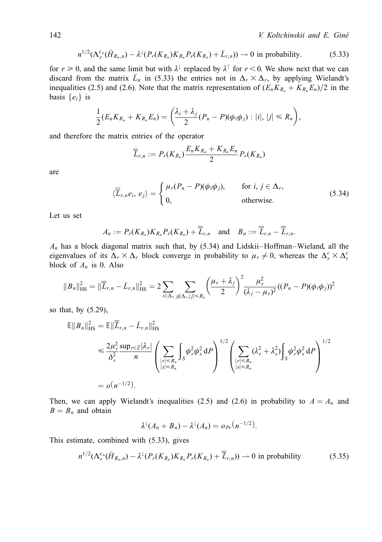142 V. Koltchinskii and E. Giné

$$
n^{1/2}(\Lambda_r^{\varepsilon_n}(\hat{H}_{R_n,n}) - \lambda^{\downarrow}(P_r(K_{R_n})K_{R_n}P_r(K_{R_n}) + \bar{L}_{r,n})) \to 0 \text{ in probability.}
$$
 (5.33)

for  $r \ge 0$ , and the same limit but with  $\lambda^{\downarrow}$  replaced by  $\lambda^{\uparrow}$  for  $r < 0$ . We show next that we can discard from the matrix  $\bar{L}_n$  in (5.33) the entries not in  $\Delta_r \times \Delta_r$ , by applying Wielandt's inequalities (2.5) and (2.6). Note that the matrix representation of  $(E_n K_{R_n} + K_{R_n} E_n)/2$  in the basis  $\{e_i\}$  is

$$
\frac{1}{2}(E_nK_{R_n}+K_{R_n}E_n)=\bigg(\frac{\lambda_i+\lambda_j}{2}(P_n-P)(\phi_i\phi_j):|i|,|j|\leq R_n\bigg),
$$

and therefore the matrix entries of the operator

$$
\overline{\overline{L}}_{r,n}:=P_r(K_{R_n})\frac{E_nK_{R_n}+K_{R_n}E_n}{2}P_r(K_{R_n})
$$

are

$$
\langle \overline{\overline{L}}_{r,n}e_i, e_j \rangle = \begin{cases} \mu_r(P_n - P)(\phi_i \phi_j), & \text{for } i, j \in \Delta_r, \\ 0, & \text{otherwise.} \end{cases}
$$
(5.34)

Let us set

$$
A_n := P_r(K_{R_n})K_{R_n}P_r(K_{R_n}) + \overline{\overline{L}}_{r,n} \text{ and } B_n := \overline{\overline{L}}_{r,n} - \overline{\overline{L}}_{r,n}.
$$

 $A_n$  has a block diagonal matrix such that, by (5.34) and Lidskii–Hoffman–Wieland, all the eigenvalues of its  $\Delta_r \times \Delta_r$  block converge in probability to  $\mu_r \neq 0$ , whereas the  $\Delta_r^c \times \Delta_r^c$ block of  $A_n$  is 0. Also

$$
||B_n||_{\text{HS}}^2 = ||\overline{\overline{L}}_{r,n} - \overline{L}_{r,n}||_{\text{HS}}^2 = 2 \sum_{i \in \Delta_r} \sum_{j \notin \Delta_r, |j| \le R_n} \left(\frac{\mu_r + \lambda_j}{2}\right)^2 \frac{\mu_r^2}{(\lambda_j - \mu_r)^2} ((P_n - P)(\phi_i \phi_j))^2
$$

so that, by (5.29),

$$
\mathbb{E}||B_n||_{\text{HS}}^2 = \mathbb{E}||\overline{L}_{r,n} - \overline{L}_{r,n}||_{\text{HS}}^2
$$
  
\n
$$
\leq \frac{2\mu_r^2 \sup_{r \in \mathbb{Z}} |\lambda_r|}{\delta_r^2} \left( \sum_{\substack{|r| \leq R_n \\ |s| \leq R_n}} \int_S \phi_r^2 \phi_s^2 dP \right)^{1/2} \left( \sum_{\substack{|r| \leq R_n \\ |s| \leq R_n}} (\lambda_r^2 + \lambda_s^2) \int_S \phi_r^2 \phi_s^2 dP \right)^{1/2}
$$
  
\n
$$
= o(n^{-1/2}).
$$

Then, we can apply Wielandt's inequalities (2.5) and (2.6) in probability to  $A = A_n$  and  $B = B_n$  and obtain

$$
\lambda^{\downarrow}(A_n + B_n) - \lambda^{\downarrow}(A_n) = o_{Pr}(n^{-1/2}).
$$

This estimate, combined with (5.33), gives

$$
n^{1/2}(\Lambda_r^{\varepsilon_n}(\hat{H}_{R_n,n}) - \lambda^{\downarrow}(P_r(K_{R_n})K_{R_n}P_r(K_{R_n}) + \overline{\overline{L}}_{r,n})) \to 0 \text{ in probability } (5.35)
$$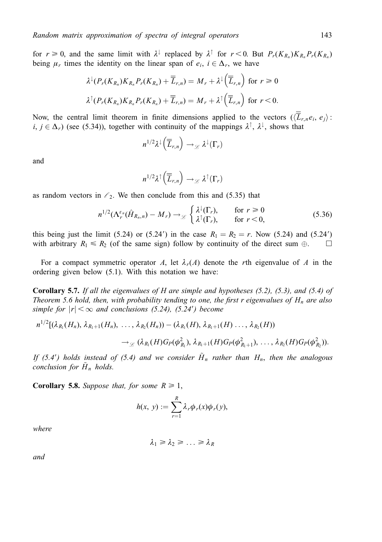for  $r \ge 0$ , and the same limit with  $\lambda^{\downarrow}$  replaced by  $\lambda^{\uparrow}$  for  $r < 0$ . But  $P_r(K_{R_n})K_{R_n}P_r(K_{R_n})$ being  $\mu_r$  times the identity on the linear span of  $e_i$ ,  $i \in \Delta_r$ , we have

$$
\lambda^{\downarrow}(P_r(K_{R_n})K_{R_n}P_r(K_{R_n})+\overline{\overline{L}}_{r,n})=M_r+\lambda^{\downarrow}\left(\overline{\overline{L}}_{r,n}\right) \text{ for } r\geq 0
$$
  

$$
\lambda^{\uparrow}(P_r(K_{R_n})K_{R_n}P_r(K_{R_n})+\overline{\overline{L}}_{r,n})=M_r+\lambda^{\uparrow}\left(\overline{\overline{L}}_{r,n}\right) \text{ for } r<0.
$$

Now, the central limit theorem in finite dimensions applied to the vectors  $(\overline{L}_{r,n}e_i, e_i):$  $i, j \in \Delta_r$ ) (see (5.34)), together with continuity of the mappings  $\lambda^{\uparrow}$ ,  $\lambda^{\downarrow}$ , shows that

$$
n^{1/2}\lambda^{\downarrow}\left(\overline{\overline{L}}_{r,n}\right)\longrightarrow_{\mathscr{L}}\lambda^{\downarrow}\left(\Gamma_{r}\right)
$$

and

$$
n^{1/2}\lambda^{\uparrow}\left(\overline{\overline{L}}_{r,n}\right)\to_{\mathscr{L}}\lambda^{\uparrow}(\Gamma_{r})
$$

as random vectors in  $\ell_2$ . We then conclude from this and (5.35) that

$$
n^{1/2}(\Lambda_r^{\varepsilon_n}(\hat{H}_{R_n,n}) - M_r) \to_{\mathcal{L}} \begin{cases} \lambda^{\downarrow}(\Gamma_r), & \text{for } r \ge 0\\ \lambda^{\uparrow}(\Gamma_r), & \text{for } r < 0, \end{cases}
$$
(5.36)

this being just the limit (5.24) or (5.24') in the case  $R_1 = R_2 = r$ . Now (5.24) and (5.24') with arbitrary  $R_1 \le R_2$  (of the same sign) follow by continuity of the direct sum  $\oplus$ .  $\square$ 

For a compact symmetric operator A, let  $\lambda_r(A)$  denote the rth eigenvalue of A in the ordering given below (5.1). With this notation we have:

**Corollary 5.7.** If all the eigenvalues of H are simple and hypotheses  $(5.2)$ ,  $(5.3)$ , and  $(5.4)$  of Theorem 5.6 hold, then, with probability tending to one, the first r eigenvalues of  $H_n$  are also simple for  $|r| < \infty$  and conclusions (5.24), (5.24') become

$$
n^{1/2}[(\lambda_{R_1}(H_n), \lambda_{R_1+1}(H_n), ..., \lambda_{R_2}(H_n)) - (\lambda_{R_1}(H), \lambda_{R_1+1}(H), ..., \lambda_{R_2}(H))
$$
  

$$
\rightarrow_{\mathcal{L}} (\lambda_{R_1}(H)G_P(\phi_{R_1}^2), \lambda_{R_1+1}(H)G_P(\phi_{R_1+1}^2), ..., \lambda_{R_2}(H)G_P(\phi_{R_2}^2)).
$$

If (5.4') holds instead of (5.4) and we consider  $H_n$  rather than  $H_n$ , then the analogous conclusion for  $H_n$  holds.

**Corollary 5.8.** Suppose that, for some  $R \geq 1$ ,

$$
h(x, y) := \sum_{r=1}^{R} \lambda_r \phi_r(x) \phi_r(y),
$$

where

$$
\lambda_1 \geq \lambda_2 \geq \ldots \geq \lambda_R
$$

and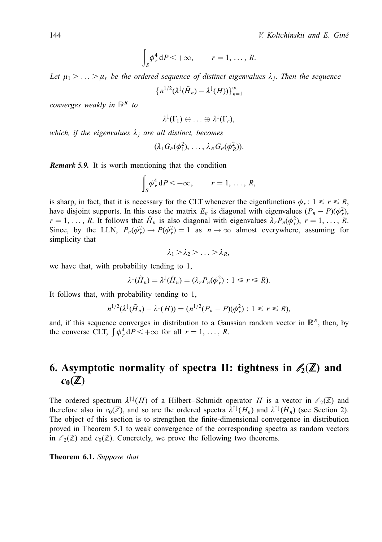$$
\int_{S} \phi_r^4 dP \leq +\infty, \qquad r=1,\ldots, R.
$$

Let  $\mu_1 > \ldots > \mu_r$  be the ordered sequence of distinct eigenvalues  $\lambda_i$ . Then the sequence

$$
\left\{n^{1/2}(\lambda^{\downarrow}(\tilde{H}_n)-\lambda^{\downarrow}(H))\right\}_{n=1}^{\infty}
$$

converges weakly in  $\mathbb{R}^R$  to

$$
\lambda^{\downarrow}(\Gamma_1) \oplus \ldots \oplus \lambda^{\downarrow}(\Gamma_r),
$$

which, if the eigenvalues  $\lambda_i$  are all distinct, becomes

$$
(\lambda_1 G_P(\phi_1^2),\ldots,\lambda_R G_P(\phi_R^2)).
$$

**Remark 5.9.** It is worth mentioning that the condition

$$
\int_{S} \phi_r^4 dP < +\infty, \qquad r = 1, \ldots, R,
$$

is sharp, in fact, that it is necessary for the CLT whenever the eigenfunctions  $\phi_r$ :  $1 \le r \le R$ , have disjoint supports. In this case the matrix  $E_n$  is diagonal with eigenvalues  $(P_n - P)(\phi_r^2)$ ,  $r = 1, \ldots, R$ . It follows that  $\hat{H}_n$  is also diagonal with eigenvalues  $\lambda_r P_n(\phi_r^2)$ ,  $r = 1, \ldots, R$ . Since, by the LLN,  $P_n(\phi_r^2) \to P(\phi_r^2) = 1$  as  $n \to \infty$  almost everywhere, assuming for simplicity that

$$
\lambda_1\!>\!\lambda_2\!>\!\dots\!>\!\lambda_R,
$$

we have that, with probability tending to 1,

$$
\lambda^{\downarrow}(\tilde{H}_n) = \lambda^{\downarrow}(\hat{H}_n) = (\lambda_r P_n(\phi_r^2) : 1 \leq r \leq R).
$$

It follows that, with probability tending to 1,

$$
n^{1/2}(\lambda^{\downarrow}(\tilde{H}_n)-\lambda^{\downarrow}(H))=(n^{1/2}(P_n-P)(\phi_r^2):1\leq r\leq R),
$$

and, if this sequence converges in distribution to a Gaussian random vector in  $\mathbb{R}^R$ , then, by the converse CLT,  $\int \phi_r^4 dP < +\infty$  for all  $r = 1, ..., R$ .

# 6. Asymptotic normality of spectra II: tightness in  $\mathcal{E}_2(\mathbb{Z})$  and  $c_0(\mathbb{Z})$

The ordered spectrum  $\lambda^{\uparrow\downarrow}(H)$  of a Hilbert-Schmidt operator H is a vector in  $\ell_2(\mathbb{Z})$  and therefore also in  $c_0(\mathbb{Z})$ , and so are the ordered spectra  $\lambda^{\uparrow\downarrow}(H_n)$  and  $\lambda^{\uparrow\downarrow}(\tilde{H}_n)$  (see Section 2). The object of this section is to strengthen the finite-dimensional convergence in distribution proved in Theorem 5.1 to weak convergence of the corresponding spectra as random vectors in  $\ell_2(\mathbb{Z})$  and  $c_0(\mathbb{Z})$ . Concretely, we prove the following two theorems.

Theorem 6.1. Suppose that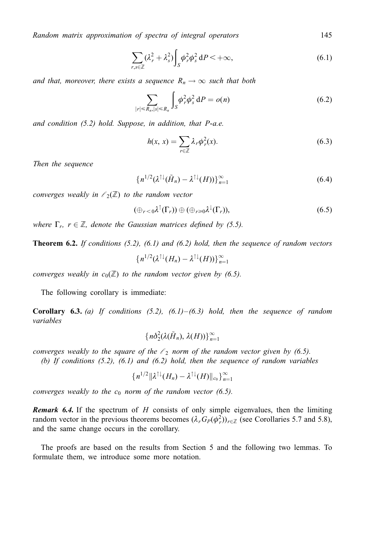$$
\sum_{r,s\in\mathbb{Z}} (\lambda_r^2 + \lambda_s^2) \int_S \phi_r^2 \phi_s^2 dP < +\infty,
$$
\n(6.1)

and that, moreover, there exists a sequence  $R_n \to \infty$  such that both

$$
\sum_{|r| \le R_n, |s| \le R_n} \int_S \phi_r^2 \phi_s^2 \, dP = o(n) \tag{6.2}
$$

and condition (5.2) hold. Suppose, in addition, that P-a.e.

$$
h(x, x) = \sum_{r \in \mathbb{Z}} \lambda_r \phi_r^2(x).
$$
 (6.3)

Then the sequence

$$
\left\{n^{1/2}(\lambda^{\uparrow\downarrow}(\tilde{H}_n) - \lambda^{\uparrow\downarrow}(H))\right\}_{n=1}^{\infty} \tag{6.4}
$$

converges weakly in  $\ell_2(\mathbb{Z})$  to the random vector

$$
(\oplus_{r<0}\lambda^{\uparrow}(\Gamma_r))\oplus(\oplus_{r\geq0}\lambda^{\downarrow}(\Gamma_r)),\tag{6.5}
$$

where  $\Gamma_r$ ,  $r \in \mathbb{Z}$ , denote the Gaussian matrices defined by (5.5).

**Theorem 6.2.** If conditions  $(5.2)$ ,  $(6.1)$  and  $(6.2)$  hold, then the sequence of random vectors

$$
\{n^{1/2}(\lambda^{\uparrow\downarrow}(H_n)-\lambda^{\uparrow\downarrow}(H))\}_{n=1}^{\infty}
$$

converges weakly in  $c_0(\mathbb{Z})$  to the random vector given by (6.5).

The following corollary is immediate:

**Corollary 6.3.** (a) If conditions  $(5.2)$ ,  $(6.1)$ – $(6.3)$  hold, then the sequence of random variables

$$
\{n\delta_2^2(\lambda(\tilde H_n),\,\lambda(H))\}_{n=1}^\infty
$$

converges weakly to the square of the  $\ell_2$  norm of the random vector given by (6.5).

(b) If conditions  $(5.2)$ ,  $(6.1)$  and  $(6.2)$  hold, then the sequence of random variables

$$
\{n^{1/2}\|\lambda^{\uparrow\downarrow}(H_n)-\lambda^{\uparrow\downarrow}(H)\|_{c_0}\}_{n=1}^{\infty}
$$

converges weakly to the  $c_0$  norm of the random vector (6.5).

**Remark 6.4.** If the spectrum of  $H$  consists of only simple eigenvalues, then the limiting random vector in the previous theorems becomes  $(\lambda_r G_P(\phi_r^2))_{r \in \mathbb{Z}}$  (see Corollaries 5.7 and 5.8), and the same change occurs in the corollary.

The proofs are based on the results from Section 5 and the following two lemmas. To formulate them, we introduce some more notation.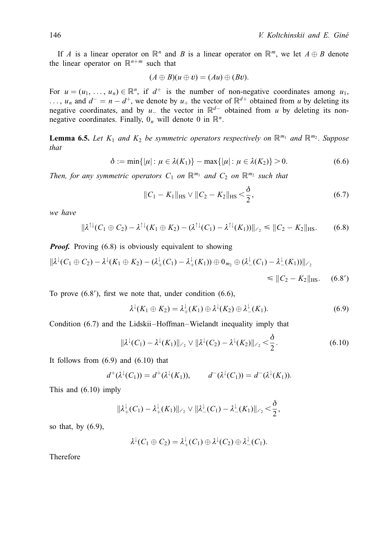If A is a linear operator on  $\mathbb{R}^n$  and B is a linear operator on  $\mathbb{R}^m$ , we let  $A \oplus B$  denote the linear operator on  $\mathbb{R}^{n+m}$  such that

$$
(A \oplus B)(u \oplus v) = (Au) \oplus (Bv).
$$

For  $u = (u_1, \ldots, u_n) \in \mathbb{R}^n$ , if  $d^+$  is the number of non-negative coordinates among  $u_1$ , ...,  $u_n$  and  $d^- = n - d^+$ , we denote by  $u_+$  the vector of  $\mathbb{R}^{d+}$  obtained from u by deleting its negative coordinates, and by  $u_-$  the vector in  $\mathbb{R}^{d-}$  obtained from u by deleting its nonnegative coordinates. Finally,  $0_n$  will denote 0 in  $\mathbb{R}^n$ .

**Lemma 6.5.** Let  $K_1$  and  $K_2$  be symmetric operators respectively on  $\mathbb{R}^{m_1}$  and  $\mathbb{R}^{m_2}$ . Suppose that

$$
\delta := \min\{|\mu| : \mu \in \lambda(K_1)\} - \max\{|\mu| : \mu \in \lambda(K_2)\} > 0. \tag{6.6}
$$

Then, for any symmetric operators  $C_1$  on  $\mathbb{R}^{m_1}$  and  $C_2$  on  $\mathbb{R}^{m_2}$  such that

$$
||C_1 - K_1||_{\text{HS}} \vee ||C_2 - K_2||_{\text{HS}} < \frac{\delta}{2},
$$
\n(6.7)

we have

$$
\|\lambda^{\uparrow\downarrow}(C_1 \oplus C_2) - \lambda^{\uparrow\downarrow}(K_1 \oplus K_2) - (\lambda^{\uparrow\downarrow}(C_1) - \lambda^{\uparrow\downarrow}(K_1))\|_{\ell_2} \le \|C_2 - K_2\|_{\text{HS}}.\tag{6.8}
$$

**Proof.** Proving (6.8) is obviously equivalent to showing

$$
\|\lambda^{\downarrow}(C_1 \oplus C_2) - \lambda^{\downarrow}(K_1 \oplus K_2) - (\lambda^{\downarrow}_{+}(C_1) - \lambda^{\downarrow}_{+}(K_1)) \oplus 0_{m_2} \oplus (\lambda^{\downarrow}_{-}(C_1) - \lambda^{\downarrow}_{-}(K_1))\|_{\ell_2} \leq \|C_2 - K_2\|_{\text{HS}}.\tag{6.8'}
$$

To prove  $(6.8')$ , first we note that, under condition  $(6.6)$ ,

$$
\lambda^{\downarrow}(K_1 \oplus K_2) = \lambda^{\downarrow}_{+}(K_1) \oplus \lambda^{\downarrow}(K_2) \oplus \lambda^{\downarrow}_{-}(K_1). \tag{6.9}
$$

Condition (6.7) and the Lidskii-Hoffman-Wielandt inequality imply that

$$
\|\lambda^{\downarrow}(C_1) - \lambda^{\downarrow}(K_1)\|_{\ell_2} \vee \|\lambda^{\downarrow}(C_2) - \lambda^{\downarrow}(K_2)\|_{\ell_2} < \frac{\delta}{2}.\tag{6.10}
$$

It follows from  $(6.9)$  and  $(6.10)$  that

$$
d^+(\lambda^{\downarrow}(C_1))=d^+(\lambda^{\downarrow}(K_1)), \qquad d^-(\lambda^{\downarrow}(C_1))=d^-(\lambda^{\downarrow}(K_1)).
$$

This and  $(6.10)$  imply

$$
\|\lambda_+^{\downarrow}(C_1) - \lambda_+^{\downarrow}(K_1)\|_{\ell_2} \vee \|\lambda_-^{\downarrow}(C_1) - \lambda_-^{\downarrow}(K_1)\|_{\ell_2} < \frac{\delta}{2},
$$

so that, by  $(6.9)$ ,

$$
\lambda^{\downarrow}(C_1 \oplus C_2) = \lambda^{\downarrow}_{+}(C_1) \oplus \lambda^{\downarrow}(C_2) \oplus \lambda^{\downarrow}_{-}(C_1).
$$

Therefore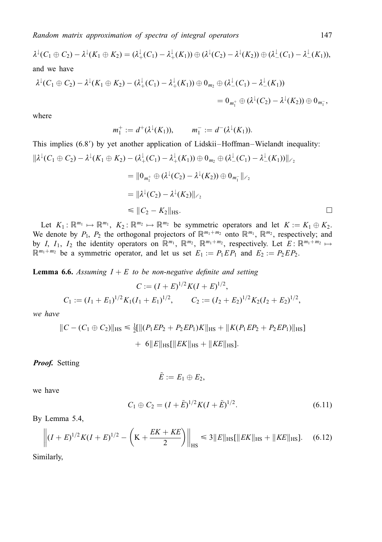$$
\lambda^{\downarrow}(C_{1} \oplus C_{2}) - \lambda^{\downarrow}(K_{1} \oplus K_{2}) = (\lambda_{+}^{\downarrow}(C_{1}) - \lambda_{+}^{\downarrow}(K_{1})) \oplus (\lambda^{\downarrow}(C_{2}) - \lambda^{\downarrow}(K_{2})) \oplus (\lambda_{-}^{\downarrow}(C_{1}) - \lambda_{-}^{\downarrow}(K_{1})),
$$
  
and we have  

$$
\lambda^{\downarrow}(C_{1} \oplus C_{2}) - \lambda^{\downarrow}(K_{1} \oplus K_{2}) - (\lambda_{+}^{\downarrow}(C_{1}) - \lambda_{+}^{\downarrow}(K_{1})) \oplus 0_{m_{2}} \oplus (\lambda_{-}^{\downarrow}(C_{1}) - \lambda_{-}^{\downarrow}(K_{1}))
$$

$$
= 0_{m_{1}^{+}} \oplus (\lambda^{\downarrow}(C_{2}) - \lambda^{\downarrow}(K_{2})) \oplus 0_{m_{1}^{-}},
$$

where

$$
m_1^+ := d^+(\lambda^{\downarrow}(K_1)), \qquad m_1^- := d^-(\lambda^{\downarrow}(K_1)).
$$

This implies (6.8') by yet another application of Lidskii–Hoffman–Wielandt inequality:  
\n
$$
\|\lambda^{\downarrow}(C_1 \oplus C_2) - \lambda^{\downarrow}(K_1 \oplus K_2) - (\lambda^{\downarrow}_{+}(C_1) - \lambda^{\downarrow}_{+}(K_1)) \oplus 0_{m_2} \oplus (\lambda^{\downarrow}_{-}(C_1) - \lambda^{\downarrow}_{-}(K_1))\|_{\ell_2}
$$
\n
$$
= \|0_{m_1^+} \oplus (\lambda^{\downarrow}(C_2) - \lambda^{\downarrow}(K_2)) \oplus 0_{m_1^-}\|_{\ell_2}
$$
\n
$$
= \|\lambda^{\downarrow}(C_2) - \lambda^{\downarrow}(K_2)\|_{\ell_2}
$$
\n
$$
\leq \|C_2 - K_2\|_{\text{HS}}.
$$

Let  $K_1: \mathbb{R}^{m_1} \mapsto \mathbb{R}^{m_1}$ ,  $K_2: \mathbb{R}^{m_2} \mapsto \mathbb{R}^{m_2}$  be symmetric operators and let  $K := K_1 \oplus K_2$ . We denote by  $P_1$ ,  $P_2$  the orthogonal projectors of  $\mathbb{R}^{m_1+m_2}$  onto  $\mathbb{R}^{m_1}$ ,  $\mathbb{R}^{m_2}$ , respectively; and by I, I<sub>1</sub>, I<sub>2</sub> the identity operators on  $\mathbb{R}^{m_1}$ ,  $\mathbb{R}^{m_2}$ ,  $\mathbb{R}^{m_1+m_2}$ , respectively. Let  $E: \mathbb{R}^{m_1+m_2} \mapsto$  $\mathbb{R}^{m_1+m_2}$  be a symmetric operator, and let us set  $E_1 := P_1 E P_1$  and  $E_2 := P_2 E P_2$ .

**Lemma 6.6.** Assuming  $I + E$  to be non-negative definite and setting

$$
C := (I + E)^{1/2} K (I + E)^{1/2},
$$
  
\n
$$
C_1 := (I_1 + E_1)^{1/2} K_1 (I_1 + E_1)^{1/2}, \qquad C_2 := (I_2 + E_2)^{1/2} K_2 (I_2 + E_2)^{1/2},
$$

we have

$$
||C - (C_1 \oplus C_2)||_{\text{HS}} \le \frac{1}{2} [||(P_1 E P_2 + P_2 E P_1) K||_{\text{HS}} + ||K(P_1 E P_2 + P_2 E P_1)||_{\text{HS}}] + 6||E||_{\text{HS}} [||EK||_{\text{HS}} + ||KE||_{\text{HS}}].
$$

**Proof.** Setting

$$
\tilde{E}:=E_1\oplus E_2,
$$

we have

$$
C_1 \oplus C_2 = (I + \tilde{E})^{1/2} K (I + \tilde{E})^{1/2}.
$$
\n(6.11)

By Lemma 5.4,

$$
\left\| (I+E)^{1/2} K (I+E)^{1/2} - \left( K + \frac{EK + KE}{2} \right) \right\|_{\text{HS}} \leq 3 \|E\|_{\text{HS}} [\|EK\|_{\text{HS}} + \|KE\|_{\text{HS}}]. \tag{6.12}
$$

Similarly,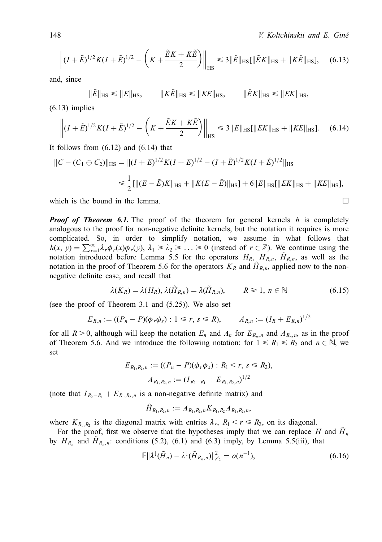148 **Interval and E. Gine** *V. Koltchinskii and E. Gine* 

$$
\left\| (I + \tilde{E})^{1/2} K (I + \tilde{E})^{1/2} - \left( K + \frac{\tilde{E} K + K \tilde{E}}{2} \right) \right\|_{\text{HS}} \leq 3 \|\tilde{E}\|_{\text{HS}} [\|\tilde{E} K\|_{\text{HS}} + \|K \tilde{E}\|_{\text{HS}}], \quad (6.13)
$$

and, since

$$
\|\tilde{E}\|_{\text{HS}} \le \|E\|_{\text{HS}}, \qquad \|K\tilde{E}\|_{\text{HS}} \le \|KE\|_{\text{HS}}, \qquad \|\tilde{E}K\|_{\text{HS}} \le \|EK\|_{\text{HS}},
$$

 $(6.13)$  implies

$$
\left\| (I + \tilde{E})^{1/2} K (I + \tilde{E})^{1/2} - \left( K + \frac{\tilde{E} K + K \tilde{E}}{2} \right) \right\|_{\text{HS}} \leq 3 \|E\|_{\text{HS}} [\|EK\|_{\text{HS}} + \|KE\|_{\text{HS}}]. \tag{6.14}
$$

It follows from  $(6.12)$  and  $(6.14)$  that

$$
||C - (C_1 \oplus C_2)||_{\text{HS}} = ||(I + E)^{1/2}K(I + E)^{1/2} - (I + \tilde{E})^{1/2}K(I + \tilde{E})^{1/2}||_{\text{HS}}
$$
  

$$
\leq \frac{1}{2} [||(E - \tilde{E})K||_{\text{HS}} + ||K(E - \tilde{E})||_{\text{HS}}] + 6||E||_{\text{HS}}[||EK||_{\text{HS}} + ||KE||_{\text{HS}}],
$$

which is the bound in the lemma.  $\Box$ 

**Proof of Theorem 6.1.** The proof of the theorem for general kernels h is completely analogous to the proof for non-negative definite kernels, but the notation it requires is more complicated. So, in order to simplify notation, we assume in what follows that  $h(x, y) = \sum_{r=1}^{\infty} \lambda_r \phi_r(x) \phi_r(y), \lambda_1 \ge \lambda_2 \ge ... \ge 0$  (instead of  $r \in \mathbb{Z}$ ). We continue using the notation introduced before Lemma 5.5 for the operators  $H_R$ ,  $H_{R,n}$ ,  $H_{R,n}$ , as well as the notation in the proof of Theorem 5.6 for the operators  $K_R$  and  $\hat{H}_{R,n}$ , applied now to the nonnegative definite case, and recall that

$$
\lambda(K_R) = \lambda(H_R), \lambda(\hat{H}_{R,n}) = \lambda(\tilde{H}_{R,n}), \qquad R \ge 1, n \in \mathbb{N}
$$
 (6.15)

(see the proof of Theorem 3.1 and (5.25)). We also set

$$
E_{R,n} := ((P_n - P)(\phi_r \phi_s) : 1 \le r, s \le R), \qquad A_{R,n} := (I_R + E_{R,n})^{1/2}
$$

for all  $R > 0$ , although will keep the notation  $E_n$  and  $A_n$  for  $E_{R_n,n}$  and  $A_{R_n,n}$ , as in the proof of Theorem 5.6. And we introduce the following notation: for  $1 \le R_1 \le R_2$  and  $n \in \mathbb{N}$ , we set

$$
E_{R_1,R_2,n} := ((P_n - P)(\phi_r \phi_s) : R_1 < r, s \le R_2),
$$
\n
$$
A_{R_1,R_2,n} := (I_{R_2-R_1} + E_{R_1,R_2,n})^{1/2}
$$

(note that  $I_{R_2-R_1} + E_{R_1,R_2,n}$  is a non-negative definite matrix) and

$$
\hat{H}_{R_1,R_2,n} := A_{R_1,R_2,n} K_{R_1,R_2} A_{R_1,R_2,n},
$$

where  $K_{R_1,R_2}$  is the diagonal matrix with entries  $\lambda_r$ ,  $R_1 \le r \le R_2$ , on its diagonal.

For the proof, first we observe that the hypotheses imply that we can replace H and  $H_n$ by  $H_{R_n}$  and  $H_{R_n,n}$ : conditions (5.2), (6.1) and (6.3) imply, by Lemma 5.5(iii), that

$$
\mathbb{E}||\lambda^{\downarrow}(\tilde{H}_n) - \lambda^{\downarrow}(\tilde{H}_{R_n,n})||_{\ell_2}^2 = o(n^{-1}),
$$
\n(6.16)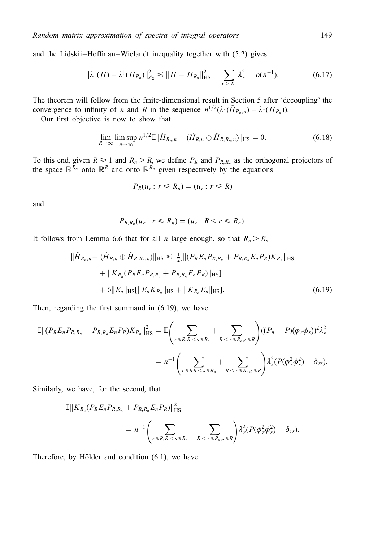and the Lidskii–Hoffman–Wielandt inequality together with (5.2) gives

$$
\|\lambda^{\downarrow}(H) - \lambda^{\downarrow}(H_{R_n})\|_{\ell_2}^2 \le \|H - H_{R_n}\|_{\text{HS}}^2 = \sum_{r > R_n} \lambda_r^2 = o(n^{-1}).\tag{6.17}
$$

The theorem will follow from the finite-dimensional result in Section 5 after 'decoupling' the convergence to infinity of *n* and *R* in the sequence  $n^{1/2}(\lambda^{\downarrow}(\tilde{H}_{R_n,n}) - \lambda^{\downarrow}(H_{R_n})).$ 

Our first objective is now to show that

$$
\lim_{R\to\infty}\limsup_{n\to\infty}n^{1/2}\mathbb{E}\|\hat{H}_{R_n,n}-(\hat{H}_{R,n}\oplus\hat{H}_{R,R_n,n})\|_{\text{HS}}=0.
$$
\n(6.18)

To this end, given  $R \ge 1$  and  $R_n > R$ , we define  $P_R$  and  $P_{R,R_n}$  as the orthogonal projectors of the space  $\mathbb{R}^{R_n}$  onto  $\mathbb{R}^R$  and onto  $\mathbb{R}^{R_n}$  given respectively by the equations

$$
P_R(u_r: r \leq R_n) = (u_r: r \leq R)
$$

and

$$
P_{R,R_n}(u_r: r \leq R_n) = (u_r: R < r \leq R_n)
$$

It follows from Lemma 6.6 that for all *n* large enough, so that  $R_n > R$ ,

$$
\|\hat{H}_{R_n,n} - (\hat{H}_{R,n} \oplus \hat{H}_{R,R_n,n})\|_{\text{HS}} \leq \frac{1}{2}[\|(P_R E_n P_{R,R_n} + P_{R,R_n} E_n P_R) K_{R_n}\|_{\text{HS}} \n+ \|K_{R_n}(P_R E_n P_{R,R_n} + P_{R,R_n} E_n P_R)\|_{\text{HS}}]\n+ 6\|E_n\|_{\text{HS}}[\|E_n K_{R_n}\|_{\text{HS}} + \|K_{R_n} E_n\|_{\text{HS}}].
$$
\n(6.19)

Then, regarding the first summand in  $(6.19)$ , we have

$$
\mathbb{E}||(P_{R}E_{n}P_{R,R_{n}}+P_{R,R_{n}}E_{n}P_{R})K_{R_{n}}||_{\text{HS}}^{2} = \mathbb{E}\Biggl(\sum_{r\leq R,R\leq s\leq R_{n}}+\sum_{R\leq r\leq R_{n},s\leq R}\Biggr)((P_{n}-P)(\phi_{r}\phi_{s}))^{2}\lambda_{s}^{2}
$$

$$
=n^{-1}\Biggl(\sum_{r\leq R R\leq s\leq R_{n}}+\sum_{R\leq r\leq R_{n},s\leq R}\Biggr)\lambda_{s}^{2}(P(\phi_{r}^{2}\phi_{s}^{2})-\delta_{rs}).
$$

Similarly, we have, for the second, that

$$
\mathbb{E}||K_{R_n}(P_R E_n P_{R,R_n} + P_{R,R_n} E_n P_R)||_{\text{HS}}^2
$$
  
=  $n^{-1} \left( \sum_{r \le R, R < s \le R_n} + \sum_{R < r \le R_n, s \le R} \right) \lambda_r^2 (P(\phi_r^2 \phi_s^2) - \delta_{rs}).$ 

Therefore, by Hölder and condition (6.1), we have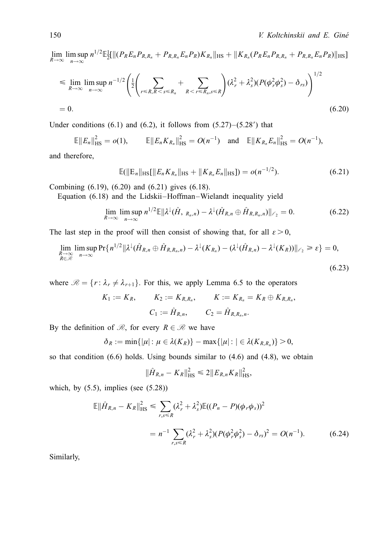$(6.23)$ 

 $\lim_{R\to\infty}\limsup_{n\to\infty}n^{1/2} \mathbb{E}_{2}^{1}[\|(P_{R}E_{n}P_{R,R_{n}}+P_{R,R_{n}}E_{n}P_{R})K_{R_{n}}\|_{\text{HS}} + \|K_{R_{n}}(P_{R}E_{n}P_{R,R_{n}}+P_{R,R_{n}}E_{n}P_{R})\|_{\text{HS}}]$ 

$$
\leq \lim_{R \to \infty} \limsup_{n \to \infty} n^{-1/2} \left( \frac{1}{2} \left( \sum_{r \leq R, R < s \leq R_n} + \sum_{R < r \leq R_n, s \leq R} \right) (\lambda_r^2 + \lambda_s^2) (P(\phi_r^2 \phi_s^2) - \delta_{rs}) \right)^{1/2}
$$
\n
$$
= 0. \tag{6.20}
$$

Under conditions  $(6.1)$  and  $(6.2)$ , it follows from  $(5.27)-(5.28)$  that

$$
\mathbb{E}||E_n||_{\text{HS}}^2 = o(1), \qquad \mathbb{E}||E_n K_{R_n}||_{\text{HS}}^2 = O(n^{-1}) \quad \text{and} \quad \mathbb{E}||K_{R_n} E_n||_{\text{HS}}^2 = O(n^{-1}),
$$

and therefore,

$$
\mathbb{E}(\|\mathbf{E}_n\|_{\mathrm{HS}}\|\|E_n K_{R_n}\|_{\mathrm{HS}} + \|K_{R_n} E_n\|_{\mathrm{HS}}]) = o(n^{-1/2}).\tag{6.21}
$$

Combining (6.19), (6.20) and (6.21) gives (6.18).

Equation (6.18) and the Lidskii-Hoffman-Wielandt inequality yield

$$
\lim_{R\to\infty}\limsup_{n\to\infty}n^{1/2}\mathbb{E}\|\lambda^{\downarrow}(\hat{H}, R_{n,n})-\lambda^{\downarrow}(\hat{H}_{R,n}\oplus\hat{H}_{R,R_{n},n})\|_{\ell_{2}}=0.
$$
\n(6.22)

The last step in the proof will then consist of showing that, for all  $\varepsilon > 0$ ,

$$
\lim_{\substack{R\to\infty\\R\in\mathscr{R}}} \limsup_{n\to\infty} \Pr\{n^{1/2} \|\lambda^{\downarrow}(\hat{H}_{R,n}\oplus\hat{H}_{R,R_n,n}) - \lambda^{\downarrow}(K_{R_n}) - (\lambda^{\downarrow}(\hat{H}_{R,n}) - \lambda^{\downarrow}(K_R))\|_{\ell_2} \geq \varepsilon\} = 0,
$$

where  $\mathcal{R} = \{r: \lambda_r \neq \lambda_{r+1}\}.$  For this, we apply Lemma 6.5 to the operators

$$
K_1 := K_R
$$
,  $K_2 := K_{R,R_n}$ ,  $K := K_{R_n} = K_R \oplus K_{R,R_n}$ ,  
 $C_1 := \hat{H}_{R,n}$ ,  $C_2 = \hat{H}_{R,R_n,n}$ .

By the definition of  $\mathcal{R}$ , for every  $R \in \mathcal{R}$  we have

$$
\delta_R := \min\{|\mu| : \mu \in \lambda(K_R)\} - \max\{|\mu| : |\in \lambda(K_{R,R_n})\} > 0,
$$

so that condition  $(6.6)$  holds. Using bounds similar to  $(4.6)$  and  $(4.8)$ , we obtain

$$
\|\hat{H}_{R,n} - K_R\|_{\text{HS}}^2 \leq 2 \|E_{R,n} K_R\|_{\text{HS}}^2,
$$

which, by  $(5.5)$ , implies (see  $(5.28)$ )

$$
\mathbb{E} \|\hat{H}_{R,n} - K_R\|_{\text{HS}}^2 \le \sum_{r,s \le R} (\lambda_r^2 + \lambda_s^2) \mathbb{E}((P_n - P)(\phi_r \phi_s))^2
$$
  
=  $n^{-1} \sum_{r,s \le R} (\lambda_r^2 + \lambda_s^2) (P(\phi_r^2 \phi_s^2) - \delta_{rs})^2 = O(n^{-1}).$  (6.24)

Similarly,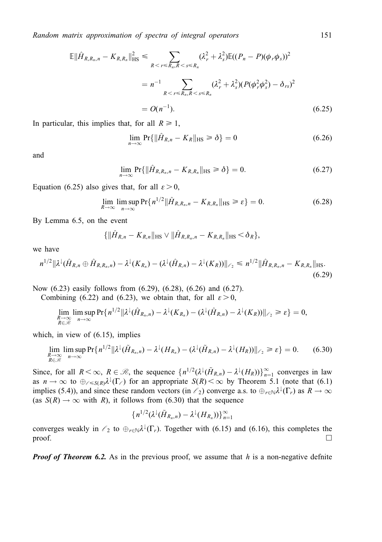$$
\mathbb{E} \|\hat{H}_{R,R_n,n} - K_{R,R_n}\|_{\text{HS}}^2 \leq \sum_{R < r \leq R_n, R < s \leq R_n} (\lambda_r^2 + \lambda_s^2) \mathbb{E}((P_n - P)(\phi_r \phi_s))^2
$$
\n
$$
= n^{-1} \sum_{R < r \leq R_n, R < s \leq R_n} (\lambda_r^2 + \lambda_s^2)(P(\phi_r^2 \phi_s^2) - \delta_{rs})^2
$$
\n
$$
= O(n^{-1}). \tag{6.25}
$$

In particular, this implies that, for all  $R \ge 1$ ,

$$
\lim_{n \to \infty} \Pr\{\|\hat{H}_{R,n} - K_R\|_{\text{HS}} \ge \delta\} = 0 \tag{6.26}
$$

and

$$
\lim_{n\to\infty} \Pr\{\|\hat{H}_{R,R_n,n} - K_{R,R_n}\|_{\text{HS}} \geq \delta\} = 0. \tag{6.27}
$$

Equation (6.25) also gives that, for all  $\varepsilon > 0$ ,

$$
\lim_{R \to \infty} \limsup_{n \to \infty} \Pr\{n^{1/2} \|\hat{H}_{R,R_n,n} - K_{R,R_n}\|_{\text{HS}} \ge \varepsilon\} = 0. \tag{6.28}
$$

By Lemma 6.5, on the event

$$
\{\|\hat{H}_{R,n}-K_{R,n}\|_{\text{HS}}\vee\|\hat{H}_{R,R_n,n}-K_{R,R_n}\|_{\text{HS}}<\delta_R\},\
$$

we have

$$
n^{1/2} \|\lambda^{\downarrow}(\hat{H}_{R,n} \oplus \hat{H}_{R,R,n}) - \lambda^{\downarrow}(K_{R,n}) - (\lambda^{\downarrow}(\hat{H}_{R,n}) - \lambda^{\downarrow}(K_R))\|_{\ell_2} \leq n^{1/2} \|\hat{H}_{R,R,n,n} - K_{R,R,n}\|_{\text{HS}}.
$$
\n(6.29)

Now (6.23) easily follows from (6.29), (6.28), (6.26) and (6.27).

Combining (6.22) and (6.23), we obtain that, for all  $\varepsilon > 0$ ,

$$
\lim_{\substack{R\to\infty\\R\in\mathcal{R}}} \limsup_{n\to\infty} \Pr\{n^{1/2} \|\lambda^{\downarrow}(\hat{H}_{R_n,n}) - \lambda^{\downarrow}(K_{R_n}) - (\lambda^{\downarrow}(\hat{H}_{R,n}) - \lambda^{\downarrow}(K_R))\|_{\ell_2} \geq \varepsilon\} = 0,
$$

which, in view of (6.15), implies

$$
\lim_{\substack{R \to \infty \\ R \in \mathcal{R}}} \limsup_{n \to \infty} \Pr\{n^{1/2} \|\lambda^{\downarrow}(\tilde{H}_{R_n,n}) - \lambda^{\downarrow}(H_{R_n}) - (\lambda^{\downarrow}(\tilde{H}_{R,n}) - \lambda^{\downarrow}(H_R))\|_{\ell_2} \ge \varepsilon\} = 0. \tag{6.30}
$$

Since, for all  $R < \infty$ ,  $R \in \mathcal{R}$ , the sequence  $\{n^{1/2}(\lambda^{\downarrow}(\tilde{H}_{R,n}) - \lambda^{\downarrow}(H_R))\}_{n=1}^{\infty}$  converges in law as  $n \to \infty$  to  $\bigoplus_{\ell \leqslant S(R)} \lambda^{\ell}(\Gamma_{\ell})$  for an appropriate  $S(R) < \infty$  by Theorem 5.1 (note that (6.1) implies (5.4)), and since these random vectors (in  $\ell_2$ ) converge a.s. to  $\bigoplus_{r\in\mathbb{N}}\lambda^{\downarrow}(\Gamma_r)$  as  $R\to\infty$ (as  $S(R) \rightarrow \infty$  with R), it follows from (6.30) that the sequence

$$
\{n^{1/2}(\lambda^{\downarrow}(\tilde{H}_{R_n,n})-\lambda^{\downarrow}(H_{R_n}))\}_{n=1}^{\infty}
$$

converges weakly in  $\ell_2$  to  $\bigoplus_{r\in\mathbb{N}}\lambda^{\downarrow}(\Gamma_r)$ . Together with (6.15) and (6.16), this completes the  $\Box$ 

**Proof of Theorem 6.2.** As in the previous proof, we assume that h is a non-negative definite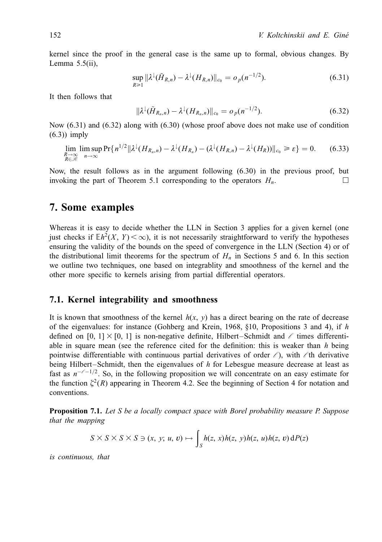kernel since the proof in the general case is the same up to formal, obvious changes. By Lemma  $5.5$ (ii),

$$
\sup_{R\geq 1} \|\lambda^{\downarrow}(\tilde{H}_{R,n}) - \lambda^{\downarrow}(H_{R,n})\|_{c_0} = o_p(n^{-1/2}).\tag{6.31}
$$

It then follows that

$$
\|\lambda^{\downarrow}(\tilde{H}_{R_n,n}) - \lambda^{\downarrow}(H_{R_n,n})\|_{c_0} = o_p(n^{-1/2}).
$$
\n(6.32)

Now (6.31) and (6.32) along with (6.30) (whose proof above does not make use of condition (6.3)) imply

$$
\lim_{\substack{R\to\infty\\R\in\mathcal{R}}} \limsup_{n\to\infty} \Pr\{n^{1/2} \|\lambda^{\downarrow}(H_{R_n,n}) - \lambda^{\downarrow}(H_{R_n}) - (\lambda^{\downarrow}(H_{R,n}) - \lambda^{\downarrow}(H_R))\|_{c_0} \geq \varepsilon\} = 0. \tag{6.33}
$$

Now, the result follows as in the argument following (6.30) in the previous proof, but invoking the part of Theorem 5.1 corresponding to the operators  $H_n$ .

# 7. Some examples

Whereas it is easy to decide whether the LLN in Section 3 applies for a given kernel (one just checks if  $\mathbb{E}h^2(X, Y) < \infty$ ), it is not necessarily straightforward to verify the hypotheses ensuring the validity of the bounds on the speed of convergence in the LLN (Section 4) or of the distributional limit theorems for the spectrum of  $H_n$  in Sections 5 and 6. In this section we outline two techniques, one based on integrablity and smoothness of the kernel and the other more specific to kernels arising from partial differential operators.

#### 7.1. Kernel integrability and smoothness

It is known that smoothness of the kernel  $h(x, y)$  has a direct bearing on the rate of decrease of the eigenvalues: for instance (Gohberg and Krein, 1968,  $§10$ , Propositions 3 and 4), if h defined on [0, 1]  $\times$  [0, 1] is non-negative definite, Hilbert-Schmidt and  $\ell$  times differentiable in square mean (see the reference cited for the definition: this is weaker than  $h$  being pointwise differentiable with continuous partial derivatives of order  $\ell$ ), with  $\ell$ th derivative being Hilbert-Schmidt, then the eigenvalues of  $h$  for Lebesgue measure decrease at least as fast as  $n^{-\ell-1/2}$ . So, in the following proposition we will concentrate on an easy estimate for the function  $\zeta^2(R)$  appearing in Theorem 4.2. See the beginning of Section 4 for notation and conventions.

**Proposition 7.1.** Let S be a locally compact space with Borel probability measure P. Suppose that the mapping

$$
S \times S \times S \times S \ni (x, y; u, v) \mapsto \int_S h(z, x)h(z, y)h(z, u)h(z, v) dP(z)
$$

is continuous, that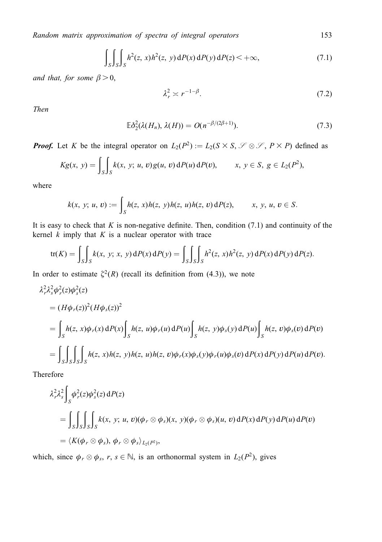$$
\int_{S} \int_{S} \int_{S} h^{2}(z, x)h^{2}(z, y) dP(x) dP(y) dP(z) < +\infty,
$$
\n(7.1)

and that, for some  $\beta > 0$ ,

$$
\lambda_r^2 \asymp r^{-1-\beta}.\tag{7.2}
$$

Then

$$
\mathbb{E}\delta_2^2(\lambda(H_n),\,\lambda(H))=O(n^{-\beta/(2\beta+1)}).
$$
\n(7.3)

**Proof.** Let K be the integral operator on  $L_2(P^2) := L_2(S \times S, \mathcal{S} \otimes \mathcal{S}, P \times P)$  defined as

$$
Kg(x, y) = \int_S \int_S k(x, y; u, v) g(u, v) dP(u) dP(v),
$$
  $x, y \in S, g \in L_2(P^2),$ 

where

$$
k(x, y; u, v) := \int_{S} h(z, x)h(z, y)h(z, u)h(z, v) dP(z), \qquad x, y, u, v \in S.
$$

It is easy to check that  $K$  is non-negative definite. Then, condition  $(7.1)$  and continuity of the kernel  $k$  imply that  $K$  is a nuclear operator with trace

$$
\text{tr}(K) = \int_S \int_S k(x, y; x, y) \, dP(x) \, dP(y) = \int_S \int_S \int_S h^2(z, x) h^2(z, y) \, dP(x) \, dP(y) \, dP(z).
$$

In order to estimate  $\xi^2(R)$  (recall its definition from (4.3)), we note

$$
\lambda_r^2 \lambda_s^2 \phi_r^2(z) \phi_s^2(z)
$$
  
=  $(H\phi_r(z))^2 (H\phi_s(z))^2$   
=  $\int_S h(z, x) \phi_r(x) dP(x) \int_S h(z, u) \phi_r(u) dP(u) \int_S h(z, y) \phi_s(y) dP(u) \int_S h(z, v) \phi_s(v) dP(v)$   
=  $\int_S \int_S \int_S \int_S h(z, x) h(z, y) h(z, u) h(z, v) \phi_r(x) \phi_s(y) \phi_r(u) \phi_s(v) dP(x) dP(y) dP(u) dP(v).$ 

Therefore

$$
\lambda_r^2 \lambda_s^2 \int_S \phi_r^2(z) \phi_s^2(z) dP(z)
$$
  
= 
$$
\int_S \int_S \int_S \int_S k(x, y; u, v) (\phi_r \otimes \phi_s)(x, y) (\phi_r \otimes \phi_s)(u, v) dP(x) dP(y) dP(u) dP(v)
$$
  
= 
$$
\langle K(\phi_r \otimes \phi_s), \phi_r \otimes \phi_s \rangle_{L_2(P^2)},
$$

which, since  $\phi_r \otimes \phi_s$ ,  $r, s \in \mathbb{N}$ , is an orthonormal system in  $L_2(P^2)$ , gives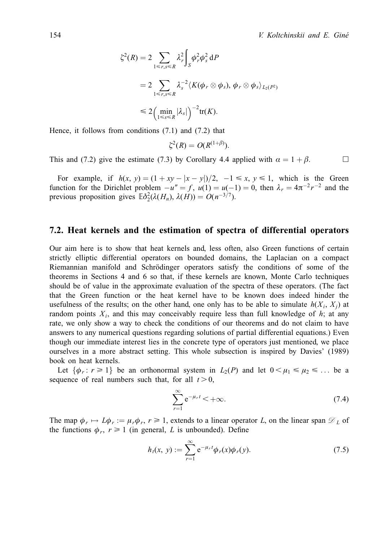$$
\zeta^2(R) = 2 \sum_{1 \le r,s \le R} \lambda_r^2 \int_S \phi_r^2 \phi_s^2 dP
$$
  
= 
$$
2 \sum_{1 \le r,s \le R} \lambda_s^{-2} \langle K(\phi_r \otimes \phi_s), \phi_r \otimes \phi_s \rangle_{L_2(P^2)}
$$
  

$$
\le 2 \Big( \min_{1 \le s \le R} |\lambda_s| \Big)^{-2} tr(K).
$$

Hence, it follows from conditions (7.1) and (7.2) that

$$
\zeta^2(R) = O(R^{(1+\beta)}).
$$

This and (7.2) give the estimate (7.3) by Corollary 4.4 applied with  $\alpha = 1 + \beta$ .

For example, if  $h(x, y) = (1 + xy - |x - y|)/2$ ,  $-1 \le x, y \le 1$ , which is the Green function for the Dirichlet problem  $-u'' = f$ ,  $u(1) = u(-1) = 0$ , then  $\lambda_r = 4\pi^{-2}r^{-2}$  and the previous proposition gives  $\mathbb{E} \delta_2^2(\lambda(H_n), \lambda(H)) = O(n^{-3/7}).$ 

#### 7.2. Heat kernels and the estimation of spectra of differential operators

Our aim here is to show that heat kernels and, less often, also Green functions of certain strictly elliptic differential operators on bounded domains, the Laplacian on a compact Riemannian manifold and Schrödinger operators satisfy the conditions of some of the theorems in Sections 4 and 6 so that, if these kernels are known, Monte Carlo techniques should be of value in the approximate evaluation of the spectra of these operators. (The fact that the Green function or the heat kernel have to be known does indeed hinder the usefulness of the results; on the other hand, one only has to be able to simulate  $h(X_i, X_j)$  at random points  $X_i$ , and this may conceivably require less than full knowledge of  $h$ ; at any rate, we only show a way to check the conditions of our theorems and do not claim to have answers to any numerical questions regarding solutions of partial differential equations.) Even though our immediate interest lies in the concrete type of operators just mentioned, we place ourselves in a more abstract setting. This whole subsection is inspired by Davies' (1989) book on heat kernels.

Let  $\{\phi_r : r \geq 1\}$  be an orthonormal system in  $L_2(P)$  and let  $0 < \mu_1 \leq \mu_2 \leq \ldots$  be a sequence of real numbers such that, for all  $t > 0$ ,

$$
\sum_{r=1}^{\infty} e^{-\mu_r t} < +\infty. \tag{7.4}
$$

The map  $\phi_r \mapsto L\phi_r := \mu_r \phi_r$ ,  $r \ge 1$ , extends to a linear operator L, on the linear span  $\mathcal{D}_L$  of the functions  $\phi_r$ ,  $r \ge 1$  (in general, L is unbounded). Define

$$
h_t(x, y) := \sum_{r=1}^{\infty} e^{-\mu_r t} \phi_r(x) \phi_r(y).
$$
 (7.5)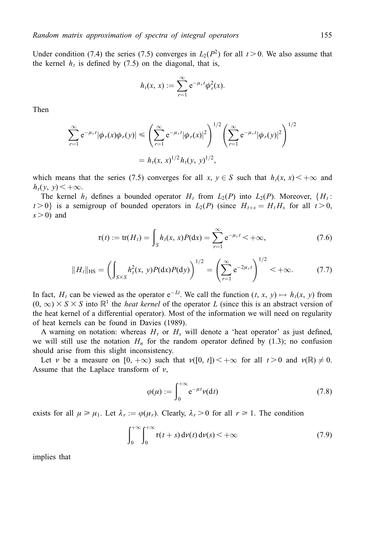Under condition (7.4) the series (7.5) converges in  $L_2(P^2)$  for all  $t > 0$ . We also assume that the kernel  $h_t$  is defined by (7.5) on the diagonal, that is,

$$
h_t(x, x) := \sum_{r=1}^{\infty} e^{-\mu_r t} \phi_r^2(x).
$$

Then

$$
\sum_{r=1}^{\infty} e^{-\mu_r t} |\phi_r(x)\phi_r(y)| \leq \left( \sum_{r=1}^{\infty} e^{-\mu_r t} |\phi_r(x)|^2 \right)^{1/2} \left( \sum_{r=1}^{\infty} e^{-\mu_r t} |\phi_r(y)|^2 \right)^{1/2}
$$

$$
= h_t(x, x)^{1/2} h_t(y, y)^{1/2},
$$

which means that the series (7.5) converges for all x,  $y \in S$  such that  $h_t(x, x) < +\infty$  and  $h_t(y, y) < +\infty$ .

The kernel  $h_t$  defines a bounded operator  $H_t$  from  $L_2(P)$  into  $L_2(P)$ . Moreover,  ${H_t:}$  $t > 0$  is a semigroup of bounded operators in  $L_2(P)$  (since  $H_{t+s} = H_t H_s$  for all  $t > 0$ ,  $s > 0$ ) and

$$
\tau(t) := \text{tr}(H_t) = \int_S h_t(x, x) P(\text{d}x) = \sum_{r=1}^{\infty} e^{-\mu_r t} < +\infty,
$$
\n(7.6)

$$
||H_t||_{\text{HS}} = \left(\int_{S\times S} h_t^2(x, y) P(\text{d}x) P(\text{d}y)\right)^{1/2} = \left(\sum_{r=1}^{\infty} e^{-2\mu_r t}\right)^{1/2} < +\infty.
$$
 (7.7)

In fact, H<sub>t</sub> can be viewed as the operator  $e^{-Lt}$ . We call the function  $(t, x, y) \mapsto h_t(x, y)$  from  $(0, \infty) \times S \times S$  into  $\mathbb{R}^1$  the *heat kernel* of the operator L (since this is an abstract version of the heat kernel of a differential operator). Most of the information we will need on regularity of heat kernels can be found in Davies (1989).

A warning on notation: whereas  $H_t$  or  $H_s$  will denote a 'heat operator' as just defined, we will still use the notation  $H_n$  for the random operator defined by (1.3); no confusion should arise from this slight inconsistency.

Let v be a measure on  $[0, +\infty)$  such that  $\nu([0, t]) < +\infty$  for all  $t > 0$  and  $\nu(\mathbb{R}) \neq 0$ . Assume that the Laplace transform of  $\nu$ ,

$$
\varphi(\mu) := \int_0^{+\infty} e^{-\mu t} \nu(dt) \tag{7.8}
$$

exists for all  $\mu \ge \mu_1$ . Let  $\lambda_r := \varphi(\mu_r)$ . Clearly,  $\lambda_r > 0$  for all  $r \ge 1$ . The condition

$$
\int_0^{+\infty} \int_0^{+\infty} \tau(t+s) \, \mathrm{d}\nu(t) \, \mathrm{d}\nu(s) < +\infty \tag{7.9}
$$

implies that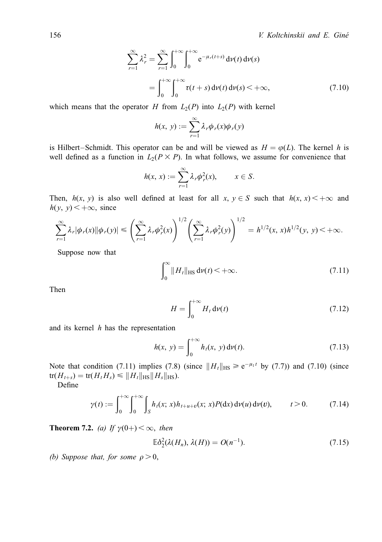$$
\sum_{r=1}^{\infty} \lambda_r^2 = \sum_{r=1}^{\infty} \int_0^{+\infty} \int_0^{+\infty} e^{-\mu_r(t+s)} d\nu(t) d\nu(s)
$$

$$
= \int_0^{+\infty} \int_0^{+\infty} \tau(t+s) d\nu(t) d\nu(s) < +\infty,
$$
(7.10)

which means that the operator H from  $L_2(P)$  into  $L_2(P)$  with kernel

$$
h(x, y) := \sum_{r=1}^{\infty} \lambda_r \phi_r(x) \phi_r(y)
$$

is Hilbert–Schmidt. This operator can be and will be viewed as  $H = \varphi(L)$ . The kernel h is well defined as a function in  $L_2(P \times P)$ . In what follows, we assume for convenience that

$$
h(x, x) := \sum_{r=1}^{\infty} \lambda_r \phi_r^2(x), \qquad x \in S.
$$

Then,  $h(x, y)$  is also well defined at least for all  $x, y \in S$  such that  $h(x, x) < +\infty$  and  $h(y, y) < +\infty$ , since

$$
\sum_{r=1}^{\infty} \lambda_r |\phi_r(x)| |\phi_r(y)| \leq \left( \sum_{r=1}^{\infty} \lambda_r \phi_r^2(x) \right)^{1/2} \left( \sum_{r=1}^{\infty} \lambda_r \phi_r^2(y) \right)^{1/2} = h^{1/2}(x, x)h^{1/2}(y, y) < +\infty.
$$

Suppose now that

$$
\int_0^\infty \|H_t\|_{\text{HS}} \, \mathrm{d}\nu(t) < +\infty. \tag{7.11}
$$

Then

$$
H = \int_0^{+\infty} H_t \, \mathrm{d}\nu(t) \tag{7.12}
$$

and its kernel  $h$  has the representation

$$
h(x, y) = \int_0^{+\infty} h_t(x, y) \, \mathrm{d}\nu(t). \tag{7.13}
$$

Note that condition (7.11) implies (7.8) (since  $||H_t||_{HS} \ge e^{-\mu_1 t}$  by (7.7)) and (7.10) (since  $tr(H_{t+s}) = tr(H_t H_s) \leq ||H_t||_{HS} ||H_s||_{HS}.$ 

Define

$$
\gamma(t) := \int_0^{+\infty} \int_0^{+\infty} \int_S h_t(x; x) h_{t+u+v}(x; x) P(\mathrm{d}x) \, \mathrm{d}\nu(u) \, \mathrm{d}\nu(v), \qquad t > 0. \tag{7.14}
$$

**Theorem 7.2.** (a) If  $\gamma(0+) < \infty$ , then

$$
\mathbb{E}\delta_2^2(\lambda(H_n), \lambda(H)) = O(n^{-1}).\tag{7.15}
$$

(b) Suppose that, for some  $\rho > 0$ ,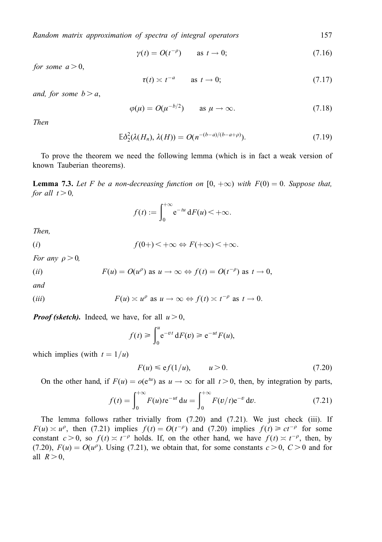$$
\gamma(t) = O(t^{-\rho}) \qquad \text{as } t \to 0; \tag{7.16}
$$

for some  $a > 0$ ,

$$
\tau(t) \asymp t^{-a} \qquad \text{as } t \to 0; \tag{7.17}
$$

and, for some  $b > a$ ,

$$
\varphi(\mu) = O(\mu^{-b/2}) \qquad \text{as } \mu \to \infty. \tag{7.18}
$$

Then

$$
\mathbb{E}\delta_2^2(\lambda(H_n),\,\lambda(H))=O(n^{-(b-a)/(b-a+\rho)}).
$$
\n(7.19)

To prove the theorem we need the following lemma (which is in fact a weak version of known Tauberian theorems).

**Lemma 7.3.** Let F be a non-decreasing function on  $[0, +\infty)$  with  $F(0) = 0$ . Suppose that, for all  $t > 0$ ,

$$
f(t) := \int_0^{+\infty} e^{-tu} dF(u) < +\infty.
$$

Then,

(i) 
$$
f(0+) < +\infty \Leftrightarrow F(+\infty) < +\infty.
$$

For any  $\rho > 0$ ,

(*ii*) 
$$
F(u) = O(u^{\rho}) \text{ as } u \to \infty \Leftrightarrow f(t) = O(t^{-\rho}) \text{ as } t \to 0,
$$

and

$$
(iii) \tF(u) \simeq u^{\rho} \t as u \to \infty \Leftrightarrow f(t) \simeq t^{-\rho} \t as t \to 0.
$$

**Proof (sketch).** Indeed, we have, for all  $u > 0$ ,

$$
f(t) \ge \int_0^u e^{-vt} dF(v) \ge e^{-ut} F(u),
$$

which implies (with  $t = 1/u$ )

$$
F(u) \leq \mathbf{e}f(1/u), \qquad u > 0. \tag{7.20}
$$

On the other hand, if  $F(u) = o(e^{tu})$  as  $u \to \infty$  for all  $t > 0$ , then, by integration by parts,

$$
f(t) = \int_0^{+\infty} F(u) t e^{-ut} du = \int_0^{+\infty} F(v/t) e^{-v} dv.
$$
 (7.21)

The lemma follows rather trivially from (7.20) and (7.21). We just check (iii). If  $F(u) \approx u^{\rho}$ , then (7.21) implies  $f(t) = O(t^{-\rho})$  and (7.20) implies  $f(t) \ge ct^{-\rho}$  for some constant  $c > 0$ , so  $f(t) \approx t^{-\rho}$  holds. If, on the other hand, we have  $f(t) \approx t^{-\rho}$ , then, by (7.20),  $F(u) = O(u^{\rho})$ . Using (7.21), we obtain that, for some constants  $c > 0$ ,  $C > 0$  and for all  $R > 0$ .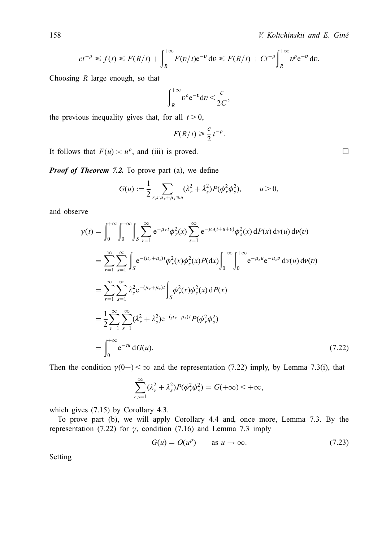$$
ct^{-\rho} \le f(t) \le F(R/t) + \int_R^{+\infty} F(v/t) e^{-v} dv \le F(R/t) + Ct^{-\rho} \int_R^{+\infty} v^{\rho} e^{-v} dv
$$

Choosing  $R$  large enough, so that

$$
\int_{R}^{+\infty} v^{\rho} e^{-v} dv < \frac{c}{2C},
$$

the previous inequality gives that, for all  $t > 0$ ,

$$
F(R/t) \geq \frac{c}{2}t^{-\rho}.
$$

It follows that  $F(u) \simeq u^{\rho}$ , and (iii) is proved.

**Proof of Theorem 7.2.** To prove part (a), we define

$$
G(u) := \frac{1}{2} \sum_{r,s:\mu_r + \mu_s \le u} (\lambda_r^2 + \lambda_s^2) P(\phi_r^2 \phi_s^2), \qquad u > 0,
$$

and observe

$$
\gamma(t) = \int_0^{+\infty} \int_0^{+\infty} \int_S \sum_{r=1}^{\infty} e^{-\mu_r t} \phi_r^2(x) \sum_{s=1}^{\infty} e^{-\mu_s(t+u+v)} \phi_s^2(x) dP(x) d\nu(u) d\nu(v)
$$
  
\n
$$
= \sum_{r=1}^{\infty} \sum_{s=1}^{\infty} \int_S e^{-(\mu_r + \mu_s)t} \phi_r^2(x) \phi_s^2(x) P(dx) \int_0^{+\infty} \int_0^{+\infty} e^{-\mu_s u} e^{-\mu_s v} d\nu(u) d\nu(v)
$$
  
\n
$$
= \sum_{r=1}^{\infty} \sum_{s=1}^{\infty} \lambda_s^2 e^{-(\mu_r + \mu_s)t} \int_S \phi_r^2(x) \phi_s^2(x) dP(x)
$$
  
\n
$$
= \frac{1}{2} \sum_{r=1}^{\infty} \sum_{s=1}^{\infty} (\lambda_r^2 + \lambda_s^2) e^{-(\mu_r + \mu_s)t} P(\phi_r^2 \phi_s^2)
$$
  
\n
$$
= \int_0^{+\infty} e^{-tu} dG(u).
$$
 (7.22)

Then the condition  $\gamma(0+) < \infty$  and the representation (7.22) imply, by Lemma 7.3(i), that

$$
\sum_{r,s=1}^{\infty} (\lambda_r^2 + \lambda_s^2) P(\phi_r^2 \phi_s^2) = G(+\infty) < +\infty,
$$

which gives  $(7.15)$  by Corollary 4.3.

To prove part (b), we will apply Corollary 4.4 and, once more, Lemma 7.3. By the representation (7.22) for  $\gamma$ , condition (7.16) and Lemma 7.3 imply

$$
G(u) = O(u^{\rho}) \qquad \text{as } u \to \infty. \tag{7.23}
$$

Setting

 $\Box$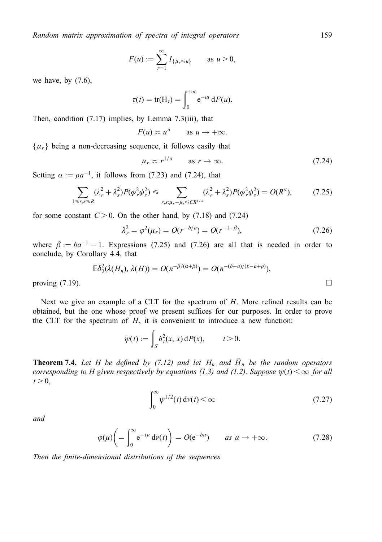$$
F(u) := \sum_{r=1}^{\infty} I_{\{\mu_r \le u\}} \quad \text{as } u > 0,
$$

we have, by  $(7.6)$ ,

$$
\tau(t) = \text{tr}(\mathbf{H}_t) = \int_0^{+\infty} e^{-ut} dF(u).
$$

Then, condition  $(7.17)$  implies, by Lemma 7.3(iii), that

$$
F(u) \asymp u^a \qquad \text{as } u \to +\infty.
$$

 $\{\mu_r\}$  being a non-decreasing sequence, it follows easily that

$$
\mu_r \asymp r^{1/a} \qquad \text{as } r \to \infty. \tag{7.24}
$$

Setting  $\alpha := \rho a^{-1}$ , it follows from (7.23) and (7.24), that

$$
\sum_{1 \le r,s \le R} (\lambda_r^2 + \lambda_s^2) P(\phi_r^2 \phi_s^2) \le \sum_{r,s:\mu_r + \mu_s \le CR^{1/a}} (\lambda_r^2 + \lambda_s^2) P(\phi_r^2 \phi_s^2) = O(R^a),\tag{7.25}
$$

for some constant  $C > 0$ . On the other hand, by (7.18) and (7.24)

$$
\lambda_r^2 = \varphi^2(\mu_r) = O(r^{-b/a}) = O(r^{-1-\beta}),\tag{7.26}
$$

where  $\beta := ba^{-1} - 1$ . Expressions (7.25) and (7.26) are all that is needed in order to conclude, by Corollary 4.4, that

$$
\mathbb{E}\delta_2^2(\lambda(H_n),\lambda(H))=O(n^{-\beta/(\alpha+\beta)})=O(n^{-(b-a)/(b-a+\rho)}),
$$

proving  $(7.19)$ .

Next we give an example of a CLT for the spectrum of  $H$ . More refined results can be obtained, but the one whose proof we present suffices for our purposes. In order to prove the CLT for the spectrum of  $H$ , it is convenient to introduce a new function:

$$
\psi(t) := \int_S h_t^2(x, x) \, dP(x), \qquad t > 0.
$$

**Theorem 7.4.** Let H be defined by (7.12) and let H<sub>n</sub> and  $\tilde{H}_n$  be the random operators corresponding to H given respectively by equations (1.3) and (1.2). Suppose  $\psi(t) < \infty$  for all  $t > 0$ ,

$$
\int_0^\infty \psi^{1/2}(t) \, \mathrm{d}\nu(t) < \infty \tag{7.27}
$$

and

$$
\varphi(\mu)\bigg(=\int_0^\infty e^{-t\mu}\,d\nu(t)\bigg)=O(e^{-b\mu})\qquad\text{as }\mu\to+\infty.
$$
\n(7.28)

Then the finite-dimensional distributions of the sequences

159

 $\Box$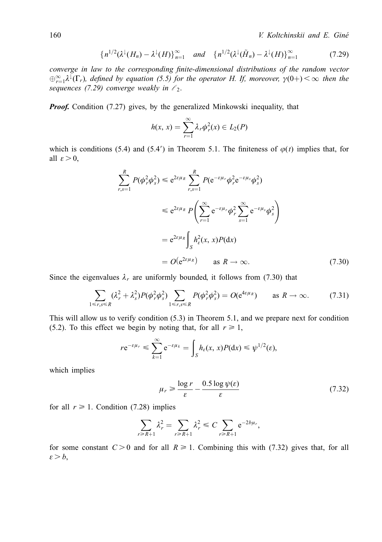$$
\{n^{1/2}(\lambda^{\downarrow}(H_n) - \lambda^{\downarrow}(H)\}_{n=1}^{\infty} \quad \text{and} \quad \{n^{1/2}(\lambda^{\downarrow}(\tilde{H}_n) - \lambda^{\downarrow}(H)\}_{n=1}^{\infty} \tag{7.29}
$$

converge in law to the corresponding finite-dimensional distributions of the random vector  $\bigoplus_{r=1}^{\infty} \lambda^{\downarrow}(\Gamma_r)$ , defined by equation (5.5) for the operator H. If, moreover,  $\gamma(0+) < \infty$  then the sequences (7.29) converge weakly in  $\ell_2$ .

**Proof.** Condition (7.27) gives, by the generalized Minkowski inequality, that

$$
h(x, x) = \sum_{r=1}^{\infty} \lambda_r \phi_r^2(x) \in L_2(P)
$$

which is conditions (5.4) and (5.4') in Theorem 5.1. The finiteness of  $\varphi(t)$  implies that, for all  $\varepsilon > 0$ ,

$$
\sum_{r,s=1}^{R} P(\phi_r^2 \phi_s^2) \le e^{2\varepsilon \mu_R} \sum_{r,s=1}^{R} P(e^{-\varepsilon \mu_r} \phi_r^2 e^{-\varepsilon \mu_s} \phi_s^2)
$$
  

$$
\le e^{2\varepsilon \mu_R} P\left(\sum_{r=1}^{\infty} e^{-\varepsilon \mu_r} \phi_r^2 \sum_{s=1}^{\infty} e^{-\varepsilon \mu_s} \phi_s^2\right)
$$
  

$$
= e^{2\varepsilon \mu_R} \int_S h_\varepsilon^2(x, x) P(\mathrm{d}x)
$$
  

$$
= O(e^{2\varepsilon \mu_R}) \quad \text{as } R \to \infty.
$$
 (7.30)

Since the eigenvalues  $\lambda_r$  are uniformly bounded, it follows from (7.30) that

$$
\sum_{1 \leq r,s \leq R} (\lambda_r^2 + \lambda_s^2) P(\phi_r^2 \phi_s^2) \sum_{1 \leq r,s \leq R} P(\phi_r^2 \phi_s^2) = O(e^{4\epsilon \mu_R}) \quad \text{as } R \to \infty. \tag{7.31}
$$

This will allow us to verify condition  $(5.3)$  in Theorem 5.1, and we prepare next for condition (5.2). To this effect we begin by noting that, for all  $r \ge 1$ ,

$$
re^{-\varepsilon\mu_r} \leq \sum_{k=1}^{\infty} e^{-\varepsilon\mu_k} = \int_{S} h_{\varepsilon}(x, x) P(dx) \leq \psi^{1/2}(\varepsilon),
$$

which implies

$$
\mu_r \ge \frac{\log r}{\varepsilon} - \frac{0.5 \log \psi(\varepsilon)}{\varepsilon} \tag{7.32}
$$

for all  $r \ge 1$ . Condition (7.28) implies

$$
\sum_{r \ge R+1} \lambda_r^2 = \sum_{r \ge R+1} \lambda_r^2 \le C \sum_{r \ge R+1} e^{-2b\mu_r},
$$

for some constant  $C>0$  and for all  $R \ge 1$ . Combining this with (7.32) gives that, for all  $\varepsilon > b$ ,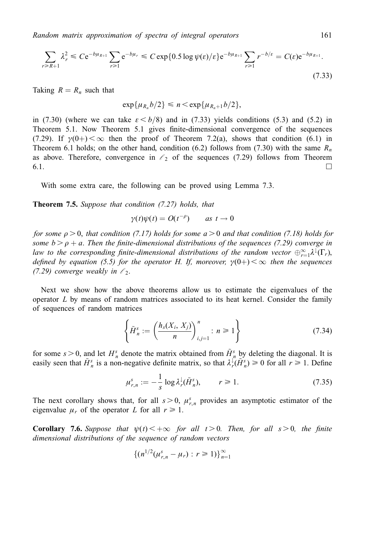$$
\sum_{r \ge R+1} \lambda_r^2 \le C e^{-b\mu_{R+1}} \sum_{r \ge 1} e^{-b\mu_r} \le C \exp\{0.5 \log \psi(\varepsilon)/\varepsilon\} e^{-b\mu_{R+1}} \sum_{r \ge 1} r^{-b/\varepsilon} = C(\varepsilon) e^{-b\mu_{R+1}}.
$$
\n(7.33)

Taking  $R = R_n$  such that

$$
\exp\{\mu_{R_n}b/2\} \leqslant n \lt \exp\{\mu_{R_n+1}b/2\},\
$$

in (7.30) (where we can take  $\varepsilon < b/8$ ) and in (7.33) yields conditions (5.3) and (5.2) in Theorem 5.1. Now Theorem 5.1 gives finite-dimensional convergence of the sequences (7.29). If  $\gamma(0+)<\infty$  then the proof of Theorem 7.2(a), shows that condition (6.1) in Theorem 6.1 holds; on the other hand, condition (6.2) follows from (7.30) with the same  $R_n$ as above. Therefore, convergence in  $\ell_2$  of the sequences (7.29) follows from Theorem  $6.1.$ 

With some extra care, the following can be proved using Lemma 7.3.

**Theorem 7.5.** Suppose that condition (7.27) holds, that

$$
\gamma(t)\psi(t) = O(t^{-\rho}) \qquad \text{as } t \to 0
$$

for some  $\rho > 0$ , that condition (7.17) holds for some  $a > 0$  and that condition (7.18) holds for some  $b > \rho + a$ . Then the finite-dimensional distributions of the sequences (7.29) converge in law to the corresponding finite-dimensional distributions of the random vector  $\oplus_{r=1}^{\infty}\lambda^{\downarrow}(\Gamma_{r}),$ defined by equation (5.5) for the operator H. If, moreover,  $\gamma(0+) < \infty$  then the sequences (7.29) converge weakly in  $\ell_2$ .

Next we show how the above theorems allow us to estimate the eigenvalues of the operator  $L$  by means of random matrices associated to its heat kernel. Consider the family of sequences of random matrices

$$
\left\{\tilde{H}_n^s := \left(\frac{h_s(X_i, X_j)}{n}\right)_{i,j=1}^n : n \ge 1\right\}
$$
\n(7.34)

for some  $s > 0$ , and let  $H_n^s$  denote the matrix obtained from  $\tilde{H}_n^s$  by deleting the diagonal. It is easily seen that  $\tilde{H}_n^s$  is a non-negative definite matrix, so that  $\lambda_r^{\parallel}(\tilde{H}_n^s) \ge 0$  for all  $r \ge 1$ . Define

$$
\mu_{r,n}^s := -\frac{1}{s} \log \lambda_r^{\downarrow}(\tilde{H}_n^s), \qquad r \ge 1. \tag{7.35}
$$

The next corollary shows that, for all  $s > 0$ ,  $\mu_{r,n}^s$  provides an asymptotic estimator of the eigenvalue  $\mu_r$  of the operator L for all  $r \ge 1$ .

**Corollary 7.6.** Suppose that  $\psi(t) < +\infty$  for all  $t > 0$ . Then, for all  $s > 0$ , the finite dimensional distributions of the sequence of random vectors

$$
\{(n^{1/2}(\mu_{r,n}^s - \mu_r) : r \ge 1)\}_{n=1}^{\infty}
$$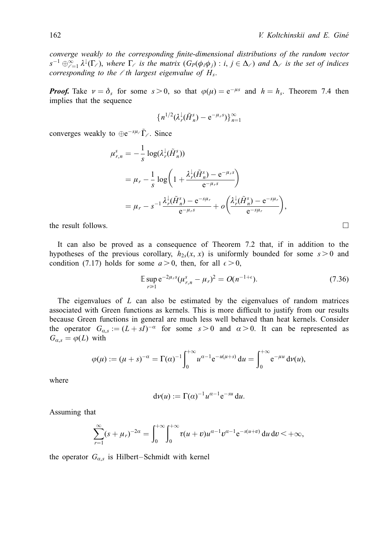converge weakly to the corresponding finite-dimensional distributions of the random vector  $s^{-1}\oplus_{\ell=1}^{\infty}\lambda^{\downarrow}(\Gamma_{\ell})$ , where  $\Gamma_{\ell}$  is the matrix  $(G_P(\phi_i\phi_j):i,j\in\Delta_{\ell})$  and  $\Delta_{\ell}$  is the set of indices corresponding to the  $\ell$  th largest eigenvalue of  $H_s$ .

**Proof.** Take  $v = \delta_s$  for some  $s > 0$ , so that  $\varphi(\mu) = e^{-\mu s}$  and  $h = h_s$ . Theorem 7.4 then implies that the sequence

$$
\left\{n^{1/2}(\lambda_r^{\downarrow}(\tilde{H}_n^s)-e^{-\mu_r s})\right\}_{n=1}^{\infty}
$$

converges weakly to  $\oplus e^{-s\mu} \tilde{\Gamma}_e$ . Since

$$
\mu_{r,n}^s = -\frac{1}{s} \log(\lambda_r^{\downarrow}(\tilde{H}_n^s))
$$
  
=  $\mu_r - \frac{1}{s} \log \left(1 + \frac{\lambda_r^{\downarrow}(\tilde{H}_n^s) - e^{-\mu_r s}}{e^{-\mu_r s}}\right)$   
=  $\mu_r - s^{-1} \frac{\lambda_r^{\downarrow}(\tilde{H}_n^s) - e^{-s\mu_r}}{e^{-\mu_r s}} + o\left(\frac{\lambda_r^{\downarrow}(\tilde{H}_n^s) - e^{-s\mu_r}}{e^{-s\mu_r}}\right),$ 

the result follows.  $\Box$ 

It can also be proved as a consequence of Theorem 7.2 that, if in addition to the hypotheses of the previous corollary,  $h_{2s}(x, x)$  is uniformly bounded for some  $s > 0$  and condition (7.17) holds for some  $a > 0$ , then, for all  $\epsilon > 0$ ,

$$
\mathbb{E} \sup_{r \ge 1} e^{-2\mu_r s} (\mu_{r,n}^s - \mu_r)^2 = O(n^{-1+\epsilon}). \tag{7.36}
$$

The eigenvalues of  $L$  can also be estimated by the eigenvalues of random matrices associated with Green functions as kernels. This is more difficult to justify from our results because Green functions in general are much less well behaved than heat kernels. Consider the operator  $G_{\alpha,s} := (L + sI)^{-\alpha}$  for some  $s > 0$  and  $\alpha > 0$ . It can be represented as  $G_{\alpha,s} = \varphi(L)$  with

$$
\varphi(\mu) := (\mu + s)^{-\alpha} = \Gamma(\alpha)^{-1} \int_0^{+\infty} u^{\alpha-1} e^{-u(\mu+s)} du = \int_0^{+\infty} e^{-\mu u} dv(u),
$$

where

$$
d\nu(u) := \Gamma(\alpha)^{-1} u^{\alpha-1} e^{-su} du.
$$

Assuming that

$$
\sum_{r=1}^{\infty} (s + \mu_r)^{-2\alpha} = \int_0^{+\infty} \int_0^{+\infty} \tau(u+v) u^{\alpha-1} v^{\alpha-1} e^{-s(u+v)} du dv < +\infty,
$$

the operator  $G_{\alpha,s}$  is Hilbert–Schmidt with kernel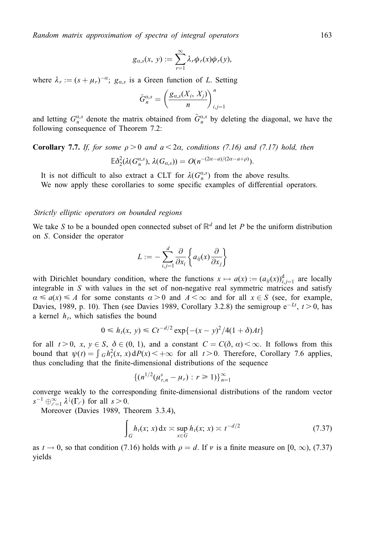$$
g_{a,s}(x, y) := \sum_{r=1}^{\infty} \lambda_r \phi_r(x) \phi_r(y),
$$

where  $\lambda_r := (s + \mu_r)^{-\alpha}; g_{\alpha,s}$  is a Green function of L. Setting

$$
\tilde{G}_n^{a,s} = \left(\frac{g_{a,s}(X_i, X_j)}{n}\right)_{i,j=1}^n
$$

and letting  $G_n^{a,s}$  denote the matrix obtained from  $\tilde{G}_n^{a,s}$  by deleting the diagonal, we have the following consequence of Theorem 7.2:

# **Corollary 7.7.** If, for some  $\rho > 0$  and  $a < 2\alpha$ , conditions (7.16) and (7.17) hold, then  $E\delta_2^2(\lambda(G_n^{a,s}),\lambda(G_{a,s}))=O(n^{-(2a-a)/(2a-a+\rho)}).$

It is not difficult to also extract a CLT for  $\lambda(G_n^{\alpha,s})$  from the above results. We now apply these corollaries to some specific examples of differential operators.

#### Strictly elliptic operators on bounded regions

We take S to be a bounded open connected subset of  $\mathbb{R}^d$  and let P be the uniform distribution on S. Consider the operator

$$
L := -\sum_{i,j=1}^d \frac{\partial}{\partial x_i} \left\{ a_{ij}(x) \frac{\partial}{\partial x_j} \right\}
$$

with Dirichlet boundary condition, where the functions  $x \mapsto a(x) := (a_{ij}(x))_{i,j=1}^d$  are locally integrable in S with values in the set of non-negative real symmetric matrices and satisfy  $\alpha \le a(x) \le A$  for some constants  $\alpha > 0$  and  $A < \infty$  and for all  $x \in S$  (see, for example, Davies, 1989, p. 10). Then (see Davies 1989, Corollary 3.2.8) the semigroup  $e^{-Lt}$ ,  $t > 0$ , has a kernel  $h_t$ , which satisfies the bound

$$
0 \le h_t(x, y) \le Ct^{-d/2} \exp\{-(x - y)^2/4(1 + \delta)At\}
$$

for all  $t > 0$ ,  $x, y \in S$ ,  $\delta \in (0, 1)$ , and a constant  $C = C(\delta, \alpha) < \infty$ . It follows from this bound that  $\psi(t) = \int_0^t c h_t^2(x, x) dP(x) < +\infty$  for all  $t > 0$ . Therefore, Corollary 7.6 applies, thus concluding that the finite-dimensional distributions of the sequence

$$
\{(n^{1/2}(\mu_{r,n}^s-\mu_r):r\geq 1)\}_{n=1}^\infty
$$

converge weakly to the corresponding finite-dimensional distributions of the random vector  $s^{-1} \bigoplus_{\ell=1}^{\infty} \lambda^{\downarrow}(\Gamma_{\ell})$  for all  $s > 0$ .

Moreover (Davies 1989, Theorem 3.3.4),

$$
\int_{G} h_t(x; x) dx \approx \sup_{x \in G} h_t(x; x) \approx t^{-d/2}
$$
\n(7.37)

as  $t \to 0$ , so that condition (7.16) holds with  $\rho = d$ . If v is a finite measure on [0,  $\infty$ ), (7.37) yields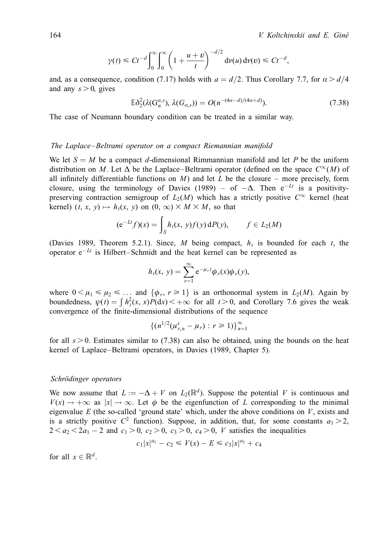$$
\gamma(t) \leq C t^{-d} \int_0^{\infty} \int_0^{\infty} \left(1 + \frac{u+v}{t}\right)^{-d/2} dv(u) dv(v) \leq C t^{-d},
$$

and, as a consequence, condition (7.17) holds with  $a = d/2$ . Thus Corollary 7.7, for  $\alpha > d/4$ and any  $s > 0$ , gives

$$
\mathbb{E}\delta_2^2(\lambda(\mathbf{G}_n^{a,s}),\lambda(G_{a,s})) = O(n^{-(4a-d)/(4a+d)}).
$$
\n(7.38)

The case of Neumann boundary condition can be treated in a similar way.

#### The Laplace–Beltrami operator on a compact Riemannian manifold

We let  $S = M$  be a compact d-dimensional Rimmannian manifold and let P be the uniform distribution on M. Let  $\Delta$  be the Laplace–Beltrami operator (defined on the space  $C^{\infty}(M)$  of all infinitely differentiable functions on M) and let L be the closure – more precisely, form closure, using the terminology of Davies (1989) – of  $-\Delta$ . Then  $e^{-Lt}$  is a positivitypreserving contraction semigroup of  $L_2(M)$  which has a strictly positive  $C^{\infty}$  kernel (heat kernel)  $(t, x, y) \mapsto h_t(x, y)$  on  $(0, \infty) \times M \times M$ , so that

$$
(\mathrm{e}^{-Lt}f)(x) = \int_S h_t(x, y)f(y) \,\mathrm{d}P(y), \qquad f \in L_2(M)
$$

(Davies 1989, Theorem 5.2.1). Since, M being compact,  $h_t$  is bounded for each t, the operator  $e^{-Lt}$  is Hilbert-Schmidt and the heat kernel can be represented as

$$
h_t(x, y) = \sum_{r=1}^{\infty} e^{-\mu_r t} \phi_r(x) \phi_r(y),
$$

where  $0 < \mu_1 \le \mu_2 \le \dots$  and  $\{\phi_r, r \ge 1\}$  is an orthonormal system in  $L_2(M)$ . Again by boundedness,  $\psi(t) = \int h_t^2(x, x) P(dx) < +\infty$  for all  $t > 0$ , and Corollary 7.6 gives the weak convergence of the finite-dimensional distributions of the sequence

$$
\{(n^{1/2}(\mu_{r,n}^s - \mu_r) : r \ge 1)\}_{n=1}^{\infty}
$$

for all  $s > 0$ . Estimates similar to (7.38) can also be obtained, using the bounds on the heat kernel of Laplace-Beltrami operators, in Davies (1989, Chapter 5).

#### Schrödinger operators

We now assume that  $L := -\Delta + V$  on  $L_2(\mathbb{R}^d)$ . Suppose the potential V is continuous and  $V(x) \rightarrow +\infty$  as  $|x| \rightarrow \infty$ . Let  $\phi$  be the eigenfunction of L corresponding to the minimal eigenvalue E (the so-called 'ground state' which, under the above conditions on  $V$ , exists and is a strictly positive  $C^2$  function). Suppose, in addition, that, for some constants  $a_1 > 2$ ,  $2 < a_2 < 2a_1 - 2$  and  $c_1 > 0$ ,  $c_2 > 0$ ,  $c_3 > 0$ ,  $c_4 > 0$ , V satisfies the inequalities

$$
c_1|x|^{a_1} - c_2 \le V(x) - E \le c_3|x|^{a_2} + c_4
$$

for all  $x \in \mathbb{R}^d$ .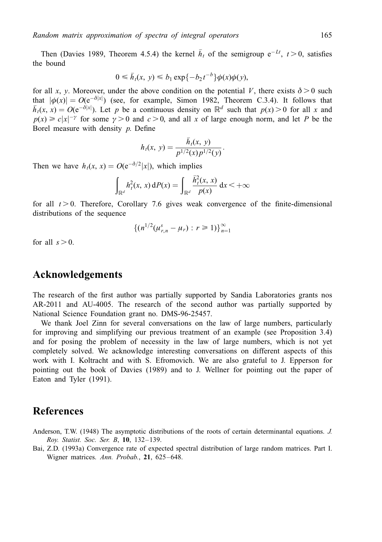Then (Davies 1989, Theorem 4.5.4) the kernel  $\bar{h}_t$  of the semigroup  $e^{-Lt}$ ,  $t > 0$ , satisfies the bound

$$
0 \leq \bar{h}_t(x, y) \leq b_1 \exp\{-b_2 t^{-b}\}\phi(x)\phi(y),
$$

for all x, y. Moreover, under the above condition on the potential V, there exists  $\delta > 0$  such that  $|\phi(x)| = O(e^{-\delta|x|})$  (see, for example, Simon 1982, Theorem C.3.4). It follows that that  $|\phi(x)| = O(e^{-\delta|x|})$  (see, for example, Simon 1982, Theorem C.3.4). It follows that  $\bar{h}_t(x, x) = O(e^{-\delta|x|})$ . Let p be a continuous density on  $\mathbb{R}^d$  such that  $p(x) > 0$  for all x and  $p(x) \ge c|x|^{-\gamma}$  for some  $\gamma > 0$  and  $c > 0$ , and all x of large enough norm, and let P be the Borel measure with density  $p$ . Define

$$
h_t(x, y) = \frac{\bar{h}_t(x, y)}{p^{1/2}(x)p^{1/2}(y)}.
$$

Then we have  $h_t(x, x) = O(e^{-\delta/2} |x|)$ , which implies

$$
\int_{\mathbb{R}^d} h_t^2(x, x) dP(x) = \int_{\mathbb{R}^d} \frac{\bar{h}_t^2(x, x)}{p(x)} dx < +\infty
$$

for all  $t > 0$ . Therefore, Corollary 7.6 gives weak convergence of the finite-dimensional distributions of the sequence

$$
\{(n^{1/2}(\mu_{r,n}^s-\mu_r): r\geq 1)\}_{n=1}^\infty
$$

for all  $s > 0$ .

# Acknowledgements

The research of the first author was partially supported by Sandia Laboratories grants nos AR-2011 and AU-4005. The research of the second author was partially supported by National Science Foundation grant no. DMS-96-25457.

We thank Joel Zinn for several conversations on the law of large numbers, particularly for improving and simplifying our previous treatment of an example (see Proposition 3.4) and for posing the problem of necessity in the law of large numbers, which is not yet completely solved. We acknowledge interesting conversations on different aspects of this work with I. Koltracht and with S. Efromovich. We are also grateful to J. Epperson for pointing out the book of Davies (1989) and to J. Wellner for pointing out the paper of Eaton and Tyler (1991).

# References

Anderson, T.W. (1948) The asymptotic distributions of the roots of certain determinantal equations. J. Roy. Statist. Soc. Ser. B,  $10$ ,  $132-139$ .

Bai, Z.D. (1993a) Convergence rate of expected spectral distribution of large random matrices. Part I. Wigner matrices. Ann. Probab., 21, 625-648.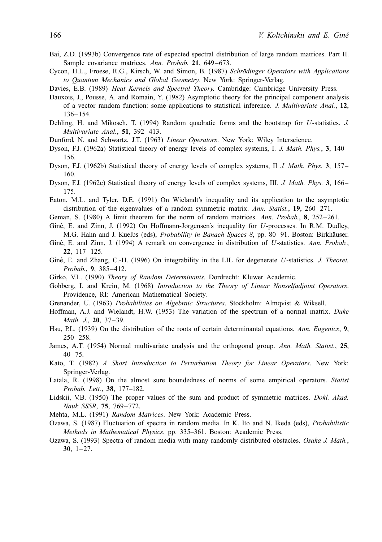- Bai, Z.D. (1993b) Convergence rate of expected spectral distribution of large random matrices. Part II. Sample covariance matrices. Ann. Probab. 21, 649-673.
- Cycon, H.L., Froese, R.G., Kirsch, W. and Simon, B. (1987) Schrödinger Operators with Applications to Quantum Mechanics and Global Geometry. New York: Springer-Verlag.
- Davies, E.B. (1989) Heat Kernels and Spectral Theory. Cambridge: Cambridge University Press.
- Dauxois, J., Pousse, A. and Romain, Y. (1982) Asymptotic theory for the principal component analysis of a vector random function: some applications to statistical inference. J. Multivariate Anal., 12, 136±154.
- Dehling, H. and Mikosch, T. (1994) Random quadratic forms and the bootstrap for U-statistics. J. Multivariate Anal.,  $51$ ,  $392-413$ .
- Dunford, N. and Schwartz, J.T. (1963) Linear Operators. New York: Wiley Interscience.
- Dyson, F.J. (1962a) Statistical theory of energy levels of complex systems, I. J. Math. Phys., 3, 140-156.
- Dyson, F.J. (1962b) Statistical theory of energy levels of complex systems, II J. Math. Phys. 3, 157– 160.
- Dyson, F.J. (1962c) Statistical theory of energy levels of complex systems, III. J. Math. Phys. 3, 166– 175.
- Eaton, M.L. and Tyler, D.E. (1991) On Wielandt's inequality and its application to the asymptotic distribution of the eigenvalues of a random symmetric matrix. Ann. Statist.,  $19$ ,  $260-271$ .
- Geman, S. (1980) A limit theorem for the norm of random matrices. Ann. Probab.,  $\frac{8}{252} 261$ .
- Giné, E. and Zinn, J. (1992) On Hoffmann-Jørgensen's inequality for U-processes. In R.M. Dudley, M.G. Hahn and J. Kuelbs (eds), *Probability in Banach Spaces 8*, pp. 80–91. Boston: Birkhäuser.
- Giné, E. and Zinn, J. (1994) A remark on convergence in distribution of U-statistics. Ann. Probab., 22, 117±125.
- Giné, E. and Zhang, C.-H. (1996) On integrability in the LIL for degenerate U-statistics. J. Theoret. Probab.,  $9, 385-412$ .
- Girko, V.L. (1990) Theory of Random Determinants. Dordrecht: Kluwer Academic.
- Gohberg, I. and Krein, M. (1968) Introduction to the Theory of Linear Nonselfadjoint Operators. Providence, RI: American Mathematical Society.
- Grenander, U. (1963) Probabilities on Algebraic Structures. Stockholm: Almqvist & Wiksell.
- Hoffman, A.J. and Wielandt, H.W. (1953) The variation of the spectrum of a normal matrix. Duke Math. J., 20, 37-39.
- Hsu, P.L. (1939) On the distribution of the roots of certain determinantal equations. Ann. Eugenics, 9,  $250 - 258$ .
- James, A.T. (1954) Normal multivariate analysis and the orthogonal group. Ann. Math. Statist., 25,  $40 - 75.$
- Kato, T. (1982) A Short Introduction to Perturbation Theory for Linear Operators. New York: Springer-Verlag.
- Latala, R. (1998) On the almost sure boundedness of norms of some empirical operators. Statist Probab. Lett., 38, 177-182.
- Lidskii, V.B. (1950) The proper values of the sum and product of symmetric matrices. *Dokl. Akad.* Nauk SSSR, 75, 769-772.
- Mehta, M.L. (1991) Random Matrices. New York: Academic Press.
- Ozawa, S. (1987) Fluctuation of spectra in random media. In K. Ito and N. Ikeda (eds), Probabilistic Methods in Mathematical Physics, pp. 335-361. Boston: Academic Press.
- Ozawa, S. (1993) Spectra of random media with many randomly distributed obstacles. Osaka J. Math., 30,  $1-27$ .